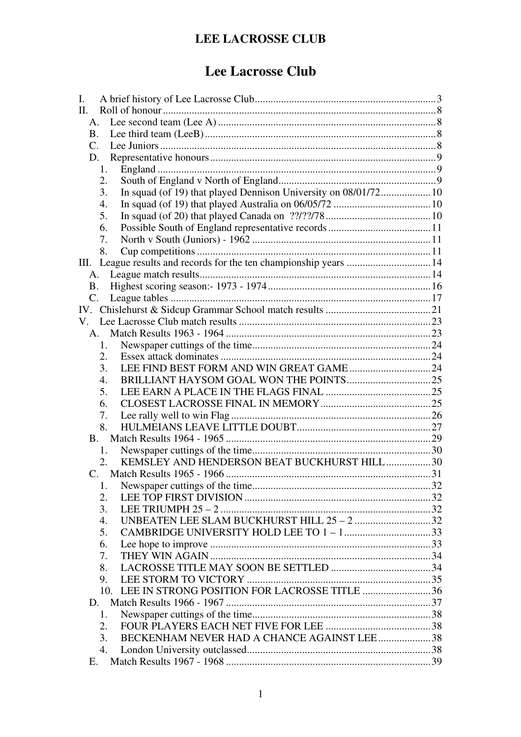# **Lee Lacrosse Club**

| $\mathbf{I}$ .                                                     |  |
|--------------------------------------------------------------------|--|
| II.                                                                |  |
| А.                                                                 |  |
| B.                                                                 |  |
| $\mathcal{C}$ .                                                    |  |
| D.                                                                 |  |
| 1.                                                                 |  |
| 2.                                                                 |  |
| 3.                                                                 |  |
| $\overline{4}$ .                                                   |  |
| 5.                                                                 |  |
| 6.                                                                 |  |
| 7.                                                                 |  |
| 8.                                                                 |  |
| III. League results and records for the ten championship years  14 |  |
| A.                                                                 |  |
| Β.                                                                 |  |
| $\mathbf{C}$ .                                                     |  |
|                                                                    |  |
|                                                                    |  |
|                                                                    |  |
| 1.                                                                 |  |
| 2.                                                                 |  |
| 3.                                                                 |  |
| $\overline{4}$ .                                                   |  |
| 5.                                                                 |  |
| 6.                                                                 |  |
| 7.                                                                 |  |
| 8.                                                                 |  |
| <b>B</b> .                                                         |  |
| 1.                                                                 |  |
| KEMSLEY AND HENDERSON BEAT BUCKHURST HILL30<br>2.                  |  |
|                                                                    |  |
|                                                                    |  |
| 2.                                                                 |  |
| 3.                                                                 |  |
| UNBEATEN LEE SLAM BUCKHURST HILL 25 - 2 32<br>$\overline{4}$ .     |  |
| 5.                                                                 |  |
| 6.                                                                 |  |
| 7.                                                                 |  |
| 8.                                                                 |  |
| 9.                                                                 |  |
| LEE IN STRONG POSITION FOR LACROSSE TITLE 36<br>10.                |  |
| D.                                                                 |  |
| 1.                                                                 |  |
| $\overline{2}$ .                                                   |  |
| BECKENHAM NEVER HAD A CHANCE AGAINST LEE 38<br>3.                  |  |
| $\overline{4}$ .                                                   |  |
| Е.                                                                 |  |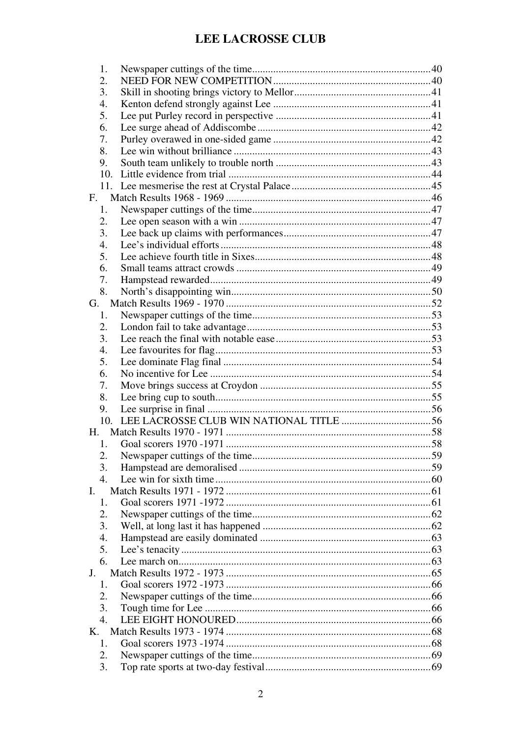| 1.               |  |
|------------------|--|
| 2.               |  |
| 3.               |  |
| 4.               |  |
| 5.               |  |
| 6.               |  |
| 7.               |  |
| 8.               |  |
| 9.               |  |
| 10.              |  |
|                  |  |
| F.               |  |
| 1.               |  |
| 2.               |  |
| 3.               |  |
| 4.               |  |
| 5.               |  |
| 6.               |  |
| 7.               |  |
| 8.               |  |
| G.               |  |
| 1.               |  |
| 2.               |  |
| 3.               |  |
| 4.               |  |
| 5.               |  |
| 6.               |  |
| 7.               |  |
| 8.               |  |
| 9.               |  |
| 10.              |  |
| Н.               |  |
| 1.               |  |
| 2.               |  |
| 3.               |  |
| 4.               |  |
|                  |  |
| Ι.               |  |
| 1.               |  |
| 2.               |  |
| 3.               |  |
| 4.               |  |
| 5.               |  |
| 6.               |  |
| J.               |  |
| 1.               |  |
| 2.               |  |
| 3.               |  |
| $\overline{4}$ . |  |
| К.               |  |
| 1.               |  |
| 2.               |  |
| 3.               |  |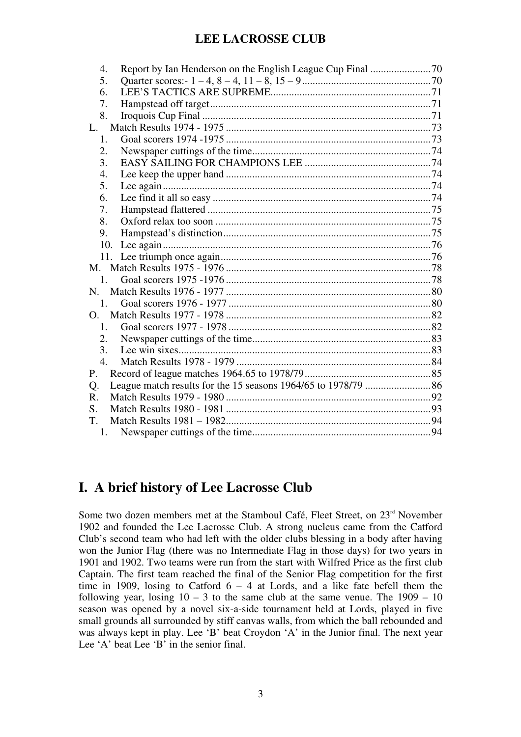| 4.               |  |
|------------------|--|
| 5.               |  |
| 6.               |  |
| 7.               |  |
| 8.               |  |
| L.               |  |
| 1.               |  |
| 2.               |  |
| 3.               |  |
| 4.               |  |
| 5.               |  |
| 6.               |  |
| 7.               |  |
| 8.               |  |
| 9.               |  |
| 10.              |  |
| 11.              |  |
|                  |  |
| $\mathbf{1}$ .   |  |
| N.               |  |
| 1.               |  |
| O.               |  |
| 1.               |  |
| 2.               |  |
| 3.               |  |
| $\overline{4}$ . |  |
| P.               |  |
| Q.               |  |
| R.               |  |
| S.               |  |
| $\rm{T}$ .       |  |
| 1.               |  |

## **I. A brief history of Lee Lacrosse Club**

Some two dozen members met at the Stamboul Café, Fleet Street, on  $23<sup>rd</sup>$  November 1902 and founded the Lee Lacrosse Club. A strong nucleus came from the Catford Club's second team who had left with the older clubs blessing in a body after having won the Junior Flag (there was no Intermediate Flag in those days) for two years in 1901 and 1902. Two teams were run from the start with Wilfred Price as the first club Captain. The first team reached the final of the Senior Flag competition for the first time in 1909, losing to Catford  $6 - 4$  at Lords, and a like fate befell them the following year, losing  $10 - 3$  to the same club at the same venue. The  $1909 - 10$ season was opened by a novel six-a-side tournament held at Lords, played in five small grounds all surrounded by stiff canvas walls, from which the ball rebounded and was always kept in play. Lee 'B' beat Croydon 'A' in the Junior final. The next year Lee 'A' beat Lee 'B' in the senior final.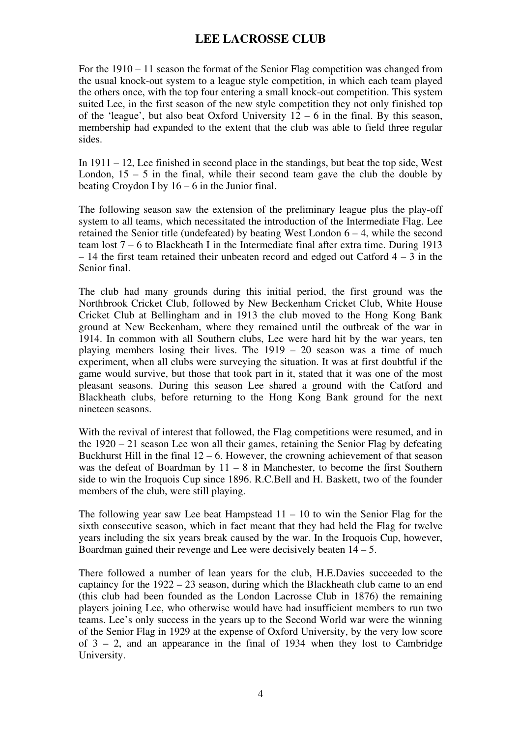For the 1910 – 11 season the format of the Senior Flag competition was changed from the usual knock-out system to a league style competition, in which each team played the others once, with the top four entering a small knock-out competition. This system suited Lee, in the first season of the new style competition they not only finished top of the 'league', but also beat Oxford University  $12 - 6$  in the final. By this season, membership had expanded to the extent that the club was able to field three regular sides.

In 1911 – 12, Lee finished in second place in the standings, but beat the top side, West London,  $15 - 5$  in the final, while their second team gave the club the double by beating Croydon I by  $16 - 6$  in the Junior final.

The following season saw the extension of the preliminary league plus the play-off system to all teams, which necessitated the introduction of the Intermediate Flag. Lee retained the Senior title (undefeated) by beating West London  $6 - 4$ , while the second team lost 7 – 6 to Blackheath I in the Intermediate final after extra time. During 1913  $-14$  the first team retained their unbeaten record and edged out Catford  $4 - 3$  in the Senior final.

The club had many grounds during this initial period, the first ground was the Northbrook Cricket Club, followed by New Beckenham Cricket Club, White House Cricket Club at Bellingham and in 1913 the club moved to the Hong Kong Bank ground at New Beckenham, where they remained until the outbreak of the war in 1914. In common with all Southern clubs, Lee were hard hit by the war years, ten playing members losing their lives. The 1919 – 20 season was a time of much experiment, when all clubs were surveying the situation. It was at first doubtful if the game would survive, but those that took part in it, stated that it was one of the most pleasant seasons. During this season Lee shared a ground with the Catford and Blackheath clubs, before returning to the Hong Kong Bank ground for the next nineteen seasons.

With the revival of interest that followed, the Flag competitions were resumed, and in the 1920 – 21 season Lee won all their games, retaining the Senior Flag by defeating Buckhurst Hill in the final  $12 - 6$ . However, the crowning achievement of that season was the defeat of Boardman by  $11 - 8$  in Manchester, to become the first Southern side to win the Iroquois Cup since 1896. R.C.Bell and H. Baskett, two of the founder members of the club, were still playing.

The following year saw Lee beat Hampstead  $11 - 10$  to win the Senior Flag for the sixth consecutive season, which in fact meant that they had held the Flag for twelve years including the six years break caused by the war. In the Iroquois Cup, however, Boardman gained their revenge and Lee were decisively beaten 14 – 5.

There followed a number of lean years for the club, H.E.Davies succeeded to the captaincy for the 1922 – 23 season, during which the Blackheath club came to an end (this club had been founded as the London Lacrosse Club in 1876) the remaining players joining Lee, who otherwise would have had insufficient members to run two teams. Lee's only success in the years up to the Second World war were the winning of the Senior Flag in 1929 at the expense of Oxford University, by the very low score of  $3 - 2$ , and an appearance in the final of 1934 when they lost to Cambridge University.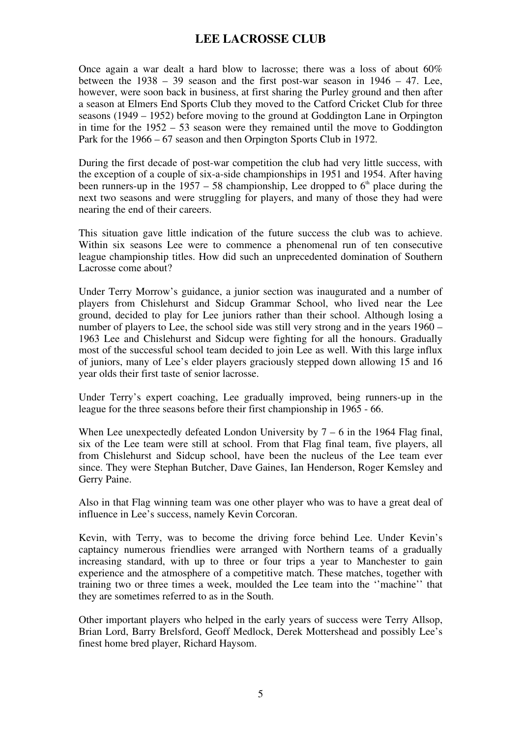Once again a war dealt a hard blow to lacrosse; there was a loss of about 60% between the 1938 – 39 season and the first post-war season in 1946 – 47. Lee, however, were soon back in business, at first sharing the Purley ground and then after a season at Elmers End Sports Club they moved to the Catford Cricket Club for three seasons (1949 – 1952) before moving to the ground at Goddington Lane in Orpington in time for the 1952 – 53 season were they remained until the move to Goddington Park for the 1966 – 67 season and then Orpington Sports Club in 1972.

During the first decade of post-war competition the club had very little success, with the exception of a couple of six-a-side championships in 1951 and 1954. After having been runners-up in the  $1957 - 58$  championship, Lee dropped to  $6<sup>th</sup>$  place during the next two seasons and were struggling for players, and many of those they had were nearing the end of their careers.

This situation gave little indication of the future success the club was to achieve. Within six seasons Lee were to commence a phenomenal run of ten consecutive league championship titles. How did such an unprecedented domination of Southern Lacrosse come about?

Under Terry Morrow's guidance, a junior section was inaugurated and a number of players from Chislehurst and Sidcup Grammar School, who lived near the Lee ground, decided to play for Lee juniors rather than their school. Although losing a number of players to Lee, the school side was still very strong and in the years 1960 – 1963 Lee and Chislehurst and Sidcup were fighting for all the honours. Gradually most of the successful school team decided to join Lee as well. With this large influx of juniors, many of Lee's elder players graciously stepped down allowing 15 and 16 year olds their first taste of senior lacrosse.

Under Terry's expert coaching, Lee gradually improved, being runners-up in the league for the three seasons before their first championship in 1965 - 66.

When Lee unexpectedly defeated London University by  $7 - 6$  in the 1964 Flag final, six of the Lee team were still at school. From that Flag final team, five players, all from Chislehurst and Sidcup school, have been the nucleus of the Lee team ever since. They were Stephan Butcher, Dave Gaines, Ian Henderson, Roger Kemsley and Gerry Paine.

Also in that Flag winning team was one other player who was to have a great deal of influence in Lee's success, namely Kevin Corcoran.

Kevin, with Terry, was to become the driving force behind Lee. Under Kevin's captaincy numerous friendlies were arranged with Northern teams of a gradually increasing standard, with up to three or four trips a year to Manchester to gain experience and the atmosphere of a competitive match. These matches, together with training two or three times a week, moulded the Lee team into the ''machine'' that they are sometimes referred to as in the South.

Other important players who helped in the early years of success were Terry Allsop, Brian Lord, Barry Brelsford, Geoff Medlock, Derek Mottershead and possibly Lee's finest home bred player, Richard Haysom.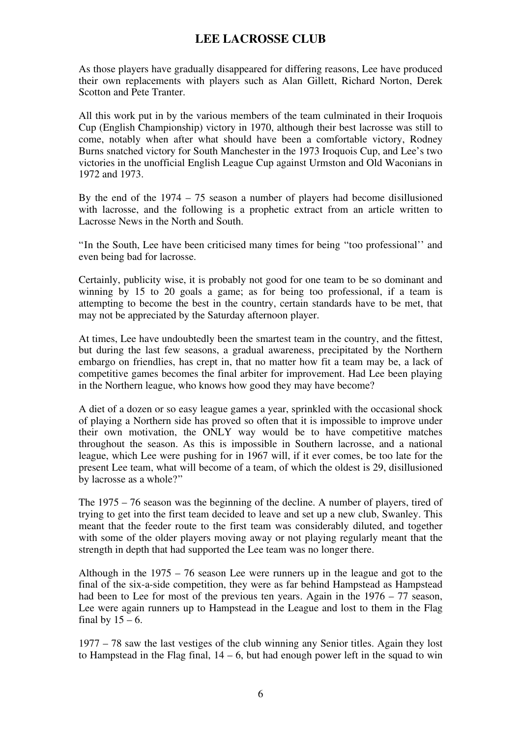As those players have gradually disappeared for differing reasons, Lee have produced their own replacements with players such as Alan Gillett, Richard Norton, Derek Scotton and Pete Tranter.

All this work put in by the various members of the team culminated in their Iroquois Cup (English Championship) victory in 1970, although their best lacrosse was still to come, notably when after what should have been a comfortable victory, Rodney Burns snatched victory for South Manchester in the 1973 Iroquois Cup, and Lee's two victories in the unofficial English League Cup against Urmston and Old Waconians in 1972 and 1973.

By the end of the 1974 – 75 season a number of players had become disillusioned with lacrosse, and the following is a prophetic extract from an article written to Lacrosse News in the North and South.

"In the South, Lee have been criticised many times for being "too professional'' and even being bad for lacrosse.

Certainly, publicity wise, it is probably not good for one team to be so dominant and winning by 15 to 20 goals a game; as for being too professional, if a team is attempting to become the best in the country, certain standards have to be met, that may not be appreciated by the Saturday afternoon player.

At times, Lee have undoubtedly been the smartest team in the country, and the fittest, but during the last few seasons, a gradual awareness, precipitated by the Northern embargo on friendlies, has crept in, that no matter how fit a team may be, a lack of competitive games becomes the final arbiter for improvement. Had Lee been playing in the Northern league, who knows how good they may have become?

A diet of a dozen or so easy league games a year, sprinkled with the occasional shock of playing a Northern side has proved so often that it is impossible to improve under their own motivation, the ONLY way would be to have competitive matches throughout the season. As this is impossible in Southern lacrosse, and a national league, which Lee were pushing for in 1967 will, if it ever comes, be too late for the present Lee team, what will become of a team, of which the oldest is 29, disillusioned by lacrosse as a whole?"

The 1975 – 76 season was the beginning of the decline. A number of players, tired of trying to get into the first team decided to leave and set up a new club, Swanley. This meant that the feeder route to the first team was considerably diluted, and together with some of the older players moving away or not playing regularly meant that the strength in depth that had supported the Lee team was no longer there.

Although in the 1975 – 76 season Lee were runners up in the league and got to the final of the six-a-side competition, they were as far behind Hampstead as Hampstead had been to Lee for most of the previous ten years. Again in the 1976 – 77 season, Lee were again runners up to Hampstead in the League and lost to them in the Flag final by  $15 - 6$ .

1977 – 78 saw the last vestiges of the club winning any Senior titles. Again they lost to Hampstead in the Flag final,  $14 - 6$ , but had enough power left in the squad to win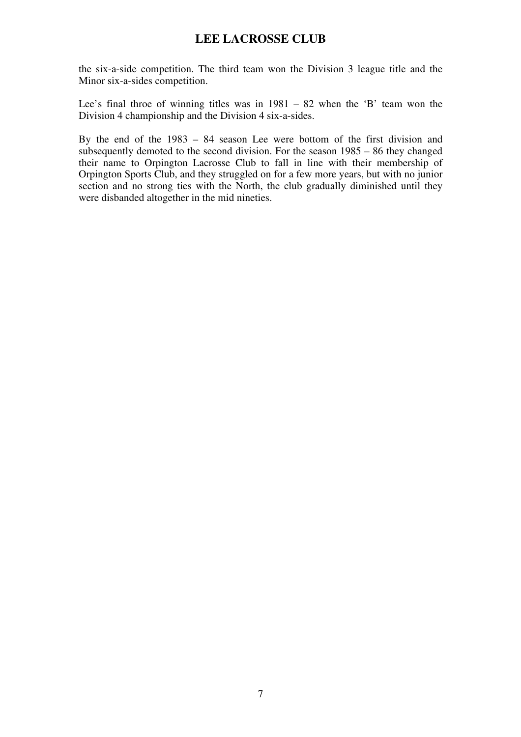the six-a-side competition. The third team won the Division 3 league title and the Minor six-a-sides competition.

Lee's final throe of winning titles was in  $1981 - 82$  when the 'B' team won the Division 4 championship and the Division 4 six-a-sides.

By the end of the 1983 – 84 season Lee were bottom of the first division and subsequently demoted to the second division. For the season 1985 – 86 they changed their name to Orpington Lacrosse Club to fall in line with their membership of Orpington Sports Club, and they struggled on for a few more years, but with no junior section and no strong ties with the North, the club gradually diminished until they were disbanded altogether in the mid nineties.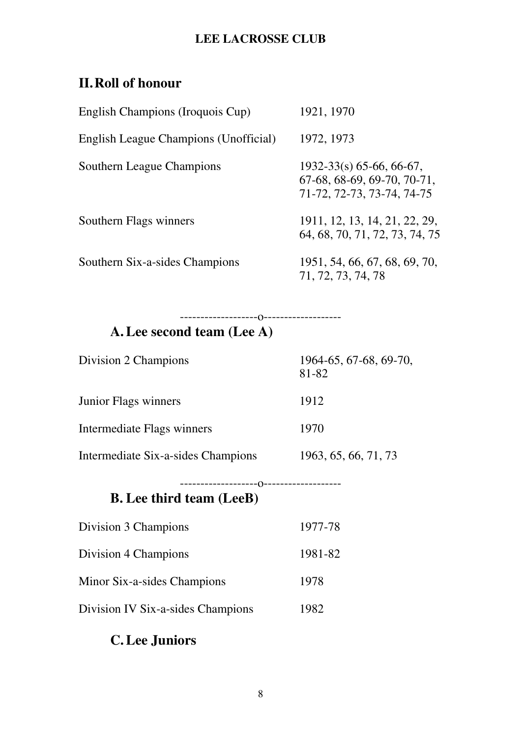# **II.Roll of honour**

| English Champions (Iroquois Cup)      | 1921, 1970                                                                                |
|---------------------------------------|-------------------------------------------------------------------------------------------|
| English League Champions (Unofficial) | 1972, 1973                                                                                |
| Southern League Champions             | $1932-33(s)$ 65-66, 66-67,<br>$67-68, 68-69, 69-70, 70-71,$<br>71-72, 72-73, 73-74, 74-75 |
| Southern Flags winners                | 1911, 12, 13, 14, 21, 22, 29,<br>64, 68, 70, 71, 72, 73, 74, 75                           |
| Southern Six-a-sides Champions        | 1951, 54, 66, 67, 68, 69, 70,<br>71, 72, 73, 74, 78                                       |

-------------------o-------------------

# **A.Lee second team (Lee A)**

| Division 2 Champions               | $1964-65, 67-68, 69-70,$<br>81-82 |
|------------------------------------|-----------------------------------|
| Junior Flags winners               | 1912                              |
| Intermediate Flags winners         | 1970                              |
| Intermediate Six-a-sides Champions | 1963, 65, 66, 71, 73              |

# -------------------o-------------------

# **B. Lee third team (LeeB)**

| Division 3 Champions              | 1977-78 |
|-----------------------------------|---------|
| Division 4 Champions              | 1981-82 |
| Minor Six-a-sides Champions       | 1978    |
| Division IV Six-a-sides Champions | 1982    |

# **C.Lee Juniors**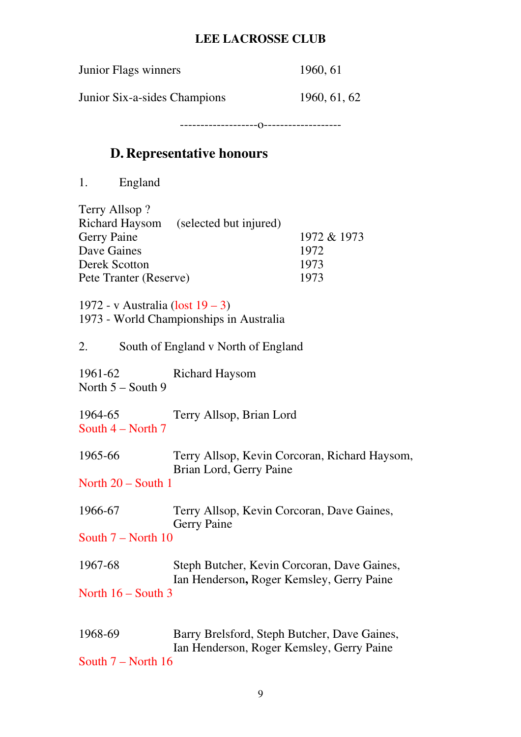| Junior Flags winners         | 1960, 61     |
|------------------------------|--------------|
| Junior Six-a-sides Champions | 1960, 61, 62 |

-------------------o-------------------

# **D. Representative honours**

1. England

| Terry Allsop?                       |                                                                                           |             |
|-------------------------------------|-------------------------------------------------------------------------------------------|-------------|
|                                     | Richard Haysom (selected but injured)                                                     |             |
| <b>Gerry Paine</b>                  |                                                                                           | 1972 & 1973 |
| Dave Gaines                         |                                                                                           | 1972        |
| Derek Scotton                       |                                                                                           | 1973        |
| Pete Tranter (Reserve)              |                                                                                           | 1973        |
|                                     |                                                                                           |             |
| 1972 - v Australia (lost $19 - 3$ ) |                                                                                           |             |
|                                     | 1973 - World Championships in Australia                                                   |             |
|                                     |                                                                                           |             |
| 2.                                  | South of England v North of England                                                       |             |
| 1961-62                             |                                                                                           |             |
| North $5 -$ South 9                 | Richard Haysom                                                                            |             |
|                                     |                                                                                           |             |
| 1964-65                             | Terry Allsop, Brian Lord                                                                  |             |
| South $4$ – North 7                 |                                                                                           |             |
|                                     |                                                                                           |             |
| 1965-66                             | Terry Allsop, Kevin Corcoran, Richard Haysom,                                             |             |
|                                     | Brian Lord, Gerry Paine                                                                   |             |
| North $20 - South 1$                |                                                                                           |             |
|                                     |                                                                                           |             |
| 1966-67                             | Terry Allsop, Kevin Corcoran, Dave Gaines,                                                |             |
|                                     | <b>Gerry Paine</b>                                                                        |             |
| South $7 - North$ 10                |                                                                                           |             |
|                                     |                                                                                           |             |
| 1967-68                             | Steph Butcher, Kevin Corcoran, Dave Gaines,                                               |             |
|                                     | Ian Henderson, Roger Kemsley, Gerry Paine                                                 |             |
| North $16 -$ South 3                |                                                                                           |             |
|                                     |                                                                                           |             |
| 1968-69                             |                                                                                           |             |
|                                     | Barry Brelsford, Steph Butcher, Dave Gaines,<br>Ian Henderson, Roger Kemsley, Gerry Paine |             |
| South 7 – North 16                  |                                                                                           |             |
|                                     |                                                                                           |             |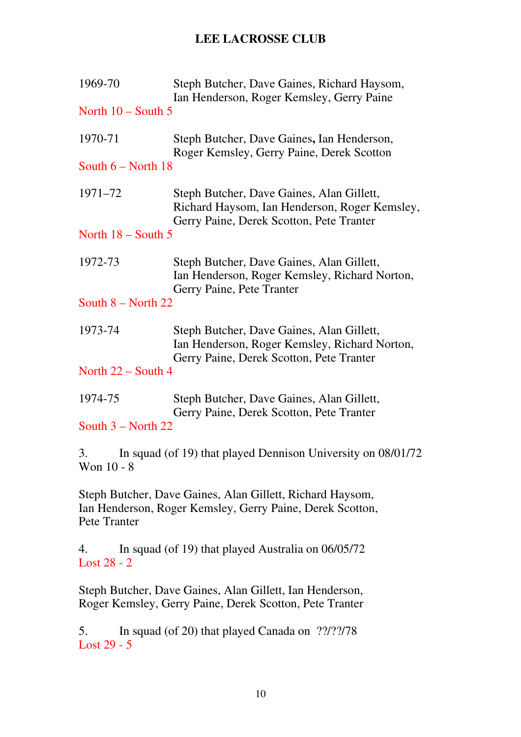| 1969-70              | Steph Butcher, Dave Gaines, Richard Haysom,<br>Ian Henderson, Roger Kemsley, Gerry Paine                                               |
|----------------------|----------------------------------------------------------------------------------------------------------------------------------------|
| North $10 -$ South 5 |                                                                                                                                        |
| 1970-71              | Steph Butcher, Dave Gaines, Ian Henderson,                                                                                             |
| South $6 - North$ 18 | Roger Kemsley, Gerry Paine, Derek Scotton                                                                                              |
| $1971 - 72$          | Steph Butcher, Dave Gaines, Alan Gillett,<br>Richard Haysom, Ian Henderson, Roger Kemsley,<br>Gerry Paine, Derek Scotton, Pete Tranter |
| North $18 -$ South 5 |                                                                                                                                        |
| 1972-73              | Steph Butcher, Dave Gaines, Alan Gillett,<br>Ian Henderson, Roger Kemsley, Richard Norton,<br>Gerry Paine, Pete Tranter                |
| South $8 - North$ 22 |                                                                                                                                        |
| 1973-74              | Steph Butcher, Dave Gaines, Alan Gillett,<br>Ian Henderson, Roger Kemsley, Richard Norton,<br>Gerry Paine, Derek Scotton, Pete Tranter |
| North $22 -$ South 4 |                                                                                                                                        |
| 1974-75              | Steph Butcher, Dave Gaines, Alan Gillett,<br>Gerry Paine, Derek Scotton, Pete Tranter                                                  |
| South $3$ – North 22 |                                                                                                                                        |
| 3.<br>Won 10 - 8     | In squad (of 19) that played Dennison University on 08/01/72                                                                           |
| Pete Tranter         | Steph Butcher, Dave Gaines, Alan Gillett, Richard Haysom,<br>Ian Henderson, Roger Kemsley, Gerry Paine, Derek Scotton,                 |
| 4.<br>Lost $28 - 2$  | In squad (of 19) that played Australia on 06/05/72                                                                                     |
|                      | Steph Butcher, Dave Gaines, Alan Gillett, Ian Henderson,<br>Roger Kemsley, Gerry Paine, Derek Scotton, Pete Tranter                    |
| 5.<br>Lost $29 - 5$  | In squad (of 20) that played Canada on ??/??/78                                                                                        |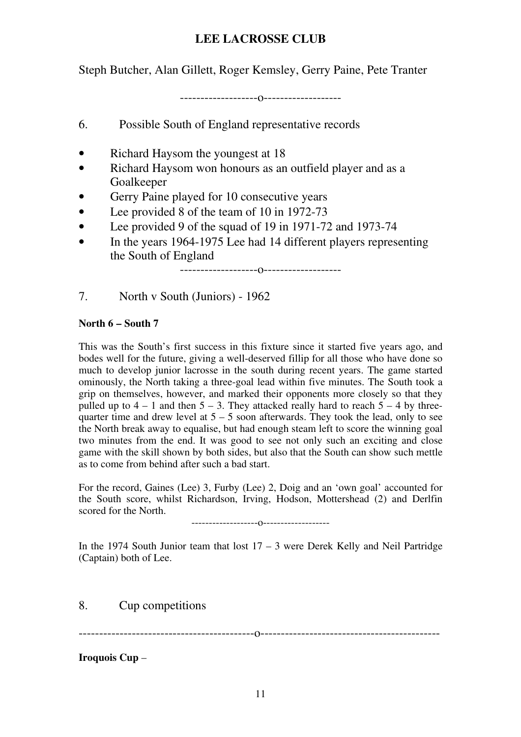Steph Butcher, Alan Gillett, Roger Kemsley, Gerry Paine, Pete Tranter

-------------------o-------------------

- 6. Possible South of England representative records
- Richard Haysom the youngest at 18
- Richard Haysom won honours as an outfield player and as a Goalkeeper
- Gerry Paine played for 10 consecutive years
- Lee provided 8 of the team of 10 in 1972-73
- Lee provided 9 of the squad of 19 in  $1971-72$  and  $1973-74$
- In the years 1964-1975 Lee had 14 different players representing the South of England

-------------------o-------------------

7. North v South (Juniors) - 1962

#### **North 6 – South 7**

This was the South's first success in this fixture since it started five years ago, and bodes well for the future, giving a well-deserved fillip for all those who have done so much to develop junior lacrosse in the south during recent years. The game started ominously, the North taking a three-goal lead within five minutes. The South took a grip on themselves, however, and marked their opponents more closely so that they pulled up to  $4 - 1$  and then  $5 - 3$ . They attacked really hard to reach  $5 - 4$  by threequarter time and drew level at  $5 - 5$  soon afterwards. They took the lead, only to see the North break away to equalise, but had enough steam left to score the winning goal two minutes from the end. It was good to see not only such an exciting and close game with the skill shown by both sides, but also that the South can show such mettle as to come from behind after such a bad start.

For the record, Gaines (Lee) 3, Furby (Lee) 2, Doig and an 'own goal' accounted for the South score, whilst Richardson, Irving, Hodson, Mottershead (2) and Derlfin scored for the North.

-------------------o-------------------

In the 1974 South Junior team that lost  $17 - 3$  were Derek Kelly and Neil Partridge (Captain) both of Lee.

8. Cup competitions

-------------------------------------------o--------------------------------------------

**Iroquois Cup** –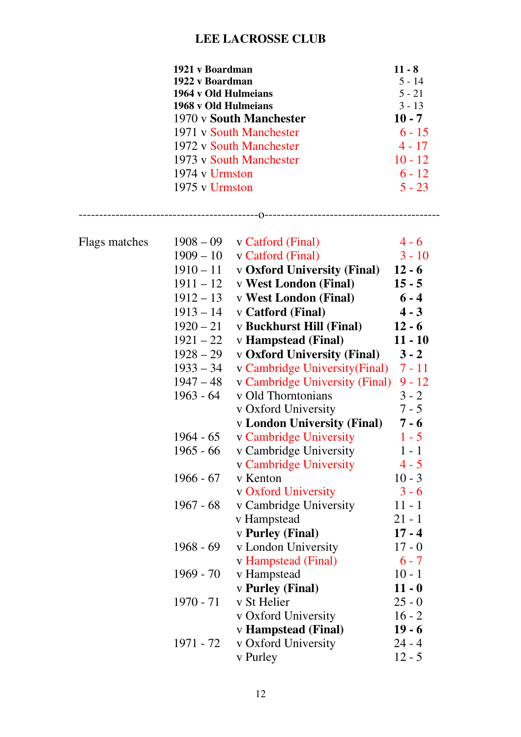--------------------------------------------o-------------------------------------------

| 1921 v Boardman         | $11 - 8$  |
|-------------------------|-----------|
| 1922 v Boardman         | $5 - 14$  |
| 1964 v Old Hulmeians    | $5 - 21$  |
| 1968 v Old Hulmeians    | $3 - 13$  |
| 1970 v South Manchester | $10 - 7$  |
| 1971 v South Manchester | $6 - 15$  |
| 1972 v South Manchester | $4 - 17$  |
| 1973 v South Manchester | $10 - 12$ |
| 1974 v Urmston          | $6 - 12$  |
| 1975 v Urmston          | $5 - 23$  |
|                         |           |

| Flags matches | $1908 - 09$ | v Catford (Final)              | $4 - 6$   |
|---------------|-------------|--------------------------------|-----------|
|               | $1909 - 10$ | v Catford (Final)              | $3 - 10$  |
|               | $1910 - 11$ | v Oxford University (Final)    | $12 - 6$  |
|               | $1911 - 12$ | v West London (Final)          | $15 - 5$  |
|               | $1912 - 13$ | v West London (Final)          | $6 - 4$   |
|               | $1913 - 14$ | v Catford (Final)              | $4 - 3$   |
|               | $1920 - 21$ | v Buckhurst Hill (Final)       | $12 - 6$  |
|               | $1921 - 22$ | v Hampstead (Final)            | $11 - 10$ |
|               | $1928 - 29$ | v Oxford University (Final)    | $3 - 2$   |
|               | $1933 - 34$ | v Cambridge University (Final) | $7 - 11$  |
|               | $1947 - 48$ | v Cambridge University (Final) | $9 - 12$  |
|               | $1963 - 64$ | v Old Thorntonians             | $3 - 2$   |
|               |             | v Oxford University            | $7 - 5$   |
|               |             | v London University (Final)    | $7 - 6$   |
|               | $1964 - 65$ | v Cambridge University         | $1 - 5$   |
|               | $1965 - 66$ | v Cambridge University         | $1 - 1$   |
|               |             | v Cambridge University         | $4 - 5$   |
|               | $1966 - 67$ | v Kenton                       | $10 - 3$  |
|               |             | v Oxford University            | $3 - 6$   |
|               | $1967 - 68$ | v Cambridge University         | $11 - 1$  |
|               |             | v Hampstead                    | $21 - 1$  |
|               |             | v Purley (Final)               | $17 - 4$  |
|               | $1968 - 69$ | v London University            | $17 - 0$  |
|               |             | v Hampstead (Final)            | $6 - 7$   |
|               | $1969 - 70$ | v Hampstead                    | $10 - 1$  |
|               |             | v Purley (Final)               | $11 - 0$  |
|               | $1970 - 71$ | v St Helier                    | $25 - 0$  |
|               |             | v Oxford University            | $16 - 2$  |
|               |             | v Hampstead (Final)            | $19 - 6$  |
|               | 1971 - 72   | v Oxford University            | $24 - 4$  |
|               |             | v Purley                       | $12 - 5$  |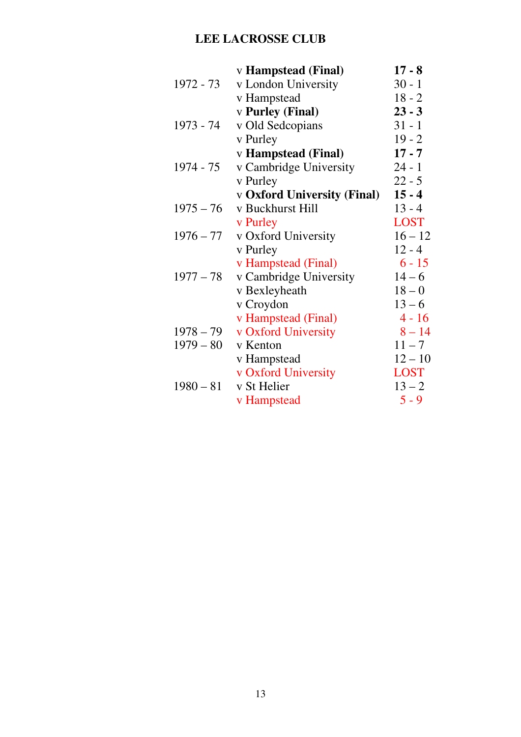|             | v Hampstead (Final)         | $17 - 8$    |
|-------------|-----------------------------|-------------|
| 1972 - 73   | v London University         | $30 - 1$    |
|             | v Hampstead                 | $18 - 2$    |
|             | v Purley (Final)            | $23 - 3$    |
| 1973 - 74   | v Old Sedcopians            | $31 - 1$    |
|             | v Purley                    | $19 - 2$    |
|             | v Hampstead (Final)         | $17 - 7$    |
| 1974 - 75   | v Cambridge University      | $24 - 1$    |
|             | v Purley                    | $22 - 5$    |
|             | v Oxford University (Final) | $15 - 4$    |
| $1975 - 76$ | v Buckhurst Hill            | $13 - 4$    |
|             | v Purley                    | <b>LOST</b> |
| $1976 - 77$ | v Oxford University         | $16 - 12$   |
|             | v Purley                    | $12 - 4$    |
|             | v Hampstead (Final)         | $6 - 15$    |
| $1977 - 78$ | v Cambridge University      | $14 - 6$    |
|             | v Bexleyheath               | $18 - 0$    |
|             | v Croydon                   | $13 - 6$    |
|             | v Hampstead (Final)         | $4 - 16$    |
| $1978 - 79$ | v Oxford University         | $8 - 14$    |
| $1979 - 80$ | v Kenton                    | $11 - 7$    |
|             | v Hampstead                 | $12 - 10$   |
|             | v Oxford University         | <b>LOST</b> |
| $1980 - 81$ | v St Helier                 | $13 - 2$    |
|             | v Hampstead                 | $5 - 9$     |
|             |                             |             |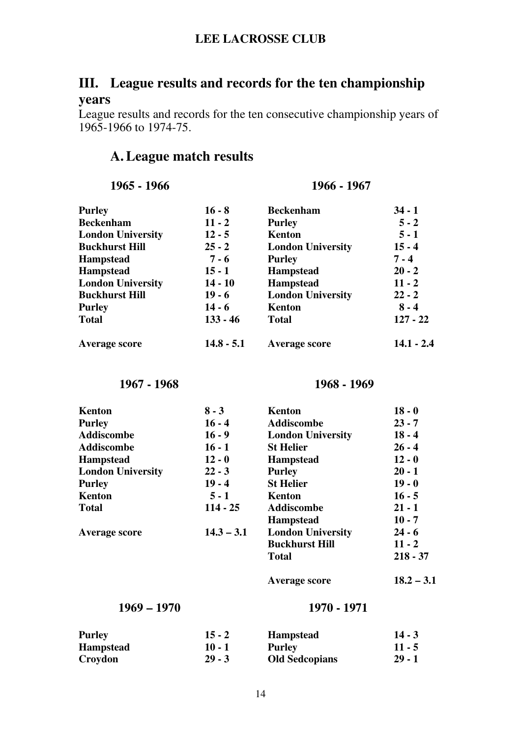## **III. League results and records for the ten championship years**

League results and records for the ten consecutive championship years of 1965-1966 to 1974-75.

## **A.League match results**

#### **1965 - 1966 1966 - 1967**

| <b>Purley</b>            | $16 - 8$     | <b>Beckenham</b>         | $34 - 1$     |
|--------------------------|--------------|--------------------------|--------------|
| <b>Beckenham</b>         | $11 - 2$     | <b>Purley</b>            | $5 - 2$      |
| <b>London University</b> | $12 - 5$     | <b>Kenton</b>            | $5 - 1$      |
| <b>Buckhurst Hill</b>    | $25 - 2$     | <b>London University</b> | $15 - 4$     |
| <b>Hampstead</b>         | $7 - 6$      | <b>Purley</b>            | $7 - 4$      |
| <b>Hampstead</b>         | $15 - 1$     | <b>Hampstead</b>         | $20 - 2$     |
| <b>London University</b> | $14 - 10$    | <b>Hampstead</b>         | $11 - 2$     |
| <b>Buckhurst Hill</b>    | $19 - 6$     | <b>London University</b> | $22 - 2$     |
| <b>Purley</b>            | $14 - 6$     | <b>Kenton</b>            | $8 - 4$      |
| <b>Total</b>             | $133 - 46$   | <b>Total</b>             | $127 - 22$   |
| Average score            | $14.8 - 5.1$ | <b>Average score</b>     | $14.1 - 2.4$ |

#### **1967 - 1968 1968 - 1969**

| <b>Kenton</b>            | $8 - 3$      | <b>Kenton</b>            | $18 - 0$   |
|--------------------------|--------------|--------------------------|------------|
| <b>Purley</b>            | $16 - 4$     | <b>Addiscombe</b>        | $23 - 7$   |
| <b>Addiscombe</b>        | $16 - 9$     | <b>London University</b> | $18 - 4$   |
| <b>Addiscombe</b>        | $16 - 1$     | <b>St Helier</b>         | $26 - 4$   |
| <b>Hampstead</b>         | $12 - 0$     | <b>Hampstead</b>         | $12 - 0$   |
| <b>London University</b> | $22 - 3$     | <b>Purley</b>            | $20 - 1$   |
| <b>Purley</b>            | $19 - 4$     | <b>St Helier</b>         | $19 - 0$   |
| <b>Kenton</b>            | $5 - 1$      | Kenton                   | $16 - 5$   |
| <b>Total</b>             | $114 - 25$   | <b>Addiscombe</b>        | $21 - 1$   |
|                          |              | <b>Hampstead</b>         | $10 - 7$   |
| Average score            | $14.3 - 3.1$ | <b>London University</b> | $24 - 6$   |
|                          |              | <b>Buckhurst Hill</b>    | $11 - 2$   |
|                          |              | <b>Total</b>             | $218 - 37$ |

#### **Average score 18.2 – 3.1**

#### **1969 – 1970 1970 - 1971**

| <b>Purley</b>    | $15 - 2$ | <b>Hampstead</b>      | $14 - 3$ |
|------------------|----------|-----------------------|----------|
| <b>Hampstead</b> | $10 - 1$ | <b>Purley</b>         | $11 - 5$ |
| Croydon          | $29 - 3$ | <b>Old Sedcopians</b> | $29 - 1$ |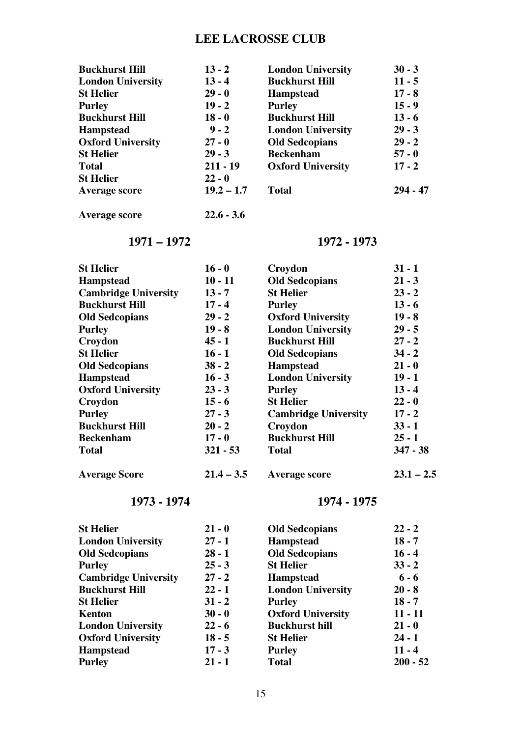| <b>Buckhurst Hill</b>    | $13 - 2$     | <b>London University</b> | $30 - 3$   |
|--------------------------|--------------|--------------------------|------------|
| <b>London University</b> | $13 - 4$     | <b>Buckhurst Hill</b>    | $11 - 5$   |
| <b>St Helier</b>         | $29 - 0$     | <b>Hampstead</b>         | $17 - 8$   |
| <b>Purley</b>            | $19 - 2$     | <b>Purley</b>            | $15 - 9$   |
| <b>Buckhurst Hill</b>    | $18 - 0$     | <b>Buckhurst Hill</b>    | $13 - 6$   |
| Hampstead                | $9 - 2$      | <b>London University</b> | $29 - 3$   |
| <b>Oxford University</b> | $27 - 0$     | <b>Old Sedcopians</b>    | $29 - 2$   |
| <b>St Helier</b>         | $29 - 3$     | <b>Beckenham</b>         | $57 - 0$   |
| <b>Total</b>             | $211 - 19$   | <b>Oxford University</b> | $17 - 2$   |
| <b>St Helier</b>         | $22 - 0$     |                          |            |
| <b>Average score</b>     | $19.2 - 1.7$ | <b>Total</b>             | $294 - 47$ |
| <b>Average score</b>     | $22.6 - 3.6$ |                          |            |

## **1971 – 1972 1972 - 1973**

| <b>St Helier</b>            | $16 - 0$     | Croydon                     | $31 - 1$     |
|-----------------------------|--------------|-----------------------------|--------------|
| <b>Hampstead</b>            | $10 - 11$    | <b>Old Sedcopians</b>       | $21 - 3$     |
| <b>Cambridge University</b> | $13 - 7$     | <b>St Helier</b>            | $23 - 2$     |
| <b>Buckhurst Hill</b>       | $17 - 4$     | <b>Purley</b>               | $13 - 6$     |
| <b>Old Sedcopians</b>       | $29 - 2$     | <b>Oxford University</b>    | $19 - 8$     |
| <b>Purley</b>               | $19 - 8$     | <b>London University</b>    | $29 - 5$     |
| Croydon                     | $45 - 1$     | <b>Buckhurst Hill</b>       | $27 - 2$     |
| <b>St Helier</b>            | $16 - 1$     | <b>Old Sedcopians</b>       | $34 - 2$     |
| <b>Old Sedcopians</b>       | $38 - 2$     | Hampstead                   | $21 - 0$     |
| <b>Hampstead</b>            | $16 - 3$     | <b>London University</b>    | $19 - 1$     |
| <b>Oxford University</b>    | $23 - 3$     | <b>Purley</b>               | $13 - 4$     |
| Croydon                     | $15 - 6$     | <b>St Helier</b>            | $22 - 0$     |
| <b>Purley</b>               | $27 - 3$     | <b>Cambridge University</b> | $17 - 2$     |
| <b>Buckhurst Hill</b>       | $20 - 2$     | Croydon                     | $33 - 1$     |
| <b>Beckenham</b>            | $17 - 0$     | <b>Buckhurst Hill</b>       | $25 - 1$     |
| <b>Total</b>                | $321 - 53$   | <b>Total</b>                | $347 - 38$   |
| <b>Average Score</b>        | $21.4 - 3.5$ | <b>Average score</b>        | $23.1 - 2.5$ |

#### **1973 - 1974 1974 - 1975**

| <b>St Helier</b>            | $21 - 0$ | <b>Old Sedcopians</b>    | $22 - 2$   |
|-----------------------------|----------|--------------------------|------------|
| <b>London University</b>    | $27 - 1$ | <b>Hampstead</b>         | $18 - 7$   |
| <b>Old Sedcopians</b>       | $28 - 1$ | <b>Old Sedcopians</b>    | $16 - 4$   |
| <b>Purley</b>               | $25 - 3$ | <b>St Helier</b>         | $33 - 2$   |
| <b>Cambridge University</b> | $27 - 2$ | <b>Hampstead</b>         | $6 - 6$    |
| <b>Buckhurst Hill</b>       | $22 - 1$ | <b>London University</b> | $20 - 8$   |
| <b>St Helier</b>            | $31 - 2$ | <b>Purley</b>            | $18 - 7$   |
| <b>Kenton</b>               | $30 - 0$ | <b>Oxford University</b> | $11 - 11$  |
| <b>London University</b>    | $22 - 6$ | <b>Buckhurst hill</b>    | $21 - 0$   |
| <b>Oxford University</b>    | $18 - 5$ | <b>St Helier</b>         | $24 - 1$   |
| <b>Hampstead</b>            | $17 - 3$ | <b>Purley</b>            | $11 - 4$   |
| <b>Purley</b>               | $21 - 1$ | <b>Total</b>             | $200 - 52$ |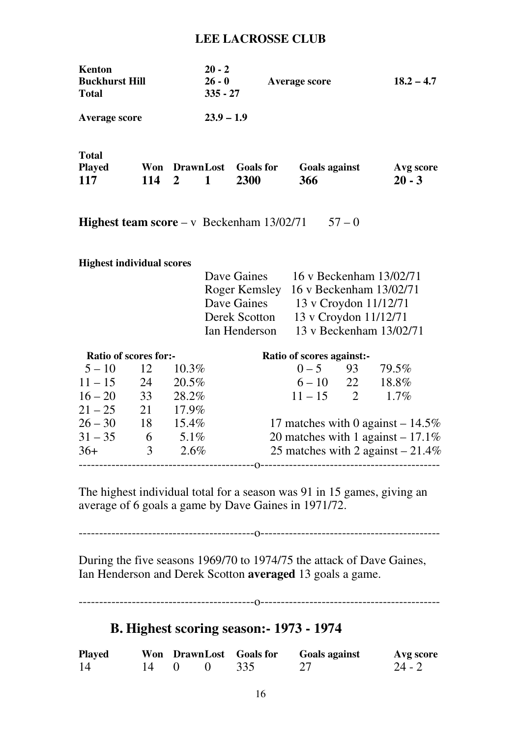| <b>Kenton</b><br><b>Buckhurst Hill</b><br><b>Total</b> |     |                | $20 - 2$<br>$26 - 0$<br>$335 - 27$ |                                        | <b>Average score</b>        |          | $18.2 - 4.7$                                     |
|--------------------------------------------------------|-----|----------------|------------------------------------|----------------------------------------|-----------------------------|----------|--------------------------------------------------|
| <b>Average score</b>                                   |     |                | $23.9 - 1.9$                       |                                        |                             |          |                                                  |
| <b>Total</b><br><b>Played</b><br>117                   | 114 | $\overline{2}$ | $\mathbf{1}$                       | <b>Won DrawnLost Goals for</b><br>2300 | <b>Goals against</b><br>366 |          | Avg score<br>$20 - 3$                            |
| <b>Highest team score</b> – v Beckenham $13/02/71$     |     |                |                                    |                                        |                             | $57 - 0$ |                                                  |
| <b>Highest individual scores</b>                       |     |                |                                    |                                        |                             |          |                                                  |
|                                                        |     |                |                                    | Dave Gaines                            |                             |          | 16 v Beckenham 13/02/71                          |
|                                                        |     |                |                                    |                                        |                             |          | Roger Kemsley 16 v Beckenham 13/02/71            |
|                                                        |     |                |                                    | Derek Scotton                          |                             |          | Dave Gaines 13 v Croydon 11/12/71                |
|                                                        |     |                |                                    | Ian Henderson                          |                             |          | 13 v Croydon 11/12/71<br>13 v Beckenham 13/02/71 |
|                                                        |     |                |                                    |                                        |                             |          |                                                  |
| Ratio of scores for:-                                  |     |                |                                    |                                        | Ratio of scores against:-   |          |                                                  |
| $5 - 10$                                               | 12  | $10.3\%$       |                                    |                                        |                             |          | $0-5$ 93 79.5%                                   |
| $11 - 15$ 24                                           |     | 20.5%          |                                    |                                        | $6 - 10$ 22                 |          | 18.8%                                            |
| $16 - 20$ 33 28.2%                                     |     |                |                                    |                                        | $11 - 15$ 2                 |          | 1.7%                                             |
| $21 - 25$ 21                                           |     | 17.9%          |                                    |                                        |                             |          |                                                  |
| $26 - 30$ 18 15.4%                                     |     |                |                                    |                                        |                             |          | 17 matches with 0 against $-14.5\%$              |
| $31 - 35$ 6 5.1%                                       |     |                |                                    |                                        |                             |          | 20 matches with 1 against $-17.1\%$              |
| $36+$                                                  |     | 3 $2.6\%$      |                                    |                                        |                             |          | 25 matches with 2 against $-21.4\%$              |
|                                                        |     |                |                                    |                                        |                             |          |                                                  |

The highest individual total for a season was 91 in 15 games, giving an average of 6 goals a game by Dave Gaines in 1971/72.

-------------------------------------------o--------------------------------------------

During the five seasons 1969/70 to 1974/75 the attack of Dave Gaines, Ian Henderson and Derek Scotton **averaged** 13 goals a game.

-------------------------------------------o--------------------------------------------

# **B. Highest scoring season:- 1973 - 1974**

| <b>Played</b> |              |  | Won DrawnLost Goals for | <b>Goals against</b> | Avg score |
|---------------|--------------|--|-------------------------|----------------------|-----------|
| 14            | $14 \quad 0$ |  | 335                     |                      | $24 - 2$  |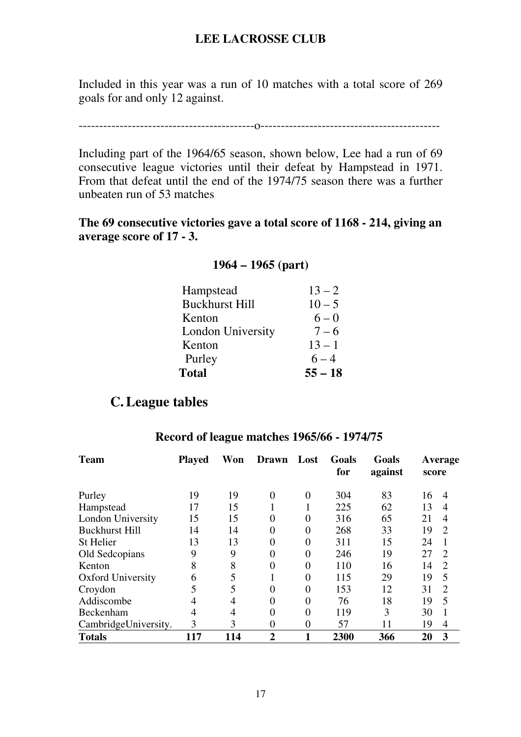Included in this year was a run of 10 matches with a total score of 269 goals for and only 12 against.

-------------------------------------------o--------------------------------------------

Including part of the 1964/65 season, shown below, Lee had a run of 69 consecutive league victories until their defeat by Hampstead in 1971. From that defeat until the end of the 1974/75 season there was a further unbeaten run of 53 matches

**The 69 consecutive victories gave a total score of 1168 - 214, giving an average score of 17 - 3.** 

| Hampstead             | $13 - 2$  |
|-----------------------|-----------|
| <b>Buckhurst Hill</b> | $10 - 5$  |
| Kenton                | $6 - 0$   |
| London University     | $7 - 6$   |
| Kenton                | $13 - 1$  |
| Purley                | $6 - 4$   |
| Total                 | $55 - 18$ |

#### **1964 – 1965 (part)**

## **C.League tables**

Ξ

| <b>Team</b>              | <b>Played</b>  | Won            | <b>Drawn</b>   | Lost     | Goals<br>for | Goals<br>against | Average<br>score     |
|--------------------------|----------------|----------------|----------------|----------|--------------|------------------|----------------------|
| Purley                   | 19             | 19             | 0              | $\theta$ | 304          | 83               | 16<br>$\overline{4}$ |
| Hampstead                | 17             | 15             | 1              |          | 225          | 62               | 13<br>4              |
| London University        | 15             | 15             | 0              | $\theta$ | 316          | 65               | 21<br>$\overline{4}$ |
| <b>Buckhurst Hill</b>    | 14             | 14             | 0              | $\Omega$ | 268          | 33               | $\overline{2}$<br>19 |
| St Helier                | 13             | 13             | 0              | $\theta$ | 311          | 15               | 24                   |
| Old Sedcopians           | 9              | 9              | 0              | $\theta$ | 246          | 19               | $\overline{2}$<br>27 |
| Kenton                   | 8              | 8              | 0              | $\Omega$ | 110          | 16               | $\overline{2}$<br>14 |
| <b>Oxford University</b> | 6              | 5              |                | $\Omega$ | 115          | 29               | 5<br>19              |
| Croydon                  | 5              | 5              | 0              | $\theta$ | 153          | 12               | $\overline{2}$<br>31 |
| Addiscombe               | 4              | 4              | $\overline{0}$ | $\Omega$ | 76           | 18               | 5<br>19              |
| Beckenham                | $\overline{4}$ | $\overline{4}$ | 0              |          | 119          | 3                | 30                   |
| CambridgeUniversity.     | 3              | 3              | 0              | $\theta$ | 57           | 11               | 19<br>4              |
| <b>Totals</b>            | 117            | 114            | $\overline{2}$ |          | 2300         | 366              | 3<br>20              |

#### **Record of league matches 1965/66 - 1974/75**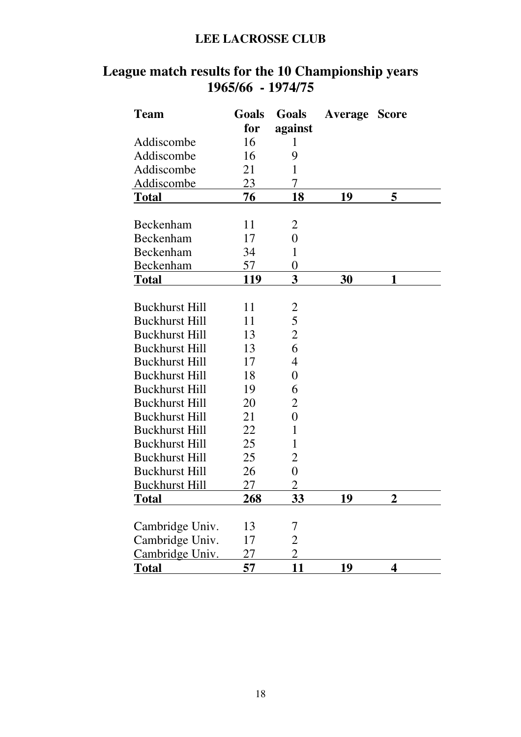# **League match results for the 10 Championship years 1965/66 - 1974/75**

| <b>Team</b>           | Goals | <b>Goals</b>     | <b>Average Score</b> |                             |
|-----------------------|-------|------------------|----------------------|-----------------------------|
|                       | for   | against          |                      |                             |
| Addiscombe            | 16    | 1                |                      |                             |
| Addiscombe            | 16    | 9                |                      |                             |
| Addiscombe            | 21    | $\mathbf{1}$     |                      |                             |
| Addiscombe            | 23    | 7                |                      |                             |
| <b>Total</b>          | 76    | 18               | 19                   | 5                           |
|                       |       |                  |                      |                             |
| Beckenham             | 11    | 2                |                      |                             |
| Beckenham             | 17    | $\overline{0}$   |                      |                             |
| Beckenham             | 34    | 1                |                      |                             |
| <b>Beckenham</b>      | 57    | $\boldsymbol{0}$ |                      |                             |
| Total                 | 119   | 3                | 30                   | 1                           |
|                       |       |                  |                      |                             |
| <b>Buckhurst Hill</b> | 11    | $\overline{c}$   |                      |                             |
| <b>Buckhurst Hill</b> | 11    | 5                |                      |                             |
| <b>Buckhurst Hill</b> | 13    | $\overline{2}$   |                      |                             |
| <b>Buckhurst Hill</b> | 13    | 6                |                      |                             |
| <b>Buckhurst Hill</b> | 17    | 4                |                      |                             |
| <b>Buckhurst Hill</b> | 18    | $\overline{0}$   |                      |                             |
| <b>Buckhurst Hill</b> | 19    | 6                |                      |                             |
| <b>Buckhurst Hill</b> | 20    | 2                |                      |                             |
| <b>Buckhurst Hill</b> | 21    | $\overline{0}$   |                      |                             |
| <b>Buckhurst Hill</b> | 22    | 1                |                      |                             |
| <b>Buckhurst Hill</b> | 25    | $\mathbf{1}$     |                      |                             |
| <b>Buckhurst Hill</b> | 25    | $\overline{2}$   |                      |                             |
| <b>Buckhurst Hill</b> | 26    | $\boldsymbol{0}$ |                      |                             |
| <b>Buckhurst Hill</b> | 27    | $\overline{2}$   |                      |                             |
| Total                 | 268   | 33               | 19                   | $\mathcal{D}_{\mathcal{L}}$ |
|                       |       |                  |                      |                             |
| Cambridge Univ.       | 13    | 7                |                      |                             |
| Cambridge Univ.       | 17    | 2                |                      |                             |
| Cambridge Univ.       | 27    | $\overline{2}$   |                      |                             |
| <b>Total</b>          | 57    | 11               | 19                   | 4                           |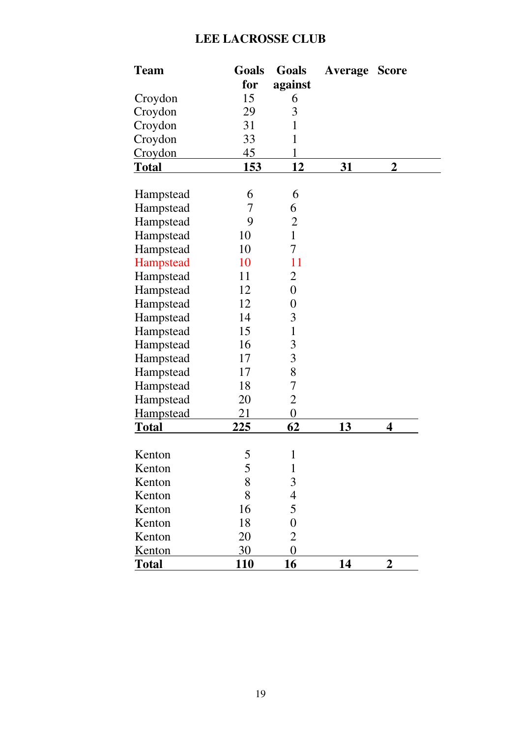| <b>Team</b>      | Goals      | Goals                    | <b>Average Score</b> |                |
|------------------|------------|--------------------------|----------------------|----------------|
|                  | for        | against                  |                      |                |
| Croydon          | 15         | 6                        |                      |                |
| Croydon          | 29         | 3                        |                      |                |
| Croydon          | 31         | 1                        |                      |                |
| Croydon          | 33         | 1                        |                      |                |
| Croydon          | 45         |                          |                      |                |
| <b>Total</b>     | <u>153</u> | 12                       | 31                   | $\overline{2}$ |
|                  |            |                          |                      |                |
| Hampstead        | 6          | 6                        |                      |                |
| Hampstead        | 7          | 6                        |                      |                |
| Hampstead        | 9          | $\overline{2}$           |                      |                |
| Hampstead        | 10         | $\mathbf{1}$             |                      |                |
| Hampstead        | 10         | 7                        |                      |                |
| Hampstead        | 10         | 11                       |                      |                |
| Hampstead        | 11         | $\overline{2}$           |                      |                |
| Hampstead        | 12         | $\overline{0}$           |                      |                |
| Hampstead        | 12         | 0                        |                      |                |
| Hampstead        | 14         | 3                        |                      |                |
| Hampstead        | 15         | $\mathbf{1}$             |                      |                |
| Hampstead        | 16         | 3                        |                      |                |
| Hampstead        | 17         | $\overline{3}$           |                      |                |
| Hampstead        | 17         | 8                        |                      |                |
| Hampstead        | 18         | 7                        |                      |                |
| Hampstead        | 20         | $\overline{2}$           |                      |                |
| <b>Hampstead</b> | 21         | $\overline{0}$           |                      |                |
| <b>Total</b>     | 225        | 62                       | 13                   | 4              |
|                  |            |                          |                      |                |
| Kenton           | 5          | 1                        |                      |                |
| Kenton           | 5          | $\mathbf{1}$             |                      |                |
| Kenton           | 8          | $\overline{3}$           |                      |                |
| Kenton           | 8          | $\overline{\mathcal{A}}$ |                      |                |
| Kenton           | 16         | 5                        |                      |                |
| Kenton           | 18         | $\overline{0}$           |                      |                |
| Kenton           | 20         | $\overline{2}$           |                      |                |
| <b>Kenton</b>    | 30         | $\overline{0}$           |                      |                |
| <b>Total</b>     | <u>110</u> | <u>16</u>                | 14                   | $\overline{2}$ |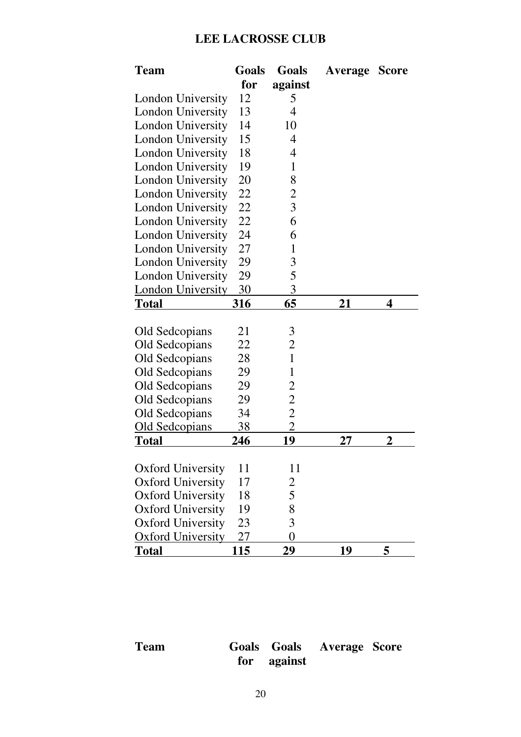| <b>Team</b>              | <b>Goals</b> | Goals          | <b>Average</b> | <b>Score</b>   |  |
|--------------------------|--------------|----------------|----------------|----------------|--|
|                          | for          | against        |                |                |  |
| London University        | 12           | 5              |                |                |  |
| London University        | 13           | 4              |                |                |  |
| <b>London University</b> | 14           | 10             |                |                |  |
| <b>London University</b> | 15           | 4              |                |                |  |
| <b>London University</b> | 18           | 4              |                |                |  |
| London University        | 19           | $\mathbf{1}$   |                |                |  |
| <b>London University</b> | 20           | 8              |                |                |  |
| <b>London University</b> | 22           | $\overline{c}$ |                |                |  |
| <b>London University</b> | 22           | $\overline{3}$ |                |                |  |
| <b>London University</b> | 22           | 6              |                |                |  |
| London University        | 24           | 6              |                |                |  |
| <b>London University</b> | 27           | 1              |                |                |  |
| <b>London University</b> | 29           | 3              |                |                |  |
| <b>London University</b> | 29           | 5              |                |                |  |
| <b>London University</b> | 30           | 3              |                |                |  |
| <b>Total</b>             | 316          | 65             | 21             | 4              |  |
|                          |              |                |                |                |  |
| Old Sedcopians           | 21           | 3              |                |                |  |
| Old Sedcopians           | 22           | $\overline{2}$ |                |                |  |
| Old Sedcopians           | 28           | $\overline{1}$ |                |                |  |
| Old Sedcopians           | 29           | $\mathbf{1}$   |                |                |  |
| Old Sedcopians           | 29           | $\overline{2}$ |                |                |  |
| Old Sedcopians           | 29           | $\overline{2}$ |                |                |  |
| Old Sedcopians           | 34           | $\overline{2}$ |                |                |  |
| Old Sedcopians           | <u>38</u>    | $\overline{2}$ |                |                |  |
| <b>Total</b>             | 246          | 19             | 27             | $\overline{2}$ |  |
|                          |              |                |                |                |  |
| <b>Oxford University</b> | 11           | 11             |                |                |  |
| <b>Oxford University</b> | 17           | $\overline{2}$ |                |                |  |
| <b>Oxford University</b> | 18           | 5              |                |                |  |
| <b>Oxford University</b> | 19           | 8              |                |                |  |
| <b>Oxford University</b> | 23           | $\overline{3}$ |                |                |  |
| <b>Oxford University</b> | 27           | $\overline{0}$ |                |                |  |
| <u>Total</u>             | 115          | 29             | 19             | 5              |  |

# Team Goals Goals Average Score<br>for against  **for against**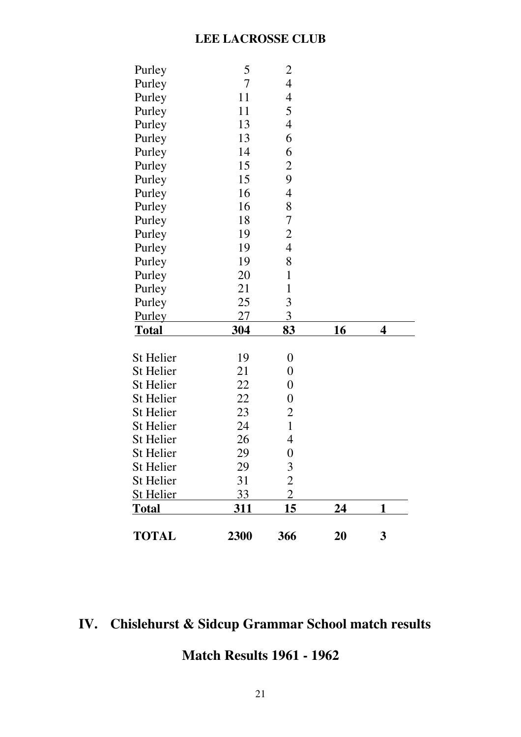| <b>Total</b>     | 311            | 15                       | 24        | $\mathbf{1}$ |
|------------------|----------------|--------------------------|-----------|--------------|
| <b>St Helier</b> | 33             | $\overline{2}$           |           |              |
| St Helier        | 31             | $\overline{2}$           |           |              |
| St Helier        | 29             | 3                        |           |              |
| St Helier        | 29             | $\boldsymbol{0}$         |           |              |
| St Helier        | 26             | $\overline{4}$           |           |              |
| St Helier        | 24             | $\mathbf{1}$             |           |              |
| St Helier        | 23             | $\overline{2}$           |           |              |
| St Helier        | 22             | $\boldsymbol{0}$         |           |              |
| St Helier        | 22             | $\boldsymbol{0}$         |           |              |
| St Helier        | 21             | $\overline{0}$           |           |              |
| St Helier        | 19             | $\boldsymbol{0}$         |           |              |
| <u>Total</u>     | <b>304</b>     | <u>83</u>                | <b>16</b> | 4            |
| <b>Purley</b>    | 27             | 3                        |           |              |
| Purley           | 25             | 3                        |           |              |
| Purley           | 21             | $\mathbf{1}$             |           |              |
| Purley           | 20             | $\mathbf{1}$             |           |              |
| Purley           | 19             | 8                        |           |              |
| Purley           | 19             | $\overline{4}$           |           |              |
| Purley           | 19             | $\overline{2}$           |           |              |
| Purley           | 18             | 7                        |           |              |
| Purley           | 16             | 8                        |           |              |
| Purley           | 16             | $\overline{\mathcal{A}}$ |           |              |
| Purley           | 15             | 9                        |           |              |
| Purley           | 15             | $\overline{2}$           |           |              |
| Purley           | 14             | 6                        |           |              |
| Purley           | 13             | 6                        |           |              |
| Purley           | 13             | $\overline{4}$           |           |              |
| Purley           | 11             | 5                        |           |              |
| Purley           | 11             | $\overline{\mathcal{A}}$ |           |              |
| Purley<br>Purley | $\overline{7}$ | $\overline{4}$           |           |              |
|                  | 5              | $\overline{2}$           |           |              |

# **IV. Chislehurst & Sidcup Grammar School match results**

# **Match Results 1961 - 1962**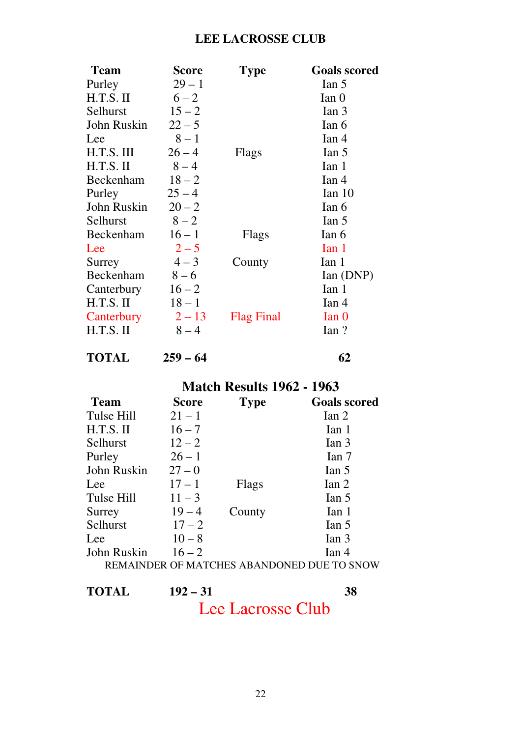| Team             | <b>Score</b> | <b>Type</b>       | <b>Goals scored</b> |
|------------------|--------------|-------------------|---------------------|
| Purley           | $29 - 1$     |                   | $\text{Ian } 5$     |
| H.T.S. II        | $6 - 2$      |                   | $\text{Ian} 0$      |
| Selhurst         | $15 - 2$     |                   | Ian <sub>3</sub>    |
| John Ruskin      | $22 - 5$     |                   | $\text{Tan } 6$     |
| Lee              | $8 - 1$      |                   | Ian 4               |
| H.T.S. III       | $26 - 4$     | Flags             | $\text{Ian } 5$     |
| $H.T.S.$ II      | $8 - 4$      |                   | Ian 1               |
| <b>Beckenham</b> | $18 - 2$     |                   | Ian 4               |
| Purley           | $25 - 4$     |                   | Ian 10              |
| John Ruskin      | $20 - 2$     |                   | $\text{Tan } 6$     |
| Selhurst         | $8 - 2$      |                   | $\text{Ian } 5$     |
| Beckenham        | $16 - 1$     | Flags             | $\text{Ian } 6$     |
| Lee              | $2 - 5$      |                   | Ian 1               |
| Surrey           | $4 - 3$      | County            | Ian 1               |
| Beckenham        | $8 - 6$      |                   | Ian(DNP)            |
| Canterbury       | $16 - 2$     |                   | Ian 1               |
| $H.T.S.$ II      | $18 - 1$     |                   | Ian 4               |
| Canterbury       | $2 - 13$     | <b>Flag Final</b> | $\text{Ian} 0$      |
| H.T.S. II        | $8 - 4$      |                   | Ian?                |
|                  |              |                   |                     |

**TOTAL 259 – 64 62** 

**Match Results 1962 - 1963** 

| <b>Team</b>                                | <b>Score</b> | <b>Type</b> | <b>Goals scored</b> |  |  |
|--------------------------------------------|--------------|-------------|---------------------|--|--|
| Tulse Hill                                 | $21 - 1$     |             | $\text{Ian } 2$     |  |  |
| H.T.S. II                                  | $16 - 7$     |             | Ian 1               |  |  |
| Selhurst                                   | $12 - 2$     |             | Ian <sub>3</sub>    |  |  |
| Purley                                     | $26 - 1$     |             | Ian 7               |  |  |
| John Ruskin                                | $27 - 0$     |             | $I$ an 5            |  |  |
| Lee                                        | $17 - 1$     | Flags       | $\text{Ian } 2$     |  |  |
| Tulse Hill                                 | $11 - 3$     |             | $\text{Ian } 5$     |  |  |
| Surrey                                     | $19 - 4$     | County      | Ian 1               |  |  |
| Selhurst                                   | $17 - 2$     |             | Ian 5               |  |  |
| Lee                                        | $10 - 8$     |             | Ian <sub>3</sub>    |  |  |
| John Ruskin                                | $16 - 2$     |             | $I$ an 4            |  |  |
| REMAINDER OF MATCHES ABANDONED DUE TO SNOW |              |             |                     |  |  |

**TOTAL 192 – 31 38**  Lee Lacrosse Club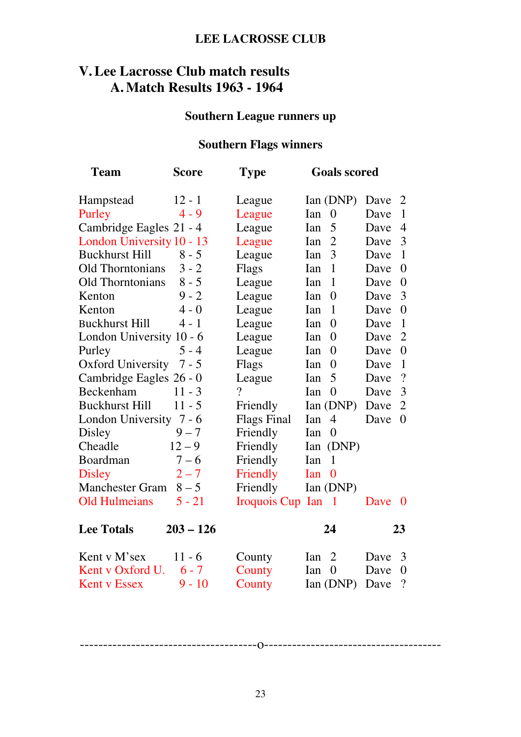# **V.Lee Lacrosse Club match results A.Match Results 1963 - 1964**

## **Southern League runners up**

# **Southern Flags winners**

| <b>Team</b>               | <b>Score</b> | <b>Type</b>              | <b>Goals scored</b>     |      |                |
|---------------------------|--------------|--------------------------|-------------------------|------|----------------|
| Hampstead                 | $12 - 1$     | League                   | Ian (DNP)               | Dave | 2              |
| Purley                    | $4 - 9$      | League                   | Ian<br>$\overline{0}$   | Dave | 1              |
| Cambridge Eagles 21 - 4   |              | League                   | 5<br>Ian                | Dave | 4              |
| London University 10 - 13 |              | League                   | $\overline{2}$<br>Ian   | Dave | 3              |
| <b>Buckhurst Hill</b>     | $8 - 5$      | League                   | 3<br>Ian                | Dave | 1              |
| Old Thorntonians          | $3 - 2$      | Flags                    | 1<br>Ian                | Dave | $\overline{0}$ |
| <b>Old Thorntonians</b>   | $8 - 5$      | League                   | 1<br><b>I</b> an        | Dave | $\theta$       |
| Kenton                    | $9 - 2$      | League                   | Ian<br>$\theta$         | Dave | 3              |
| Kenton                    | $4 - 0$      | League                   | 1<br>Ian                | Dave | $\overline{0}$ |
| <b>Buckhurst Hill</b>     | $4 - 1$      | League                   | <b>I</b> an<br>$\Omega$ | Dave | 1              |
| London University 10 - 6  |              | League                   | Ian<br>$\theta$         | Dave | $\overline{2}$ |
| Purley                    | $5 - 4$      | League                   | $\theta$<br>Ian         | Dave | $\overline{0}$ |
| <b>Oxford University</b>  | $7 - 5$      | Flags                    | <b>I</b> an<br>$\theta$ | Dave | 1              |
| Cambridge Eagles 26 - 0   |              | League                   | 5<br>Ian                | Dave | $\overline{?}$ |
| Beckenham                 | $11 - 3$     | $\overline{\mathcal{L}}$ | Ian<br>$\theta$         | Dave | 3              |
| <b>Buckhurst Hill</b>     | $11 - 5$     | Friendly                 | Ian (DNP)               | Dave | $\overline{2}$ |
| London University 7 - 6   |              | <b>Flags Final</b>       | $\overline{4}$<br>Ian   | Dave | $\overline{0}$ |
| Disley                    | $9 - 7$      | Friendly                 | <b>I</b> an<br>$\theta$ |      |                |
| Cheadle                   | $12 - 9$     | Friendly                 | Ian (DNP)               |      |                |
| Boardman                  | $7 - 6$      | Friendly                 | $\mathbf{1}$<br>Ian     |      |                |
| <b>Disley</b>             | $2 - 7$      | Friendly                 | Ian<br>$\theta$         |      |                |
| <b>Manchester Gram</b>    | $8 - 5$      | Friendly                 | Ian (DNP)               |      |                |
| <b>Old Hulmeians</b>      | $5 - 21$     | Iroquois Cup Ian         | $\overline{1}$          | Dave | $\theta$       |
| <b>Lee Totals</b>         | $203 - 126$  |                          | 24                      |      | 23             |

| Kent v M'sex             | $11 - 6$ | County | $\text{lan}$ 2                  | Dave 3 |  |
|--------------------------|----------|--------|---------------------------------|--------|--|
| Kent v Oxford U. $6 - 7$ |          | County | $\text{lan}$ 0                  | Dave 0 |  |
| Kent v Essex             | $9 - 10$ | County | $\text{Ian}(\text{DNP})$ Dave ? |        |  |

--------------------------------------o--------------------------------------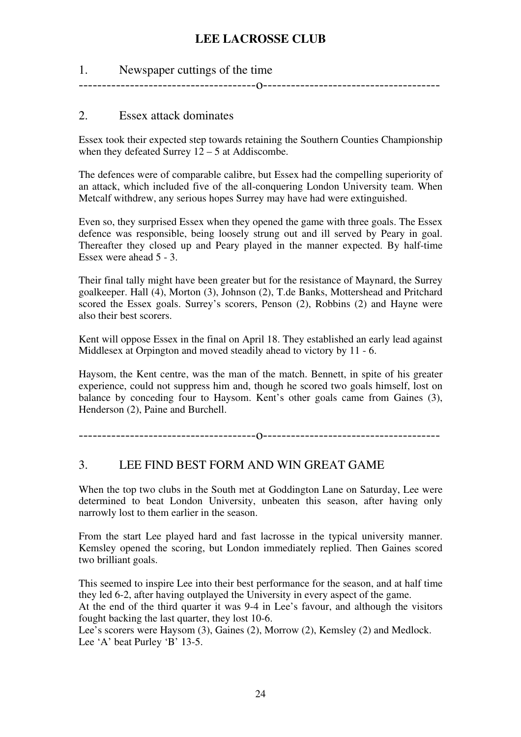### 1. Newspaper cuttings of the time

--------------------------------------o--------------------------------------

#### 2. Essex attack dominates

Essex took their expected step towards retaining the Southern Counties Championship when they defeated Surrey  $12 - 5$  at Addiscombe.

The defences were of comparable calibre, but Essex had the compelling superiority of an attack, which included five of the all-conquering London University team. When Metcalf withdrew, any serious hopes Surrey may have had were extinguished.

Even so, they surprised Essex when they opened the game with three goals. The Essex defence was responsible, being loosely strung out and ill served by Peary in goal. Thereafter they closed up and Peary played in the manner expected. By half-time Essex were ahead 5 - 3.

Their final tally might have been greater but for the resistance of Maynard, the Surrey goalkeeper. Hall (4), Morton (3), Johnson (2), T.de Banks, Mottershead and Pritchard scored the Essex goals. Surrey's scorers, Penson (2), Robbins (2) and Hayne were also their best scorers.

Kent will oppose Essex in the final on April 18. They established an early lead against Middlesex at Orpington and moved steadily ahead to victory by 11 - 6.

Haysom, the Kent centre, was the man of the match. Bennett, in spite of his greater experience, could not suppress him and, though he scored two goals himself, lost on balance by conceding four to Haysom. Kent's other goals came from Gaines (3), Henderson (2), Paine and Burchell.

--------------------------------------o--------------------------------------

#### 3. LEE FIND BEST FORM AND WIN GREAT GAME

When the top two clubs in the South met at Goddington Lane on Saturday, Lee were determined to beat London University, unbeaten this season, after having only narrowly lost to them earlier in the season.

From the start Lee played hard and fast lacrosse in the typical university manner. Kemsley opened the scoring, but London immediately replied. Then Gaines scored two brilliant goals.

This seemed to inspire Lee into their best performance for the season, and at half time they led 6-2, after having outplayed the University in every aspect of the game.

At the end of the third quarter it was 9-4 in Lee's favour, and although the visitors fought backing the last quarter, they lost 10-6.

Lee's scorers were Haysom (3), Gaines (2), Morrow (2), Kemsley (2) and Medlock. Lee 'A' beat Purley 'B' 13-5.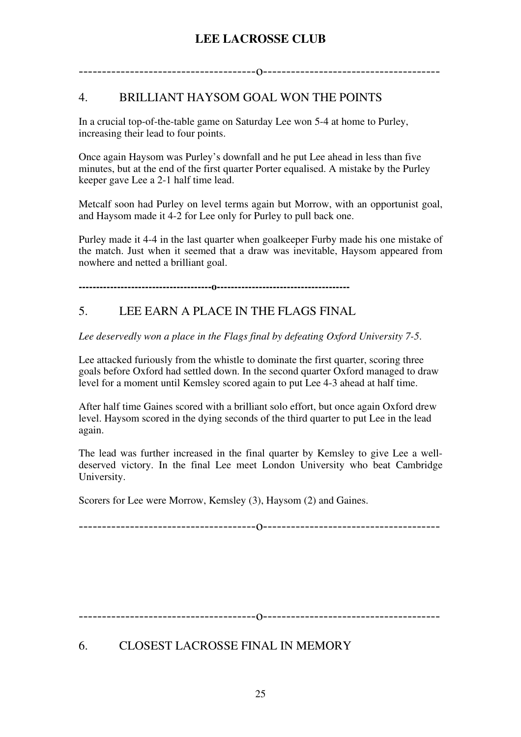--------------------------------------o--------------------------------------

#### 4. BRILLIANT HAYSOM GOAL WON THE POINTS

In a crucial top-of-the-table game on Saturday Lee won 5-4 at home to Purley, increasing their lead to four points.

Once again Haysom was Purley's downfall and he put Lee ahead in less than five minutes, but at the end of the first quarter Porter equalised. A mistake by the Purley keeper gave Lee a 2-1 half time lead.

Metcalf soon had Purley on level terms again but Morrow, with an opportunist goal, and Haysom made it 4-2 for Lee only for Purley to pull back one.

Purley made it 4-4 in the last quarter when goalkeeper Furby made his one mistake of the match. Just when it seemed that a draw was inevitable, Haysom appeared from nowhere and netted a brilliant goal.

**--------------------------------------o--------------------------------------** 

## 5. LEE EARN A PLACE IN THE FLAGS FINAL

*Lee deservedly won a place in the Flags final by defeating Oxford University 7-5*.

Lee attacked furiously from the whistle to dominate the first quarter, scoring three goals before Oxford had settled down. In the second quarter Oxford managed to draw level for a moment until Kemsley scored again to put Lee 4-3 ahead at half time.

After half time Gaines scored with a brilliant solo effort, but once again Oxford drew level. Haysom scored in the dying seconds of the third quarter to put Lee in the lead again.

The lead was further increased in the final quarter by Kemsley to give Lee a welldeserved victory. In the final Lee meet London University who beat Cambridge University.

Scorers for Lee were Morrow, Kemsley (3), Haysom (2) and Gaines.

--------------------------------------o--------------------------------------

--------------------------------------o--------------------------------------

## 6. CLOSEST LACROSSE FINAL IN MEMORY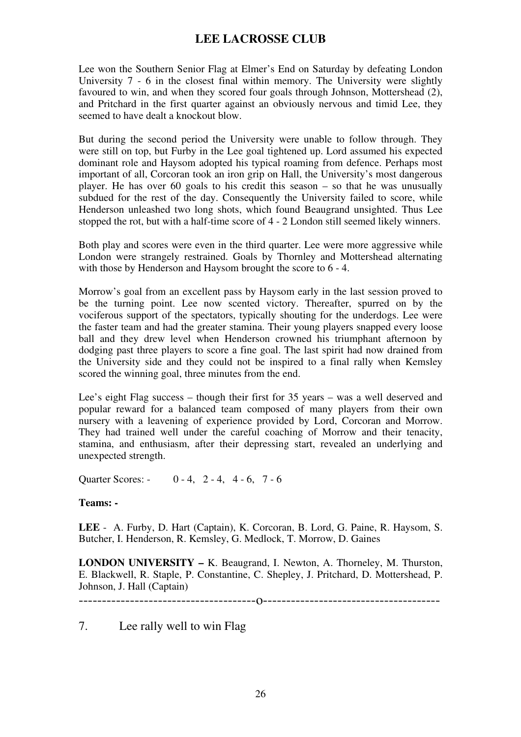Lee won the Southern Senior Flag at Elmer's End on Saturday by defeating London University 7 - 6 in the closest final within memory. The University were slightly favoured to win, and when they scored four goals through Johnson, Mottershead (2), and Pritchard in the first quarter against an obviously nervous and timid Lee, they seemed to have dealt a knockout blow.

But during the second period the University were unable to follow through. They were still on top, but Furby in the Lee goal tightened up. Lord assumed his expected dominant role and Haysom adopted his typical roaming from defence. Perhaps most important of all, Corcoran took an iron grip on Hall, the University's most dangerous player. He has over 60 goals to his credit this season – so that he was unusually subdued for the rest of the day. Consequently the University failed to score, while Henderson unleashed two long shots, which found Beaugrand unsighted. Thus Lee stopped the rot, but with a half-time score of 4 - 2 London still seemed likely winners.

Both play and scores were even in the third quarter. Lee were more aggressive while London were strangely restrained. Goals by Thornley and Mottershead alternating with those by Henderson and Haysom brought the score to  $6 - 4$ .

Morrow's goal from an excellent pass by Haysom early in the last session proved to be the turning point. Lee now scented victory. Thereafter, spurred on by the vociferous support of the spectators, typically shouting for the underdogs. Lee were the faster team and had the greater stamina. Their young players snapped every loose ball and they drew level when Henderson crowned his triumphant afternoon by dodging past three players to score a fine goal. The last spirit had now drained from the University side and they could not be inspired to a final rally when Kemsley scored the winning goal, three minutes from the end.

Lee's eight Flag success – though their first for 35 years – was a well deserved and popular reward for a balanced team composed of many players from their own nursery with a leavening of experience provided by Lord, Corcoran and Morrow. They had trained well under the careful coaching of Morrow and their tenacity, stamina, and enthusiasm, after their depressing start, revealed an underlying and unexpected strength.

Quarter Scores: - 0 - 4, 2 - 4, 4 - 6, 7 - 6

**Teams: -** 

**LEE** - A. Furby, D. Hart (Captain), K. Corcoran, B. Lord, G. Paine, R. Haysom, S. Butcher, I. Henderson, R. Kemsley, G. Medlock, T. Morrow, D. Gaines

**LONDON UNIVERSITY –** K. Beaugrand, I. Newton, A. Thorneley, M. Thurston, E. Blackwell, R. Staple, P. Constantine, C. Shepley, J. Pritchard, D. Mottershead, P. Johnson, J. Hall (Captain)

--------------------------------------o--------------------------------------

7. Lee rally well to win Flag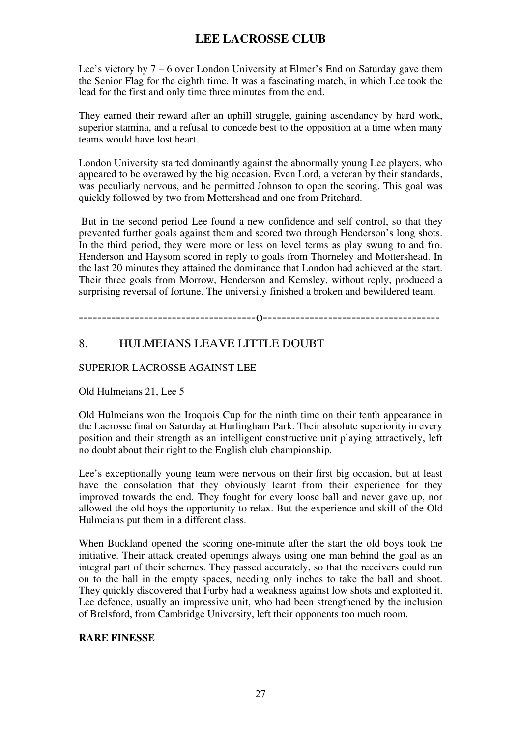Lee's victory by 7 – 6 over London University at Elmer's End on Saturday gave them the Senior Flag for the eighth time. It was a fascinating match, in which Lee took the lead for the first and only time three minutes from the end.

They earned their reward after an uphill struggle, gaining ascendancy by hard work, superior stamina, and a refusal to concede best to the opposition at a time when many teams would have lost heart.

London University started dominantly against the abnormally young Lee players, who appeared to be overawed by the big occasion. Even Lord, a veteran by their standards, was peculiarly nervous, and he permitted Johnson to open the scoring. This goal was quickly followed by two from Mottershead and one from Pritchard.

 But in the second period Lee found a new confidence and self control, so that they prevented further goals against them and scored two through Henderson's long shots. In the third period, they were more or less on level terms as play swung to and fro. Henderson and Haysom scored in reply to goals from Thorneley and Mottershead. In the last 20 minutes they attained the dominance that London had achieved at the start. Their three goals from Morrow, Henderson and Kemsley, without reply, produced a surprising reversal of fortune. The university finished a broken and bewildered team.

--------------------------------------o--------------------------------------

#### 8. HULMEIANS LEAVE LITTLE DOUBT

SUPERIOR LACROSSE AGAINST LEE

Old Hulmeians 21, Lee 5

Old Hulmeians won the Iroquois Cup for the ninth time on their tenth appearance in the Lacrosse final on Saturday at Hurlingham Park. Their absolute superiority in every position and their strength as an intelligent constructive unit playing attractively, left no doubt about their right to the English club championship.

Lee's exceptionally young team were nervous on their first big occasion, but at least have the consolation that they obviously learnt from their experience for they improved towards the end. They fought for every loose ball and never gave up, nor allowed the old boys the opportunity to relax. But the experience and skill of the Old Hulmeians put them in a different class.

When Buckland opened the scoring one-minute after the start the old boys took the initiative. Their attack created openings always using one man behind the goal as an integral part of their schemes. They passed accurately, so that the receivers could run on to the ball in the empty spaces, needing only inches to take the ball and shoot. They quickly discovered that Furby had a weakness against low shots and exploited it. Lee defence, usually an impressive unit, who had been strengthened by the inclusion of Brelsford, from Cambridge University, left their opponents too much room.

#### **RARE FINESSE**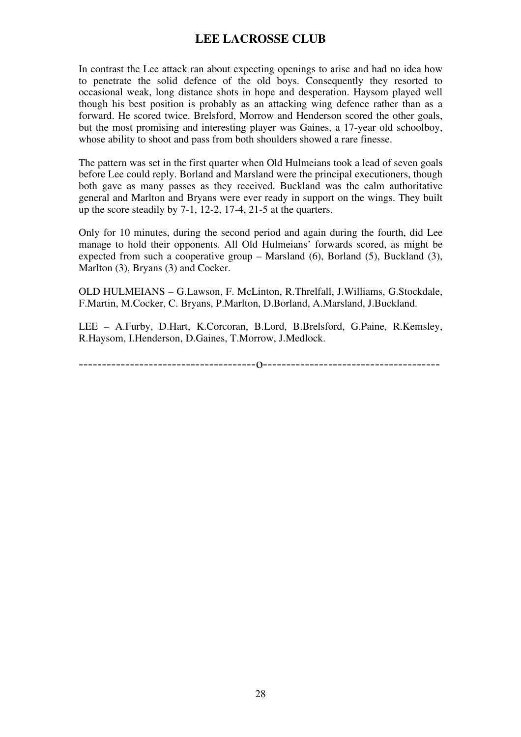In contrast the Lee attack ran about expecting openings to arise and had no idea how to penetrate the solid defence of the old boys. Consequently they resorted to occasional weak, long distance shots in hope and desperation. Haysom played well though his best position is probably as an attacking wing defence rather than as a forward. He scored twice. Brelsford, Morrow and Henderson scored the other goals, but the most promising and interesting player was Gaines, a 17-year old schoolboy, whose ability to shoot and pass from both shoulders showed a rare finesse.

The pattern was set in the first quarter when Old Hulmeians took a lead of seven goals before Lee could reply. Borland and Marsland were the principal executioners, though both gave as many passes as they received. Buckland was the calm authoritative general and Marlton and Bryans were ever ready in support on the wings. They built up the score steadily by 7-1, 12-2, 17-4, 21-5 at the quarters.

Only for 10 minutes, during the second period and again during the fourth, did Lee manage to hold their opponents. All Old Hulmeians' forwards scored, as might be expected from such a cooperative group – Marsland (6), Borland (5), Buckland (3), Marlton (3), Bryans (3) and Cocker.

OLD HULMEIANS – G.Lawson, F. McLinton, R.Threlfall, J.Williams, G.Stockdale, F.Martin, M.Cocker, C. Bryans, P.Marlton, D.Borland, A.Marsland, J.Buckland.

LEE – A.Furby, D.Hart, K.Corcoran, B.Lord, B.Brelsford, G.Paine, R.Kemsley, R.Haysom, I.Henderson, D.Gaines, T.Morrow, J.Medlock.

--------------------------------------o--------------------------------------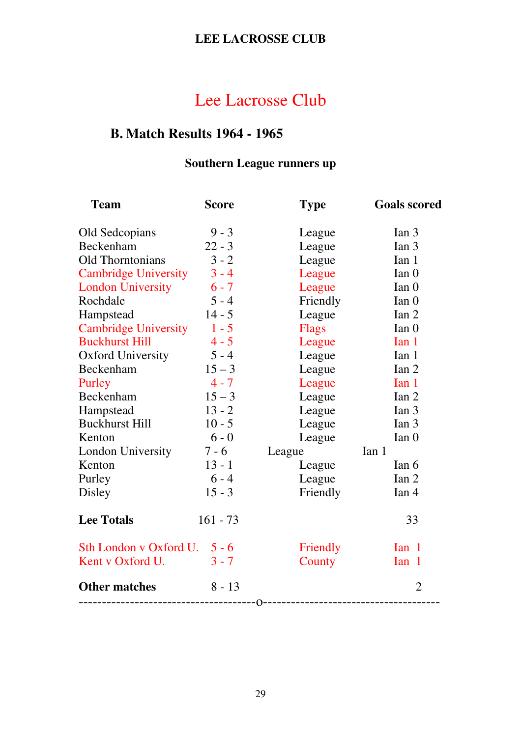# Lee Lacrosse Club

# **B. Match Results 1964 - 1965**

# **Southern League runners up**

| Team                         | <b>Score</b> | <b>Type</b> | <b>Goals scored</b> |
|------------------------------|--------------|-------------|---------------------|
| Old Sedcopians               | $9 - 3$      | League      | Ian 3               |
| Beckenham                    | $22 - 3$     | League      | Ian 3               |
| <b>Old Thorntonians</b>      | $3 - 2$      | League      | Ian 1               |
| Cambridge University 3 - 4   |              | League      | $I$ an $0$          |
| <b>London University</b>     | $6 - 7$      | League      | $I$ an $0$          |
| Rochdale                     | $5 - 4$      | Friendly    | $I$ an $0$          |
| Hampstead                    | $14 - 5$     | League      | Ian 2               |
| Cambridge University 1 - 5   |              | Flags       | $I$ an $0$          |
| <b>Buckhurst Hill</b>        | $4 - 5$      | League      | Ian 1               |
| Oxford University 5 - 4      |              | League      | Ian 1               |
| Beckenham                    | $15 - 3$     | League      | Ian 2               |
| Purley                       | $4 - 7$      | League      | Ian 1               |
| Beckenham                    | $15 - 3$     | League      | Ian 2               |
| Hampstead                    | $13 - 2$     | League      | Ian 3               |
| <b>Buckhurst Hill</b>        | $10 - 5$     | League      | Ian 3               |
| Kenton                       | $6 - 0$      | League      | Ian <sub>0</sub>    |
| London University            | $7 - 6$      | League      | Ian 1               |
| Kenton                       | $13 - 1$     | League      | Ian 6               |
| Purley                       | $6 - 4$      | League      | Ian 2               |
| Disley                       | $15 - 3$     | Friendly    | Ian 4               |
| <b>Lee Totals</b>            | $161 - 73$   |             | 33                  |
| Sth London v Oxford U. 5 - 6 |              | Friendly    | $I$ an 1            |
| Kent v Oxford U.             | $3 - 7$      | County      | $I$ an 1            |
| <b>Other matches</b>         | $8 - 13$     |             | $\overline{2}$      |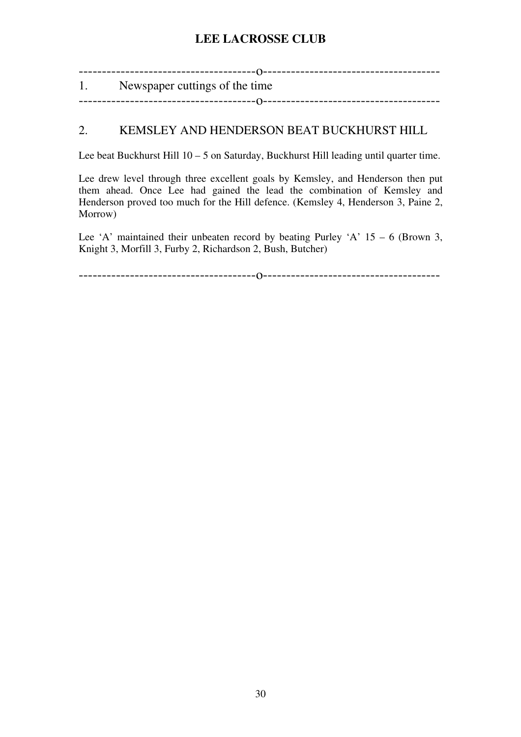| 1. Newspaper cuttings of the time |
|-----------------------------------|
|                                   |
|                                   |

#### 2. KEMSLEY AND HENDERSON BEAT BUCKHURST HILL

Lee beat Buckhurst Hill 10 – 5 on Saturday, Buckhurst Hill leading until quarter time.

Lee drew level through three excellent goals by Kemsley, and Henderson then put them ahead. Once Lee had gained the lead the combination of Kemsley and Henderson proved too much for the Hill defence. (Kemsley 4, Henderson 3, Paine 2, Morrow)

Lee 'A' maintained their unbeaten record by beating Purley 'A'  $15 - 6$  (Brown 3, Knight 3, Morfill 3, Furby 2, Richardson 2, Bush, Butcher)

--------------------------------------o--------------------------------------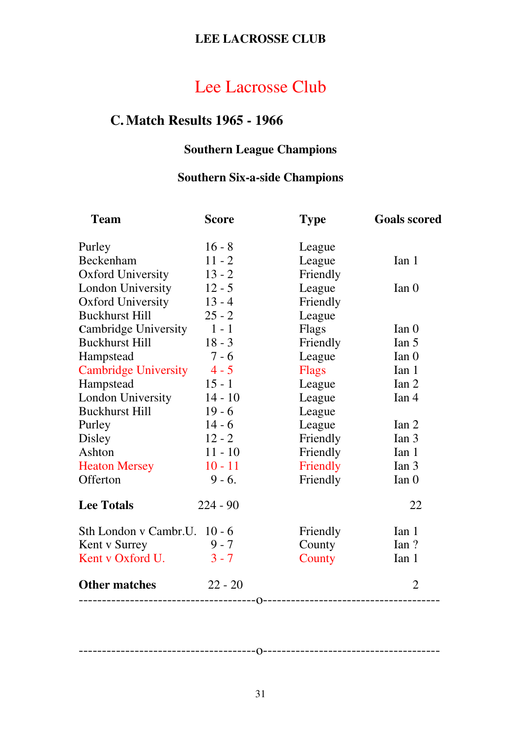# Lee Lacrosse Club

# **C.Match Results 1965 - 1966**

## **Southern League Champions**

## **Southern Six-a-side Champions**

| Team                         | <b>Score</b> | Type     | <b>Goals scored</b> |
|------------------------------|--------------|----------|---------------------|
| Purley                       | $16 - 8$     | League   |                     |
| Beckenham                    | $11 - 2$     | League   | Ian <sub>1</sub>    |
| <b>Oxford University</b>     | $13 - 2$     | Friendly |                     |
| London University            | $12 - 5$     | League   | Ian <sub>0</sub>    |
| <b>Oxford University</b>     | $13 - 4$     | Friendly |                     |
| <b>Buckhurst Hill</b>        | $25 - 2$     | League   |                     |
| <b>Cambridge University</b>  | $1 - 1$      | Flags    | $I$ an $0$          |
| <b>Buckhurst Hill</b>        | $18 - 3$     | Friendly | Ian 5               |
| Hampstead                    | $7 - 6$      | League   | $I$ an $0$          |
| Cambridge University 4 - 5   |              | Flags    | Ian 1               |
| Hampstead                    | $15 - 1$     | League   | Ian 2               |
| <b>London University</b>     | $14 - 10$    | League   | Ian 4               |
| <b>Buckhurst Hill</b>        | $19 - 6$     | League   |                     |
| Purley                       | $14 - 6$     | League   | Ian 2               |
| Disley                       | $12 - 2$     | Friendly | Ian 3               |
| Ashton                       | $11 - 10$    | Friendly | Ian 1               |
| <b>Heaton Mersey</b>         | $10 - 11$    | Friendly | Ian 3               |
| Offerton                     | $9 - 6.$     | Friendly | $I$ an $0$          |
| <b>Lee Totals</b>            | $224 - 90$   |          | 22                  |
| Sth London v Cambr.U. 10 - 6 |              | Friendly | Ian 1               |
| Kent v Surrey                | $9 - 7$      | County   | Ian ?               |
| Kent v Oxford U. $3 - 7$     |              | County   | Ian <sub>1</sub>    |
| Other matches $22 - 20$      |              |          | 2                   |
|                              |              |          |                     |

--------------------------------------o--------------------------------------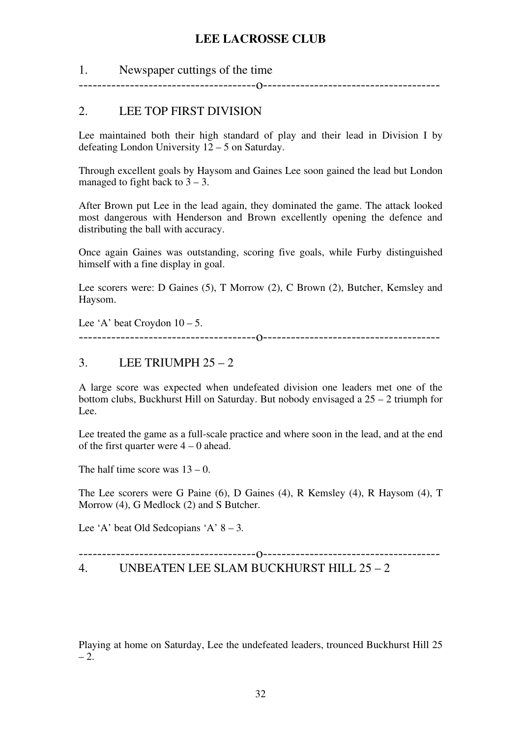#### 1. Newspaper cuttings of the time

--------------------------------------o--------------------------------------

#### 2. LEE TOP FIRST DIVISION

Lee maintained both their high standard of play and their lead in Division I by defeating London University 12 – 5 on Saturday.

Through excellent goals by Haysom and Gaines Lee soon gained the lead but London managed to fight back to  $3 - 3$ .

After Brown put Lee in the lead again, they dominated the game. The attack looked most dangerous with Henderson and Brown excellently opening the defence and distributing the ball with accuracy.

Once again Gaines was outstanding, scoring five goals, while Furby distinguished himself with a fine display in goal.

Lee scorers were: D Gaines (5), T Morrow (2), C Brown (2), Butcher, Kemsley and Haysom.

Lee 'A' beat Croydon  $10 - 5$ .

--------------------------------------o--------------------------------------

#### 3. LEE TRIUMPH  $25 - 2$

A large score was expected when undefeated division one leaders met one of the bottom clubs, Buckhurst Hill on Saturday. But nobody envisaged a 25 – 2 triumph for Lee.

Lee treated the game as a full-scale practice and where soon in the lead, and at the end of the first quarter were  $4 - 0$  ahead.

The half time score was  $13 - 0$ .

The Lee scorers were G Paine (6), D Gaines (4), R Kemsley (4), R Haysom (4), T Morrow (4), G Medlock (2) and S Butcher.

Lee 'A' beat Old Sedcopians 'A' 8 – 3*.* 

--------------------------------------o-------------------------------------- 4. UNBEATEN LEE SLAM BUCKHURST HILL 25 – 2

Playing at home on Saturday, Lee the undefeated leaders, trounced Buckhurst Hill 25  $-2$ .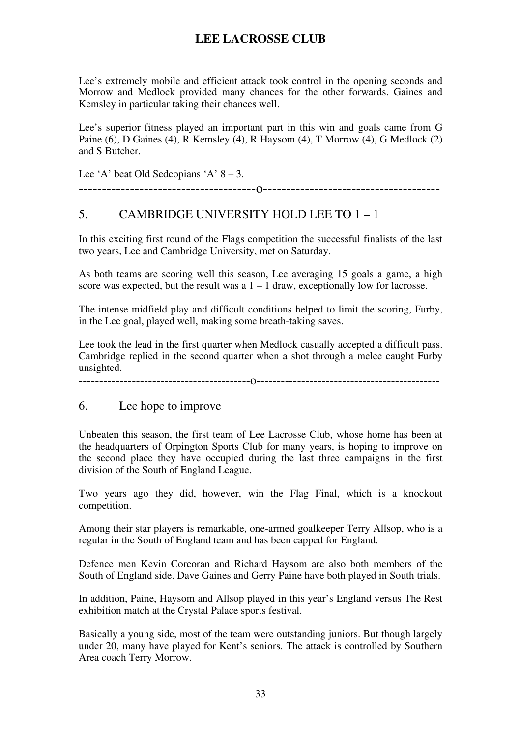Lee's extremely mobile and efficient attack took control in the opening seconds and Morrow and Medlock provided many chances for the other forwards. Gaines and Kemsley in particular taking their chances well.

Lee's superior fitness played an important part in this win and goals came from G Paine (6), D Gaines (4), R Kemsley (4), R Haysom (4), T Morrow (4), G Medlock (2) and S Butcher.

Lee 'A' beat Old Sedcopians 'A'  $8 - 3$ . --------------------------------------o--------------------------------------

### 5. CAMBRIDGE UNIVERSITY HOLD LEE TO 1 – 1

In this exciting first round of the Flags competition the successful finalists of the last two years, Lee and Cambridge University, met on Saturday.

As both teams are scoring well this season, Lee averaging 15 goals a game, a high score was expected, but the result was a  $1 - 1$  draw, exceptionally low for lacrosse.

The intense midfield play and difficult conditions helped to limit the scoring, Furby, in the Lee goal, played well, making some breath-taking saves.

Lee took the lead in the first quarter when Medlock casually accepted a difficult pass. Cambridge replied in the second quarter when a shot through a melee caught Furby unsighted.

------------------------------------------o---------------------------------------------

#### 6. Lee hope to improve

Unbeaten this season, the first team of Lee Lacrosse Club, whose home has been at the headquarters of Orpington Sports Club for many years, is hoping to improve on the second place they have occupied during the last three campaigns in the first division of the South of England League.

Two years ago they did, however, win the Flag Final, which is a knockout competition.

Among their star players is remarkable, one-armed goalkeeper Terry Allsop, who is a regular in the South of England team and has been capped for England.

Defence men Kevin Corcoran and Richard Haysom are also both members of the South of England side. Dave Gaines and Gerry Paine have both played in South trials.

In addition, Paine, Haysom and Allsop played in this year's England versus The Rest exhibition match at the Crystal Palace sports festival.

Basically a young side, most of the team were outstanding juniors. But though largely under 20, many have played for Kent's seniors. The attack is controlled by Southern Area coach Terry Morrow.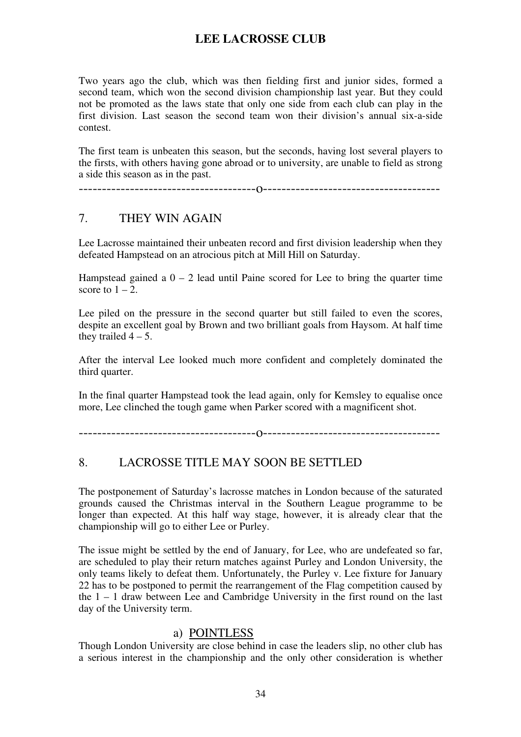Two years ago the club, which was then fielding first and junior sides, formed a second team, which won the second division championship last year. But they could not be promoted as the laws state that only one side from each club can play in the first division. Last season the second team won their division's annual six-a-side contest.

The first team is unbeaten this season, but the seconds, having lost several players to the firsts, with others having gone abroad or to university, are unable to field as strong a side this season as in the past.

--------------------------------------o--------------------------------------

#### 7. THEY WIN AGAIN

Lee Lacrosse maintained their unbeaten record and first division leadership when they defeated Hampstead on an atrocious pitch at Mill Hill on Saturday.

Hampstead gained a  $0 - 2$  lead until Paine scored for Lee to bring the quarter time score to  $1 - 2$ .

Lee piled on the pressure in the second quarter but still failed to even the scores, despite an excellent goal by Brown and two brilliant goals from Haysom. At half time they trailed  $4 - 5$ .

After the interval Lee looked much more confident and completely dominated the third quarter.

In the final quarter Hampstead took the lead again, only for Kemsley to equalise once more, Lee clinched the tough game when Parker scored with a magnificent shot.

--------------------------------------o--------------------------------------

#### 8. LACROSSE TITLE MAY SOON BE SETTLED

The postponement of Saturday's lacrosse matches in London because of the saturated grounds caused the Christmas interval in the Southern League programme to be longer than expected. At this half way stage, however, it is already clear that the championship will go to either Lee or Purley.

The issue might be settled by the end of January, for Lee, who are undefeated so far, are scheduled to play their return matches against Purley and London University, the only teams likely to defeat them. Unfortunately, the Purley v. Lee fixture for January 22 has to be postponed to permit the rearrangement of the Flag competition caused by the  $1 - 1$  draw between Lee and Cambridge University in the first round on the last day of the University term.

#### a) POINTLESS

Though London University are close behind in case the leaders slip, no other club has a serious interest in the championship and the only other consideration is whether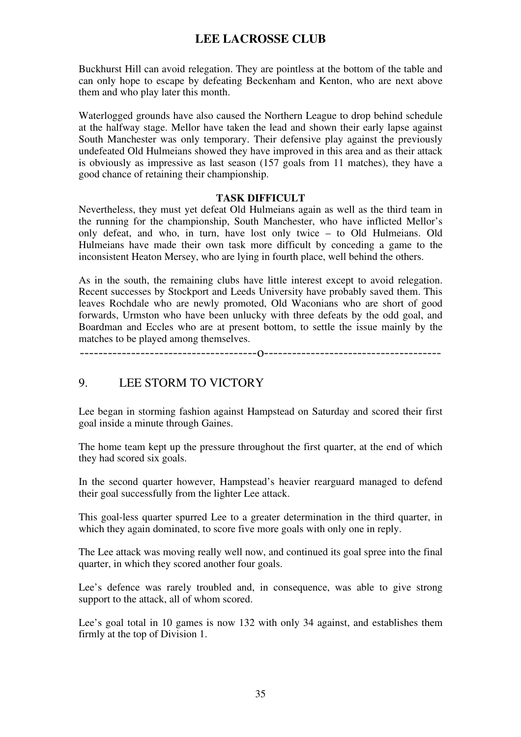Buckhurst Hill can avoid relegation. They are pointless at the bottom of the table and can only hope to escape by defeating Beckenham and Kenton, who are next above them and who play later this month.

Waterlogged grounds have also caused the Northern League to drop behind schedule at the halfway stage. Mellor have taken the lead and shown their early lapse against South Manchester was only temporary. Their defensive play against the previously undefeated Old Hulmeians showed they have improved in this area and as their attack is obviously as impressive as last season (157 goals from 11 matches), they have a good chance of retaining their championship.

#### **TASK DIFFICULT**

Nevertheless, they must yet defeat Old Hulmeians again as well as the third team in the running for the championship, South Manchester, who have inflicted Mellor's only defeat, and who, in turn, have lost only twice – to Old Hulmeians. Old Hulmeians have made their own task more difficult by conceding a game to the inconsistent Heaton Mersey, who are lying in fourth place, well behind the others.

As in the south, the remaining clubs have little interest except to avoid relegation. Recent successes by Stockport and Leeds University have probably saved them. This leaves Rochdale who are newly promoted, Old Waconians who are short of good forwards, Urmston who have been unlucky with three defeats by the odd goal, and Boardman and Eccles who are at present bottom, to settle the issue mainly by the matches to be played among themselves.

--------------------------------------o--------------------------------------

#### 9. LEE STORM TO VICTORY

Lee began in storming fashion against Hampstead on Saturday and scored their first goal inside a minute through Gaines.

The home team kept up the pressure throughout the first quarter, at the end of which they had scored six goals.

In the second quarter however, Hampstead's heavier rearguard managed to defend their goal successfully from the lighter Lee attack.

This goal-less quarter spurred Lee to a greater determination in the third quarter, in which they again dominated, to score five more goals with only one in reply.

The Lee attack was moving really well now, and continued its goal spree into the final quarter, in which they scored another four goals.

Lee's defence was rarely troubled and, in consequence, was able to give strong support to the attack, all of whom scored.

Lee's goal total in 10 games is now 132 with only 34 against, and establishes them firmly at the top of Division 1.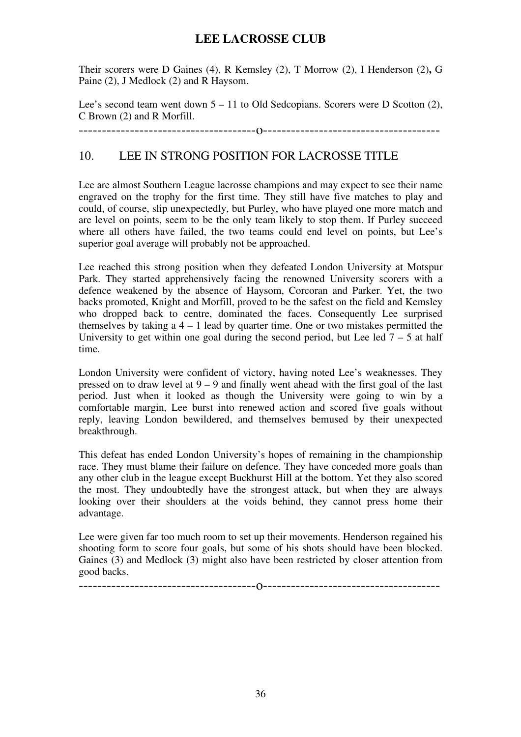Their scorers were D Gaines (4), R Kemsley (2), T Morrow (2), I Henderson (2)**,** G Paine (2), J Medlock (2) and R Haysom.

Lee's second team went down 5 – 11 to Old Sedcopians. Scorers were D Scotton (2), C Brown (2) and R Morfill.

--------------------------------------o--------------------------------------

## 10. LEE IN STRONG POSITION FOR LACROSSE TITLE

Lee are almost Southern League lacrosse champions and may expect to see their name engraved on the trophy for the first time. They still have five matches to play and could, of course, slip unexpectedly, but Purley, who have played one more match and are level on points, seem to be the only team likely to stop them. If Purley succeed where all others have failed, the two teams could end level on points, but Lee's superior goal average will probably not be approached.

Lee reached this strong position when they defeated London University at Motspur Park. They started apprehensively facing the renowned University scorers with a defence weakened by the absence of Haysom, Corcoran and Parker. Yet, the two backs promoted, Knight and Morfill, proved to be the safest on the field and Kemsley who dropped back to centre, dominated the faces. Consequently Lee surprised themselves by taking  $a$  4 – 1 lead by quarter time. One or two mistakes permitted the University to get within one goal during the second period, but Lee led  $7 - 5$  at half time.

London University were confident of victory, having noted Lee's weaknesses. They pressed on to draw level at 9 – 9 and finally went ahead with the first goal of the last period. Just when it looked as though the University were going to win by a comfortable margin, Lee burst into renewed action and scored five goals without reply, leaving London bewildered, and themselves bemused by their unexpected breakthrough.

This defeat has ended London University's hopes of remaining in the championship race. They must blame their failure on defence. They have conceded more goals than any other club in the league except Buckhurst Hill at the bottom. Yet they also scored the most. They undoubtedly have the strongest attack, but when they are always looking over their shoulders at the voids behind, they cannot press home their advantage.

Lee were given far too much room to set up their movements. Henderson regained his shooting form to score four goals, but some of his shots should have been blocked. Gaines (3) and Medlock (3) might also have been restricted by closer attention from good backs.

--------------------------------------o--------------------------------------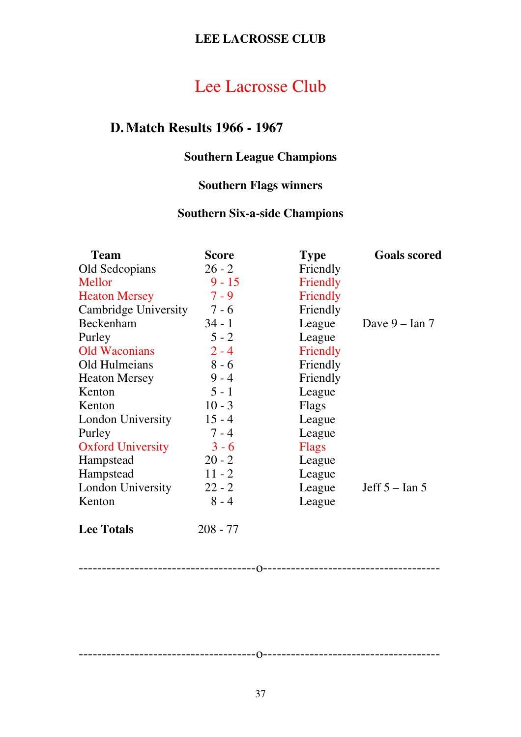# Lee Lacrosse Club

# **D.Match Results 1966 - 1967**

# **Southern League Champions**

# **Southern Flags winners**

# **Southern Six-a-side Champions**

| <b>Team</b>              | <b>Score</b> | <b>Type</b>  | <b>Goals scored</b>      |
|--------------------------|--------------|--------------|--------------------------|
| Old Sedcopians           | $26 - 2$     | Friendly     |                          |
| Mellor                   | $9 - 15$     | Friendly     |                          |
| <b>Heaton Mersey</b>     | $7 - 9$      | Friendly     |                          |
| Cambridge University     | $7 - 6$      | Friendly     |                          |
| Beckenham                | $34 - 1$     | League       | Dave $9$ – Ian 7         |
| Purley                   | $5 - 2$      | League       |                          |
| <b>Old Waconians</b>     | $2 - 4$      | Friendly     |                          |
| Old Hulmeians            | $8 - 6$      | Friendly     |                          |
| <b>Heaton Mersey</b>     | $9 - 4$      | Friendly     |                          |
| Kenton                   | $5 - 1$      | League       |                          |
| Kenton                   | $10 - 3$     | Flags        |                          |
| London University        | $15 - 4$     | League       |                          |
| Purley                   | $7 - 4$      | League       |                          |
| <b>Oxford University</b> | $3 - 6$      | <b>Flags</b> |                          |
| Hampstead                | $20 - 2$     | League       |                          |
| Hampstead                | $11 - 2$     | League       |                          |
| London University        | $22 - 2$     | League       | Jeff $5 - \text{Ian } 5$ |
| Kenton                   | $8 - 4$      | League       |                          |
| <b>Lee Totals</b>        | $208 - 77$   |              |                          |

--------------------------------------o--------------------------------------

37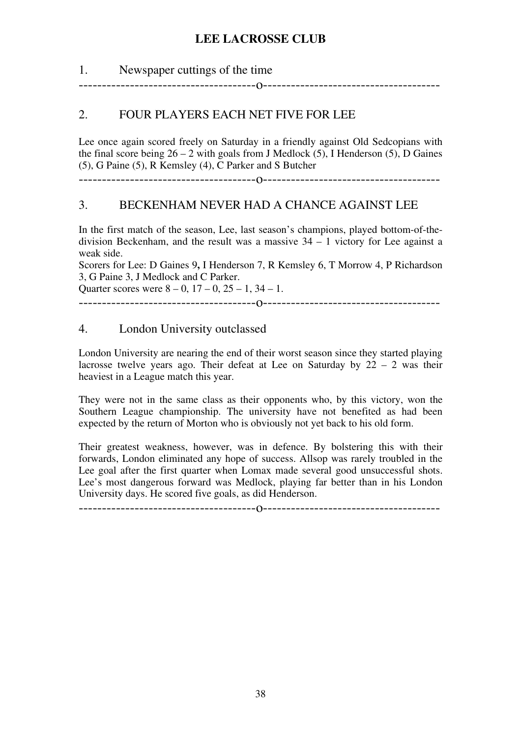| 1. | Newspaper cuttings of the time |
|----|--------------------------------|
|----|--------------------------------|

--------------------------------------o--------------------------------------

## 2. FOUR PLAYERS EACH NET FIVE FOR LEE

Lee once again scored freely on Saturday in a friendly against Old Sedcopians with the final score being  $26 - 2$  with goals from J Medlock (5), I Henderson (5), D Gaines (5), G Paine (5), R Kemsley (4), C Parker and S Butcher

--------------------------------------o--------------------------------------

#### 3. BECKENHAM NEVER HAD A CHANCE AGAINST LEE

In the first match of the season, Lee, last season's champions, played bottom-of-thedivision Beckenham, and the result was a massive  $34 - 1$  victory for Lee against a weak side.

Scorers for Lee: D Gaines 9**,** I Henderson 7, R Kemsley 6, T Morrow 4, P Richardson 3, G Paine 3, J Medlock and C Parker.

Quarter scores were  $8 - 0$ ,  $17 - 0$ ,  $25 - 1$ ,  $34 - 1$ .

--------------------------------------o--------------------------------------

#### 4. London University outclassed

London University are nearing the end of their worst season since they started playing lacrosse twelve years ago. Their defeat at Lee on Saturday by  $22 - 2$  was their heaviest in a League match this year.

They were not in the same class as their opponents who, by this victory, won the Southern League championship. The university have not benefited as had been expected by the return of Morton who is obviously not yet back to his old form.

Their greatest weakness, however, was in defence. By bolstering this with their forwards, London eliminated any hope of success. Allsop was rarely troubled in the Lee goal after the first quarter when Lomax made several good unsuccessful shots. Lee's most dangerous forward was Medlock, playing far better than in his London University days. He scored five goals, as did Henderson.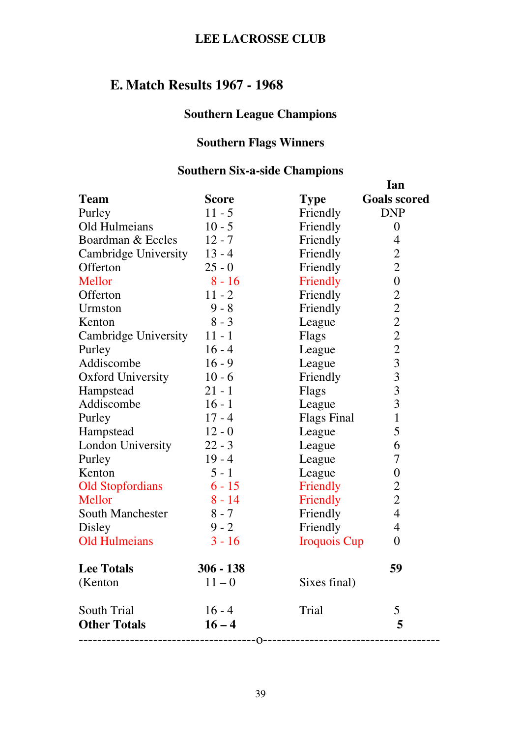# **E. Match Results 1967 - 1968**

# **Southern League Champions**

# **Southern Flags Winners**

# **Southern Six-a-side Champions**

|                             |              |                     | Ian                                             |
|-----------------------------|--------------|---------------------|-------------------------------------------------|
| <b>Team</b>                 | <b>Score</b> | <b>Type</b>         | <b>Goals scored</b>                             |
| Purley                      | $11 - 5$     | Friendly            | <b>DNP</b>                                      |
| Old Hulmeians               | $10 - 5$     | Friendly            | $\overline{0}$                                  |
| Boardman & Eccles           | $12 - 7$     | Friendly            | $\overline{4}$                                  |
| <b>Cambridge University</b> | $13 - 4$     | Friendly            | $\overline{2}$                                  |
| Offerton                    | $25 - 0$     | Friendly            | $\overline{2}$                                  |
| Mellor                      | $8 - 16$     | Friendly            | $\boldsymbol{0}$                                |
| Offerton                    | $11 - 2$     | Friendly            | $\overline{c}$                                  |
| Urmston                     | $9 - 8$      | Friendly            | $\overline{2}$                                  |
| Kenton                      | $8 - 3$      | League              | $\overline{c}$                                  |
| <b>Cambridge University</b> | $11 - 1$     | Flags               | $\begin{array}{c} 2 \\ 2 \\ 3 \\ 3 \end{array}$ |
| Purley                      | $16 - 4$     | League              |                                                 |
| Addiscombe                  | $16 - 9$     | League              |                                                 |
| <b>Oxford University</b>    | $10 - 6$     | Friendly            |                                                 |
| Hampstead                   | $21 - 1$     | Flags               | $\frac{3}{3}$                                   |
| Addiscombe                  | $16 - 1$     | League              |                                                 |
| Purley                      | $17 - 4$     | <b>Flags Final</b>  | $\mathbf{1}$                                    |
| Hampstead                   | $12 - 0$     | League              | 5                                               |
| <b>London University</b>    | $22 - 3$     | League              | 6                                               |
| Purley                      | $19 - 4$     | League              | 7                                               |
| Kenton                      | $5 - 1$      | League              | $\boldsymbol{0}$                                |
| <b>Old Stopfordians</b>     | $6 - 15$     | Friendly            | $\overline{c}$                                  |
| Mellor                      | $8 - 14$     | Friendly            | $\overline{2}$                                  |
| <b>South Manchester</b>     | $8 - 7$      | Friendly            | $\overline{4}$                                  |
| Disley                      | $9 - 2$      | Friendly            | $\overline{4}$                                  |
| <b>Old Hulmeians</b>        | $3 - 16$     | <b>Iroquois Cup</b> | $\boldsymbol{0}$                                |
| <b>Lee Totals</b>           | $306 - 138$  |                     | 59                                              |
| (Kenton)                    | $11 - 0$     | Sixes final)        |                                                 |
| South Trial                 | $16 - 4$     | Trial               | 5                                               |
| <b>Other Totals</b>         | $16 - 4$     |                     | 5                                               |
|                             |              |                     |                                                 |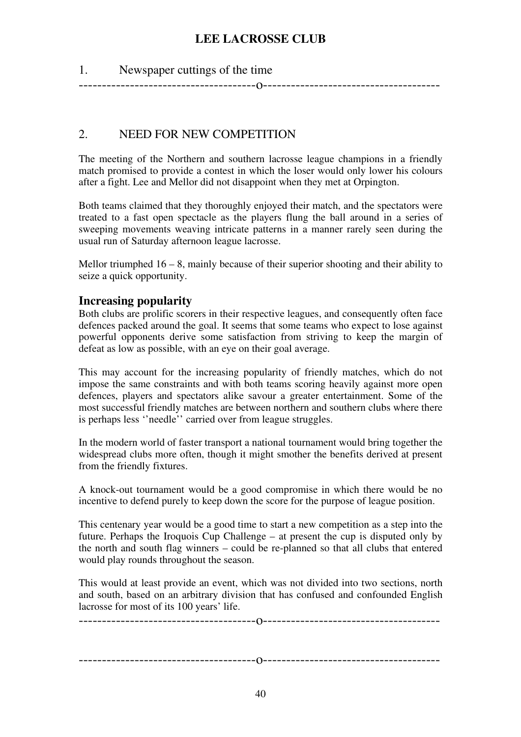#### 1. Newspaper cuttings of the time --------------------------------------o--------------------------------------

2. NEED FOR NEW COMPETITION

The meeting of the Northern and southern lacrosse league champions in a friendly match promised to provide a contest in which the loser would only lower his colours after a fight. Lee and Mellor did not disappoint when they met at Orpington.

Both teams claimed that they thoroughly enjoyed their match, and the spectators were treated to a fast open spectacle as the players flung the ball around in a series of sweeping movements weaving intricate patterns in a manner rarely seen during the usual run of Saturday afternoon league lacrosse.

Mellor triumphed 16 – 8, mainly because of their superior shooting and their ability to seize a quick opportunity.

#### **Increasing popularity**

Both clubs are prolific scorers in their respective leagues, and consequently often face defences packed around the goal. It seems that some teams who expect to lose against powerful opponents derive some satisfaction from striving to keep the margin of defeat as low as possible, with an eye on their goal average.

This may account for the increasing popularity of friendly matches, which do not impose the same constraints and with both teams scoring heavily against more open defences, players and spectators alike savour a greater entertainment. Some of the most successful friendly matches are between northern and southern clubs where there is perhaps less ''needle'' carried over from league struggles.

In the modern world of faster transport a national tournament would bring together the widespread clubs more often, though it might smother the benefits derived at present from the friendly fixtures.

A knock-out tournament would be a good compromise in which there would be no incentive to defend purely to keep down the score for the purpose of league position.

This centenary year would be a good time to start a new competition as a step into the future. Perhaps the Iroquois Cup Challenge – at present the cup is disputed only by the north and south flag winners – could be re-planned so that all clubs that entered would play rounds throughout the season.

This would at least provide an event, which was not divided into two sections, north and south, based on an arbitrary division that has confused and confounded English lacrosse for most of its 100 years' life.

--------------------------------------o--------------------------------------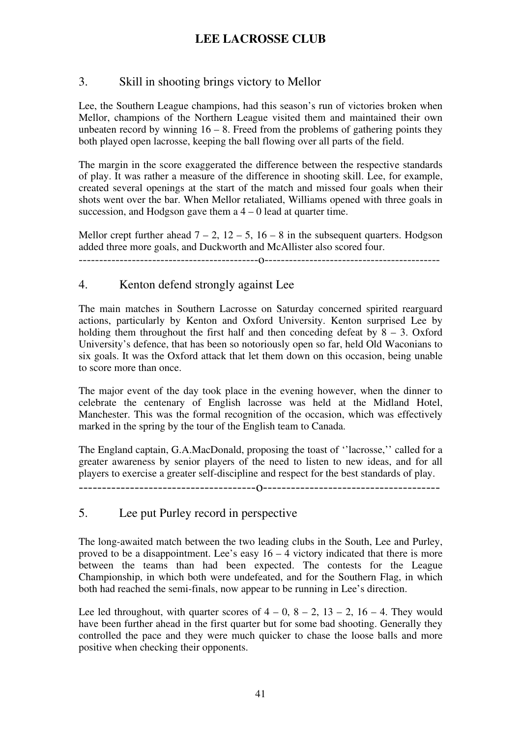#### 3. Skill in shooting brings victory to Mellor

Lee, the Southern League champions, had this season's run of victories broken when Mellor, champions of the Northern League visited them and maintained their own unbeaten record by winning  $16 - 8$ . Freed from the problems of gathering points they both played open lacrosse, keeping the ball flowing over all parts of the field.

The margin in the score exaggerated the difference between the respective standards of play. It was rather a measure of the difference in shooting skill. Lee, for example, created several openings at the start of the match and missed four goals when their shots went over the bar. When Mellor retaliated, Williams opened with three goals in succession, and Hodgson gave them  $a<sub>4</sub> - 0$  lead at quarter time.

Mellor crept further ahead  $7 - 2$ ,  $12 - 5$ ,  $16 - 8$  in the subsequent quarters. Hodgson added three more goals, and Duckworth and McAllister also scored four.

--------------------------------------------o-------------------------------------------

#### 4. Kenton defend strongly against Lee

The main matches in Southern Lacrosse on Saturday concerned spirited rearguard actions, particularly by Kenton and Oxford University. Kenton surprised Lee by holding them throughout the first half and then conceding defeat by  $8 - 3$ . Oxford University's defence, that has been so notoriously open so far, held Old Waconians to six goals. It was the Oxford attack that let them down on this occasion, being unable to score more than once.

The major event of the day took place in the evening however, when the dinner to celebrate the centenary of English lacrosse was held at the Midland Hotel, Manchester. This was the formal recognition of the occasion, which was effectively marked in the spring by the tour of the English team to Canada.

The England captain, G.A.MacDonald, proposing the toast of ''lacrosse,'' called for a greater awareness by senior players of the need to listen to new ideas, and for all players to exercise a greater self-discipline and respect for the best standards of play.

--------------------------------------o--------------------------------------

### 5. Lee put Purley record in perspective

The long-awaited match between the two leading clubs in the South, Lee and Purley, proved to be a disappointment. Lee's easy 16 – 4 victory indicated that there is more between the teams than had been expected. The contests for the League Championship, in which both were undefeated, and for the Southern Flag, in which both had reached the semi-finals, now appear to be running in Lee's direction.

Lee led throughout, with quarter scores of  $4 - 0$ ,  $8 - 2$ ,  $13 - 2$ ,  $16 - 4$ . They would have been further ahead in the first quarter but for some bad shooting. Generally they controlled the pace and they were much quicker to chase the loose balls and more positive when checking their opponents.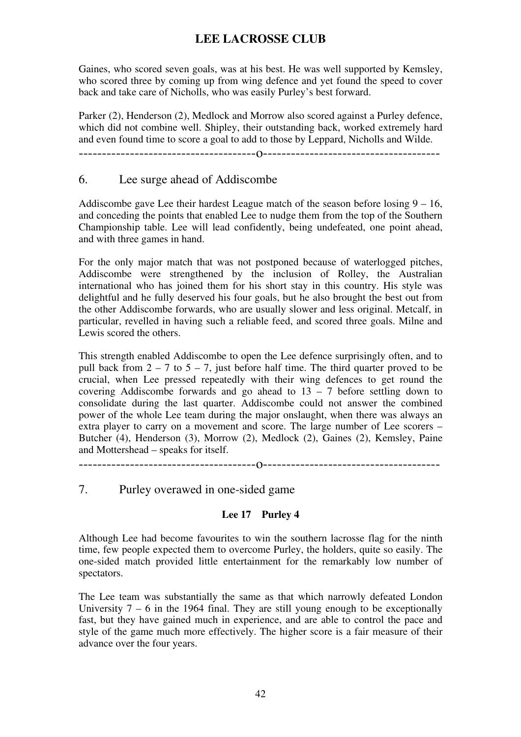Gaines, who scored seven goals, was at his best. He was well supported by Kemsley, who scored three by coming up from wing defence and yet found the speed to cover back and take care of Nicholls, who was easily Purley's best forward.

Parker (2), Henderson (2), Medlock and Morrow also scored against a Purley defence, which did not combine well. Shipley, their outstanding back, worked extremely hard and even found time to score a goal to add to those by Leppard, Nicholls and Wilde.

--------------------------------------o--------------------------------------

#### 6. Lee surge ahead of Addiscombe

Addiscombe gave Lee their hardest League match of the season before losing  $9 - 16$ , and conceding the points that enabled Lee to nudge them from the top of the Southern Championship table. Lee will lead confidently, being undefeated, one point ahead, and with three games in hand.

For the only major match that was not postponed because of waterlogged pitches, Addiscombe were strengthened by the inclusion of Rolley, the Australian international who has joined them for his short stay in this country. His style was delightful and he fully deserved his four goals, but he also brought the best out from the other Addiscombe forwards, who are usually slower and less original. Metcalf, in particular, revelled in having such a reliable feed, and scored three goals. Milne and Lewis scored the others.

This strength enabled Addiscombe to open the Lee defence surprisingly often, and to pull back from  $2 - 7$  to  $5 - 7$ , just before half time. The third quarter proved to be crucial, when Lee pressed repeatedly with their wing defences to get round the covering Addiscombe forwards and go ahead to  $13 - 7$  before settling down to consolidate during the last quarter. Addiscombe could not answer the combined power of the whole Lee team during the major onslaught, when there was always an extra player to carry on a movement and score. The large number of Lee scorers – Butcher (4), Henderson (3), Morrow (2), Medlock (2), Gaines (2), Kemsley, Paine and Mottershead – speaks for itself.

--------------------------------------o--------------------------------------

#### 7. Purley overawed in one-sided game

#### **Lee 17 Purley 4**

Although Lee had become favourites to win the southern lacrosse flag for the ninth time, few people expected them to overcome Purley, the holders, quite so easily. The one-sided match provided little entertainment for the remarkably low number of spectators.

The Lee team was substantially the same as that which narrowly defeated London University  $7 - 6$  in the 1964 final. They are still young enough to be exceptionally fast, but they have gained much in experience, and are able to control the pace and style of the game much more effectively. The higher score is a fair measure of their advance over the four years.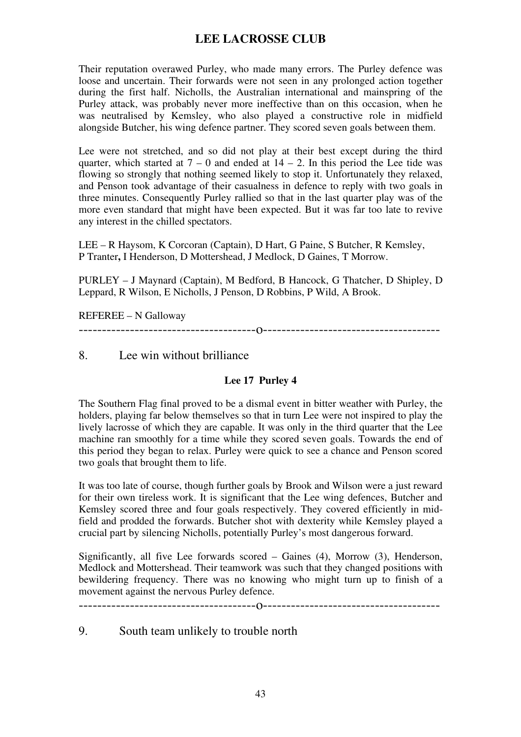Their reputation overawed Purley, who made many errors. The Purley defence was loose and uncertain. Their forwards were not seen in any prolonged action together during the first half. Nicholls, the Australian international and mainspring of the Purley attack, was probably never more ineffective than on this occasion, when he was neutralised by Kemsley, who also played a constructive role in midfield alongside Butcher, his wing defence partner. They scored seven goals between them.

Lee were not stretched, and so did not play at their best except during the third quarter, which started at  $7 - 0$  and ended at  $14 - 2$ . In this period the Lee tide was flowing so strongly that nothing seemed likely to stop it. Unfortunately they relaxed, and Penson took advantage of their casualness in defence to reply with two goals in three minutes. Consequently Purley rallied so that in the last quarter play was of the more even standard that might have been expected. But it was far too late to revive any interest in the chilled spectators.

LEE – R Haysom, K Corcoran (Captain), D Hart, G Paine, S Butcher, R Kemsley, P Tranter**,** I Henderson, D Mottershead, J Medlock, D Gaines, T Morrow.

PURLEY – J Maynard (Captain), M Bedford, B Hancock, G Thatcher, D Shipley, D Leppard, R Wilson, E Nicholls, J Penson, D Robbins, P Wild, A Brook.

REFEREE – N Galloway

--------------------------------------o--------------------------------------

8. Lee win without brilliance

#### **Lee 17 Purley 4**

The Southern Flag final proved to be a dismal event in bitter weather with Purley, the holders, playing far below themselves so that in turn Lee were not inspired to play the lively lacrosse of which they are capable. It was only in the third quarter that the Lee machine ran smoothly for a time while they scored seven goals. Towards the end of this period they began to relax. Purley were quick to see a chance and Penson scored two goals that brought them to life.

It was too late of course, though further goals by Brook and Wilson were a just reward for their own tireless work. It is significant that the Lee wing defences, Butcher and Kemsley scored three and four goals respectively. They covered efficiently in midfield and prodded the forwards. Butcher shot with dexterity while Kemsley played a crucial part by silencing Nicholls, potentially Purley's most dangerous forward.

Significantly, all five Lee forwards scored – Gaines (4), Morrow (3), Henderson, Medlock and Mottershead. Their teamwork was such that they changed positions with bewildering frequency. There was no knowing who might turn up to finish of a movement against the nervous Purley defence.

--------------------------------------o--------------------------------------

9. South team unlikely to trouble north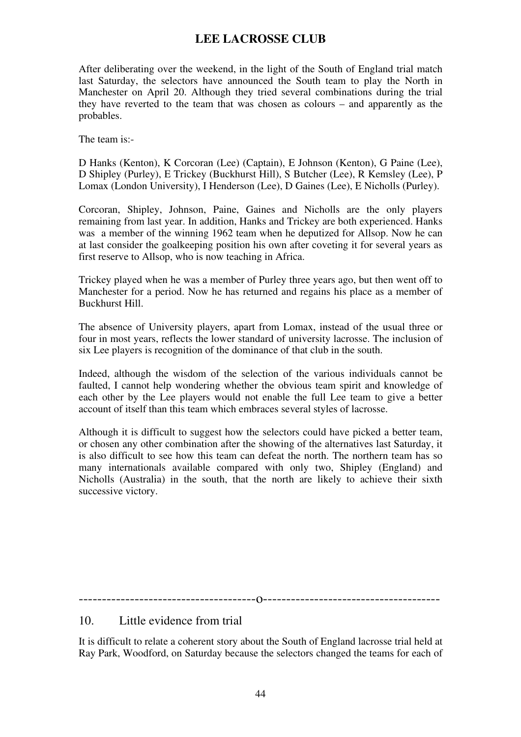After deliberating over the weekend, in the light of the South of England trial match last Saturday, the selectors have announced the South team to play the North in Manchester on April 20. Although they tried several combinations during the trial they have reverted to the team that was chosen as colours – and apparently as the probables.

The team is:-

D Hanks (Kenton), K Corcoran (Lee) (Captain), E Johnson (Kenton), G Paine (Lee), D Shipley (Purley), E Trickey (Buckhurst Hill), S Butcher (Lee), R Kemsley (Lee), P Lomax (London University), I Henderson (Lee), D Gaines (Lee), E Nicholls (Purley).

Corcoran, Shipley, Johnson, Paine, Gaines and Nicholls are the only players remaining from last year. In addition, Hanks and Trickey are both experienced. Hanks was a member of the winning 1962 team when he deputized for Allsop. Now he can at last consider the goalkeeping position his own after coveting it for several years as first reserve to Allsop, who is now teaching in Africa.

Trickey played when he was a member of Purley three years ago, but then went off to Manchester for a period. Now he has returned and regains his place as a member of Buckhurst Hill.

The absence of University players, apart from Lomax, instead of the usual three or four in most years, reflects the lower standard of university lacrosse. The inclusion of six Lee players is recognition of the dominance of that club in the south.

Indeed, although the wisdom of the selection of the various individuals cannot be faulted, I cannot help wondering whether the obvious team spirit and knowledge of each other by the Lee players would not enable the full Lee team to give a better account of itself than this team which embraces several styles of lacrosse.

Although it is difficult to suggest how the selectors could have picked a better team, or chosen any other combination after the showing of the alternatives last Saturday, it is also difficult to see how this team can defeat the north. The northern team has so many internationals available compared with only two, Shipley (England) and Nicholls (Australia) in the south, that the north are likely to achieve their sixth successive victory.

--------------------------------------o--------------------------------------

10. Little evidence from trial

It is difficult to relate a coherent story about the South of England lacrosse trial held at Ray Park, Woodford, on Saturday because the selectors changed the teams for each of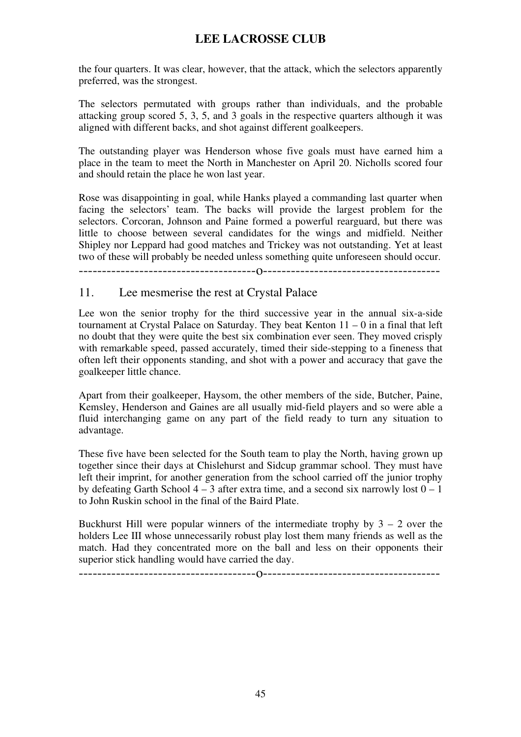the four quarters. It was clear, however, that the attack, which the selectors apparently preferred, was the strongest.

The selectors permutated with groups rather than individuals, and the probable attacking group scored 5, 3, 5, and 3 goals in the respective quarters although it was aligned with different backs, and shot against different goalkeepers.

The outstanding player was Henderson whose five goals must have earned him a place in the team to meet the North in Manchester on April 20. Nicholls scored four and should retain the place he won last year.

Rose was disappointing in goal, while Hanks played a commanding last quarter when facing the selectors' team. The backs will provide the largest problem for the selectors. Corcoran, Johnson and Paine formed a powerful rearguard, but there was little to choose between several candidates for the wings and midfield. Neither Shipley nor Leppard had good matches and Trickey was not outstanding. Yet at least two of these will probably be needed unless something quite unforeseen should occur.

--------------------------------------o--------------------------------------

#### 11. Lee mesmerise the rest at Crystal Palace

Lee won the senior trophy for the third successive year in the annual six-a-side tournament at Crystal Palace on Saturday. They beat Kenton 11 – 0 in a final that left no doubt that they were quite the best six combination ever seen. They moved crisply with remarkable speed, passed accurately, timed their side-stepping to a fineness that often left their opponents standing, and shot with a power and accuracy that gave the goalkeeper little chance.

Apart from their goalkeeper, Haysom, the other members of the side, Butcher, Paine, Kemsley, Henderson and Gaines are all usually mid-field players and so were able a fluid interchanging game on any part of the field ready to turn any situation to advantage.

These five have been selected for the South team to play the North, having grown up together since their days at Chislehurst and Sidcup grammar school. They must have left their imprint, for another generation from the school carried off the junior trophy by defeating Garth School  $4 - 3$  after extra time, and a second six narrowly lost  $0 - 1$ to John Ruskin school in the final of the Baird Plate.

Buckhurst Hill were popular winners of the intermediate trophy by  $3 - 2$  over the holders Lee III whose unnecessarily robust play lost them many friends as well as the match. Had they concentrated more on the ball and less on their opponents their superior stick handling would have carried the day.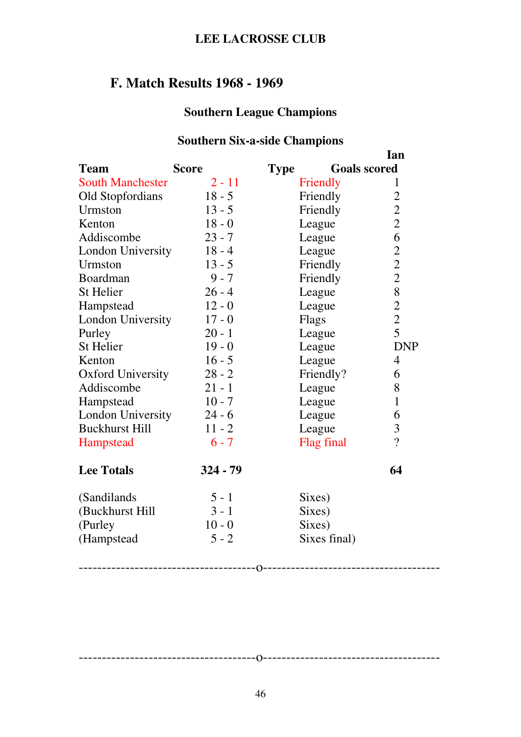# **F. Match Results 1968 - 1969**

# **Southern League Champions**

# **Southern Six-a-side Champions**

|                                      |              | Ian                                        |
|--------------------------------------|--------------|--------------------------------------------|
| <b>Score</b>                         | <b>Type</b>  |                                            |
| $2 - 11$                             | Friendly     | 1                                          |
| $18 - 5$                             | Friendly     | $\mathbf{2}$                               |
| $13 - 5$                             | Friendly     | $\overline{c}$                             |
| $18 - 0$                             | League       | $\overline{c}$                             |
| $23 - 7$                             | League       | 6                                          |
| $18 - 4$<br><b>London University</b> | League       |                                            |
| $13 - 5$                             | Friendly     | $\begin{array}{c} 2 \\ 2 \\ 2 \end{array}$ |
| $9 - 7$                              | Friendly     |                                            |
| $26 - 4$                             | League       | 8                                          |
| $12 - 0$                             | League       |                                            |
| <b>London University</b><br>$17 - 0$ | Flags        | $\begin{array}{c} 2 \\ 2 \\ 5 \end{array}$ |
| $20 - 1$                             | League       |                                            |
| $19 - 0$                             | League       | <b>DNP</b>                                 |
| $16 - 5$                             | League       | $\overline{4}$                             |
| $28 - 2$                             | Friendly?    | 6                                          |
| $21 - 1$                             | League       | 8                                          |
| $10 - 7$                             | League       | $\mathbf{1}$                               |
| $24 - 6$<br><b>London University</b> | League       | 6                                          |
| $11 - 2$                             | League       | 3                                          |
| $6 - 7$                              | Flag final   | $\gamma$                                   |
| $324 - 79$                           |              | 64                                         |
| $5 - 1$                              | Sixes)       |                                            |
| $3 - 1$                              | Sixes)       |                                            |
| $10 - 0$                             |              |                                            |
| $5 - 2$                              | Sixes final) |                                            |
|                                      |              | <b>Goals scored</b><br>Sixes)              |

46

--------------------------------------o--------------------------------------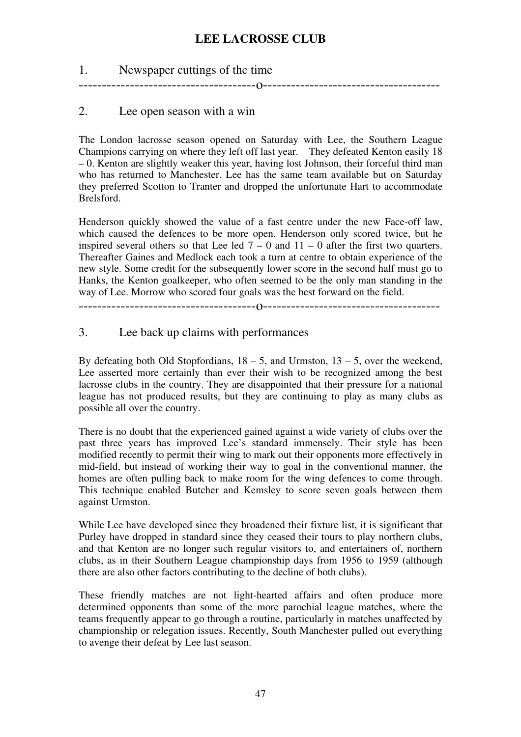### 1. Newspaper cuttings of the time --------------------------------------o--------------------------------------

### 2. Lee open season with a win

The London lacrosse season opened on Saturday with Lee, the Southern League Champions carrying on where they left off last year. They defeated Kenton easily 18 – 0. Kenton are slightly weaker this year, having lost Johnson, their forceful third man who has returned to Manchester. Lee has the same team available but on Saturday they preferred Scotton to Tranter and dropped the unfortunate Hart to accommodate Brelsford.

Henderson quickly showed the value of a fast centre under the new Face-off law, which caused the defences to be more open. Henderson only scored twice, but he inspired several others so that Lee led  $7 - 0$  and  $11 - 0$  after the first two quarters. Thereafter Gaines and Medlock each took a turn at centre to obtain experience of the new style. Some credit for the subsequently lower score in the second half must go to Hanks, the Kenton goalkeeper, who often seemed to be the only man standing in the way of Lee. Morrow who scored four goals was the best forward on the field.

--------------------------------------o--------------------------------------

#### 3. Lee back up claims with performances

By defeating both Old Stopfordians,  $18 - 5$ , and Urmston,  $13 - 5$ , over the weekend, Lee asserted more certainly than ever their wish to be recognized among the best lacrosse clubs in the country. They are disappointed that their pressure for a national league has not produced results, but they are continuing to play as many clubs as possible all over the country.

There is no doubt that the experienced gained against a wide variety of clubs over the past three years has improved Lee's standard immensely. Their style has been modified recently to permit their wing to mark out their opponents more effectively in mid-field, but instead of working their way to goal in the conventional manner, the homes are often pulling back to make room for the wing defences to come through. This technique enabled Butcher and Kemsley to score seven goals between them against Urmston.

While Lee have developed since they broadened their fixture list, it is significant that Purley have dropped in standard since they ceased their tours to play northern clubs, and that Kenton are no longer such regular visitors to, and entertainers of, northern clubs, as in their Southern League championship days from 1956 to 1959 (although there are also other factors contributing to the decline of both clubs).

These friendly matches are not light-hearted affairs and often produce more determined opponents than some of the more parochial league matches, where the teams frequently appear to go through a routine, particularly in matches unaffected by championship or relegation issues. Recently, South Manchester pulled out everything to avenge their defeat by Lee last season.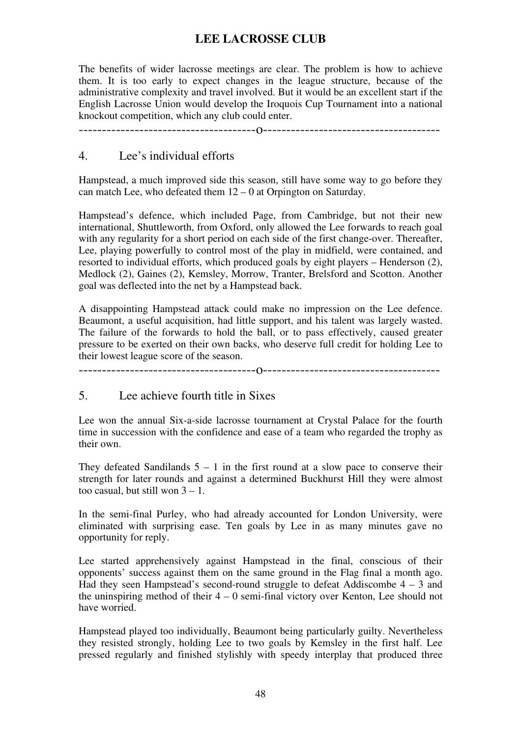The benefits of wider lacrosse meetings are clear. The problem is how to achieve them. It is too early to expect changes in the league structure, because of the administrative complexity and travel involved. But it would be an excellent start if the English Lacrosse Union would develop the Iroquois Cup Tournament into a national knockout competition, which any club could enter.

--------------------------------------o--------------------------------------

#### 4. Lee's individual efforts

Hampstead, a much improved side this season, still have some way to go before they can match Lee, who defeated them  $12 - 0$  at Orpington on Saturday.

Hampstead's defence, which included Page, from Cambridge, but not their new international, Shuttleworth, from Oxford, only allowed the Lee forwards to reach goal with any regularity for a short period on each side of the first change-over. Thereafter, Lee, playing powerfully to control most of the play in midfield, were contained, and resorted to individual efforts, which produced goals by eight players – Henderson (2), Medlock (2), Gaines (2), Kemsley, Morrow, Tranter, Brelsford and Scotton. Another goal was deflected into the net by a Hampstead back.

A disappointing Hampstead attack could make no impression on the Lee defence. Beaumont, a useful acquisition, had little support, and his talent was largely wasted. The failure of the forwards to hold the ball, or to pass effectively, caused greater pressure to be exerted on their own backs, who deserve full credit for holding Lee to their lowest league score of the season.

--------------------------------------o--------------------------------------

#### 5. Lee achieve fourth title in Sixes

Lee won the annual Six-a-side lacrosse tournament at Crystal Palace for the fourth time in succession with the confidence and ease of a team who regarded the trophy as their own.

They defeated Sandilands  $5 - 1$  in the first round at a slow pace to conserve their strength for later rounds and against a determined Buckhurst Hill they were almost too casual, but still won  $3 - 1$ .

In the semi-final Purley, who had already accounted for London University, were eliminated with surprising ease. Ten goals by Lee in as many minutes gave no opportunity for reply.

Lee started apprehensively against Hampstead in the final, conscious of their opponents' success against them on the same ground in the Flag final a month ago. Had they seen Hampstead's second-round struggle to defeat Addiscombe  $4 - 3$  and the uninspiring method of their 4 – 0 semi-final victory over Kenton, Lee should not have worried.

Hampstead played too individually, Beaumont being particularly guilty. Nevertheless they resisted strongly, holding Lee to two goals by Kemsley in the first half. Lee pressed regularly and finished stylishly with speedy interplay that produced three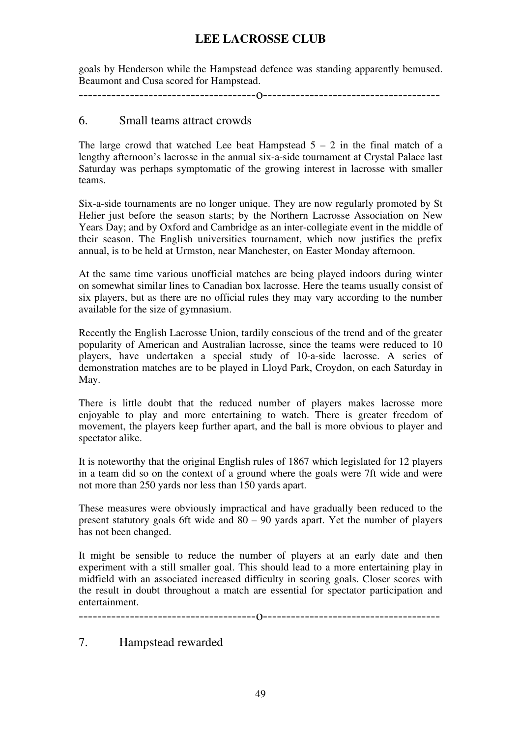goals by Henderson while the Hampstead defence was standing apparently bemused. Beaumont and Cusa scored for Hampstead.

--------------------------------------o--------------------------------------

#### 6. Small teams attract crowds

The large crowd that watched Lee beat Hampstead  $5 - 2$  in the final match of a lengthy afternoon's lacrosse in the annual six-a-side tournament at Crystal Palace last Saturday was perhaps symptomatic of the growing interest in lacrosse with smaller teams.

Six-a-side tournaments are no longer unique. They are now regularly promoted by St Helier just before the season starts; by the Northern Lacrosse Association on New Years Day; and by Oxford and Cambridge as an inter-collegiate event in the middle of their season. The English universities tournament, which now justifies the prefix annual, is to be held at Urmston, near Manchester, on Easter Monday afternoon.

At the same time various unofficial matches are being played indoors during winter on somewhat similar lines to Canadian box lacrosse. Here the teams usually consist of six players, but as there are no official rules they may vary according to the number available for the size of gymnasium.

Recently the English Lacrosse Union, tardily conscious of the trend and of the greater popularity of American and Australian lacrosse, since the teams were reduced to 10 players, have undertaken a special study of 10-a-side lacrosse. A series of demonstration matches are to be played in Lloyd Park, Croydon, on each Saturday in May.

There is little doubt that the reduced number of players makes lacrosse more enjoyable to play and more entertaining to watch. There is greater freedom of movement, the players keep further apart, and the ball is more obvious to player and spectator alike.

It is noteworthy that the original English rules of 1867 which legislated for 12 players in a team did so on the context of a ground where the goals were 7ft wide and were not more than 250 yards nor less than 150 yards apart.

These measures were obviously impractical and have gradually been reduced to the present statutory goals 6ft wide and 80 – 90 yards apart. Yet the number of players has not been changed.

It might be sensible to reduce the number of players at an early date and then experiment with a still smaller goal. This should lead to a more entertaining play in midfield with an associated increased difficulty in scoring goals. Closer scores with the result in doubt throughout a match are essential for spectator participation and entertainment.

--------------------------------------o--------------------------------------

7. Hampstead rewarded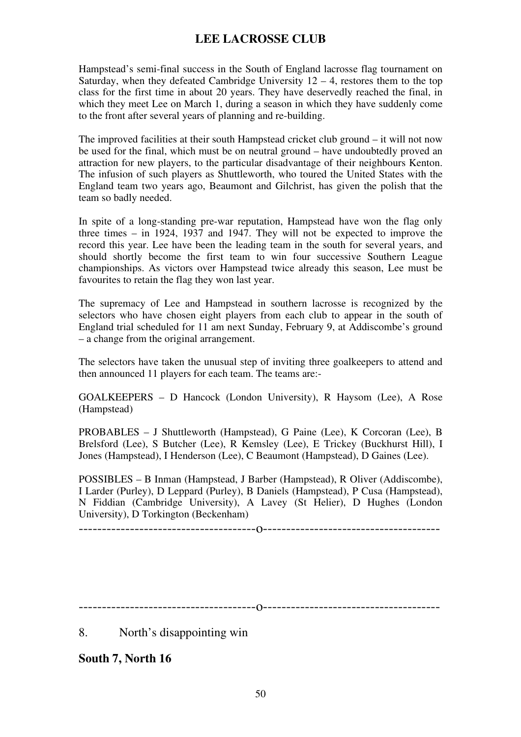Hampstead's semi-final success in the South of England lacrosse flag tournament on Saturday, when they defeated Cambridge University  $12 - 4$ , restores them to the top class for the first time in about 20 years. They have deservedly reached the final, in which they meet Lee on March 1, during a season in which they have suddenly come to the front after several years of planning and re-building.

The improved facilities at their south Hampstead cricket club ground – it will not now be used for the final, which must be on neutral ground – have undoubtedly proved an attraction for new players, to the particular disadvantage of their neighbours Kenton. The infusion of such players as Shuttleworth, who toured the United States with the England team two years ago, Beaumont and Gilchrist, has given the polish that the team so badly needed.

In spite of a long-standing pre-war reputation, Hampstead have won the flag only three times – in 1924, 1937 and 1947. They will not be expected to improve the record this year. Lee have been the leading team in the south for several years, and should shortly become the first team to win four successive Southern League championships. As victors over Hampstead twice already this season, Lee must be favourites to retain the flag they won last year.

The supremacy of Lee and Hampstead in southern lacrosse is recognized by the selectors who have chosen eight players from each club to appear in the south of England trial scheduled for 11 am next Sunday, February 9, at Addiscombe's ground – a change from the original arrangement.

The selectors have taken the unusual step of inviting three goalkeepers to attend and then announced 11 players for each team. The teams are:-

GOALKEEPERS – D Hancock (London University), R Haysom (Lee), A Rose (Hampstead)

PROBABLES – J Shuttleworth (Hampstead), G Paine (Lee), K Corcoran (Lee), B Brelsford (Lee), S Butcher (Lee), R Kemsley (Lee), E Trickey (Buckhurst Hill), I Jones (Hampstead), I Henderson (Lee), C Beaumont (Hampstead), D Gaines (Lee).

POSSIBLES – B Inman (Hampstead, J Barber (Hampstead), R Oliver (Addiscombe), I Larder (Purley), D Leppard (Purley), B Daniels (Hampstead), P Cusa (Hampstead), N Fiddian (Cambridge University), A Lavey (St Helier), D Hughes (London University), D Torkington (Beckenham)

--------------------------------------o--------------------------------------

--------------------------------------o--------------------------------------

8. North's disappointing win

**South 7, North 16**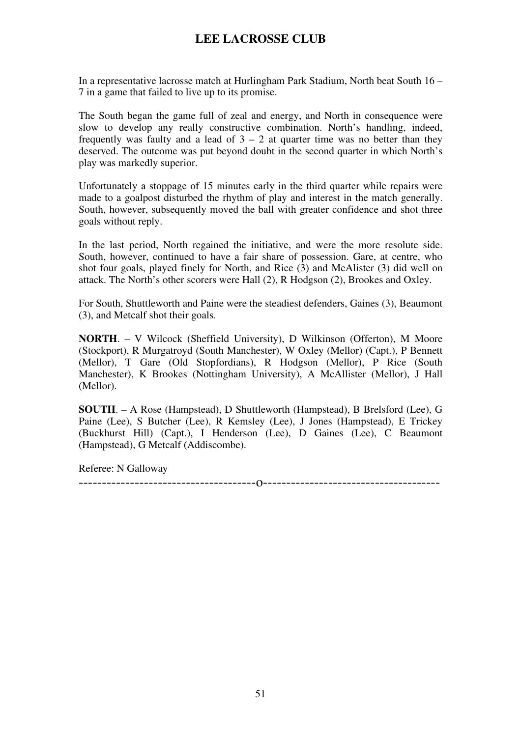In a representative lacrosse match at Hurlingham Park Stadium, North beat South 16 – 7 in a game that failed to live up to its promise.

The South began the game full of zeal and energy, and North in consequence were slow to develop any really constructive combination. North's handling, indeed, frequently was faulty and a lead of  $3 - 2$  at quarter time was no better than they deserved. The outcome was put beyond doubt in the second quarter in which North's play was markedly superior.

Unfortunately a stoppage of 15 minutes early in the third quarter while repairs were made to a goalpost disturbed the rhythm of play and interest in the match generally. South, however, subsequently moved the ball with greater confidence and shot three goals without reply.

In the last period, North regained the initiative, and were the more resolute side. South, however, continued to have a fair share of possession. Gare, at centre, who shot four goals, played finely for North, and Rice (3) and McAlister (3) did well on attack. The North's other scorers were Hall (2), R Hodgson (2), Brookes and Oxley.

For South, Shuttleworth and Paine were the steadiest defenders, Gaines (3), Beaumont (3), and Metcalf shot their goals.

**NORTH**. – V Wilcock (Sheffield University), D Wilkinson (Offerton), M Moore (Stockport), R Murgatroyd (South Manchester), W Oxley (Mellor) (Capt.), P Bennett (Mellor), T Gare (Old Stopfordians), R Hodgson (Mellor), P Rice (South Manchester), K Brookes (Nottingham University), A McAllister (Mellor), J Hall (Mellor).

**SOUTH**. – A Rose (Hampstead), D Shuttleworth (Hampstead), B Brelsford (Lee), G Paine (Lee), S Butcher (Lee), R Kemsley (Lee), J Jones (Hampstead), E Trickey (Buckhurst Hill) (Capt.), I Henderson (Lee), D Gaines (Lee), C Beaumont (Hampstead), G Metcalf (Addiscombe).

Referee: N Galloway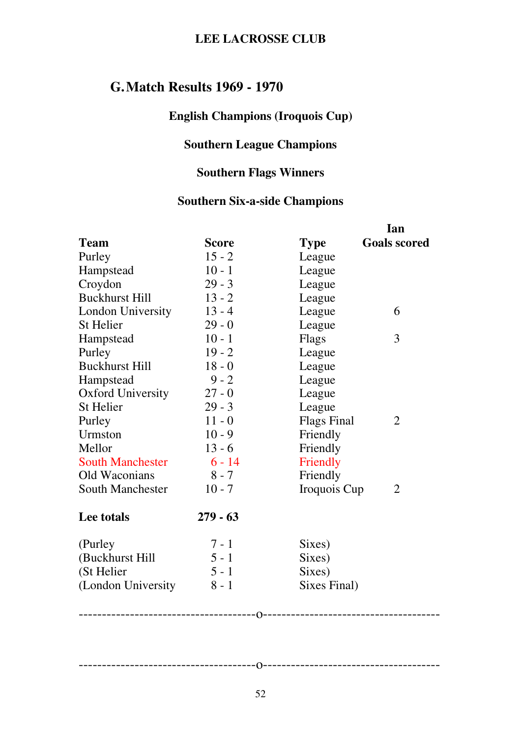# **G.Match Results 1969 - 1970**

# **English Champions (Iroquois Cup)**

# **Southern League Champions**

# **Southern Flags Winners**

# **Southern Six-a-side Champions**

|                          |              |                    | Ian                 |
|--------------------------|--------------|--------------------|---------------------|
| <b>Team</b>              | <b>Score</b> | <b>Type</b>        | <b>Goals scored</b> |
| Purley                   | $15 - 2$     | League             |                     |
| Hampstead                | $10 - 1$     | League             |                     |
| Croydon                  | $29 - 3$     | League             |                     |
| <b>Buckhurst Hill</b>    | $13 - 2$     | League             |                     |
| <b>London University</b> | $13 - 4$     | League             | 6                   |
| <b>St Helier</b>         | $29 - 0$     | League             |                     |
| Hampstead                | $10 - 1$     | Flags              | 3                   |
| Purley                   | $19 - 2$     | League             |                     |
| <b>Buckhurst Hill</b>    | $18 - 0$     | League             |                     |
| Hampstead                | $9 - 2$      | League             |                     |
| <b>Oxford University</b> | $27 - 0$     | League             |                     |
| <b>St Helier</b>         | $29 - 3$     | League             |                     |
| Purley                   | $11 - 0$     | <b>Flags Final</b> | $\overline{2}$      |
| Urmston                  | $10 - 9$     | Friendly           |                     |
| Mellor                   | $13 - 6$     | Friendly           |                     |
| <b>South Manchester</b>  | $6 - 14$     | Friendly           |                     |
| Old Waconians            | $8 - 7$      | Friendly           |                     |
| <b>South Manchester</b>  | $10 - 7$     | Iroquois Cup       | 2                   |
| Lee totals               | $279 - 63$   |                    |                     |
| (Purley)                 | $7 - 1$      | Sixes)             |                     |
| (Buckhurst Hill          | $5 - 1$      | Sixes)             |                     |
| (St Helier               | $5 - 1$      | Sixes)             |                     |
| (London University       | $8 - 1$      | Sixes Final)       |                     |

--------------------------------------o--------------------------------------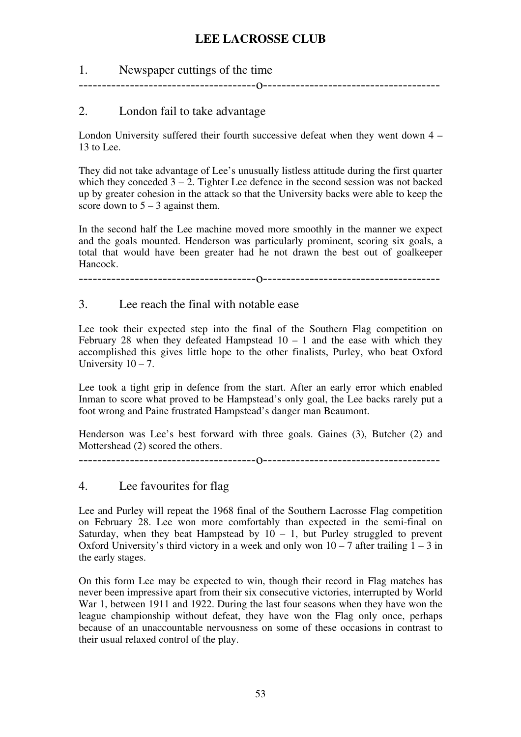#### 1. Newspaper cuttings of the time --------------------------------------o--------------------------------------

#### 2. London fail to take advantage

London University suffered their fourth successive defeat when they went down  $4 -$ 13 to Lee.

They did not take advantage of Lee's unusually listless attitude during the first quarter which they conceded  $3 - 2$ . Tighter Lee defence in the second session was not backed up by greater cohesion in the attack so that the University backs were able to keep the score down to  $5 - 3$  against them.

In the second half the Lee machine moved more smoothly in the manner we expect and the goals mounted. Henderson was particularly prominent, scoring six goals, a total that would have been greater had he not drawn the best out of goalkeeper Hancock.

--------------------------------------o--------------------------------------

#### 3. Lee reach the final with notable ease

Lee took their expected step into the final of the Southern Flag competition on February 28 when they defeated Hampstead  $10 - 1$  and the ease with which they accomplished this gives little hope to the other finalists, Purley, who beat Oxford University  $10 - 7$ .

Lee took a tight grip in defence from the start. After an early error which enabled Inman to score what proved to be Hampstead's only goal, the Lee backs rarely put a foot wrong and Paine frustrated Hampstead's danger man Beaumont.

Henderson was Lee's best forward with three goals. Gaines (3), Butcher (2) and Mottershead (2) scored the others.

--------------------------------------o--------------------------------------

#### 4. Lee favourites for flag

Lee and Purley will repeat the 1968 final of the Southern Lacrosse Flag competition on February 28. Lee won more comfortably than expected in the semi-final on Saturday, when they beat Hampstead by  $10 - 1$ , but Purley struggled to prevent Oxford University's third victory in a week and only won  $10 - 7$  after trailing  $1 - 3$  in the early stages.

On this form Lee may be expected to win, though their record in Flag matches has never been impressive apart from their six consecutive victories, interrupted by World War 1, between 1911 and 1922. During the last four seasons when they have won the league championship without defeat, they have won the Flag only once, perhaps because of an unaccountable nervousness on some of these occasions in contrast to their usual relaxed control of the play.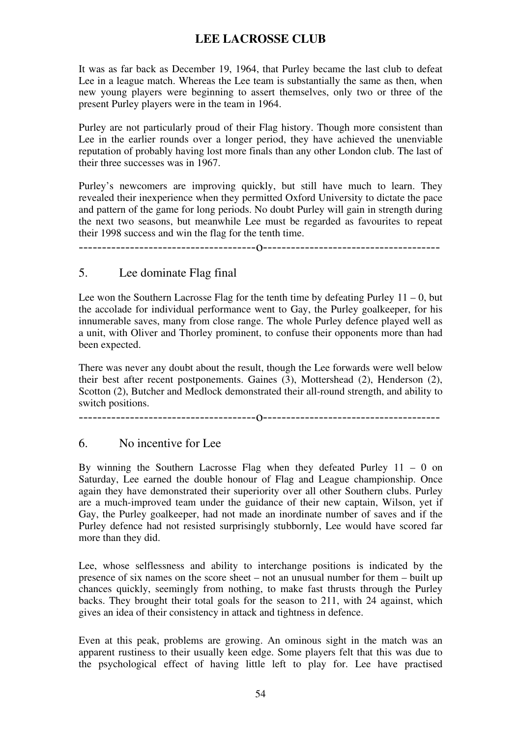It was as far back as December 19, 1964, that Purley became the last club to defeat Lee in a league match. Whereas the Lee team is substantially the same as then, when new young players were beginning to assert themselves, only two or three of the present Purley players were in the team in 1964.

Purley are not particularly proud of their Flag history. Though more consistent than Lee in the earlier rounds over a longer period, they have achieved the unenviable reputation of probably having lost more finals than any other London club. The last of their three successes was in 1967.

Purley's newcomers are improving quickly, but still have much to learn. They revealed their inexperience when they permitted Oxford University to dictate the pace and pattern of the game for long periods. No doubt Purley will gain in strength during the next two seasons, but meanwhile Lee must be regarded as favourites to repeat their 1998 success and win the flag for the tenth time.

--------------------------------------o--------------------------------------

#### 5. Lee dominate Flag final

Lee won the Southern Lacrosse Flag for the tenth time by defeating Purley  $11 - 0$ , but the accolade for individual performance went to Gay, the Purley goalkeeper, for his innumerable saves, many from close range. The whole Purley defence played well as a unit, with Oliver and Thorley prominent, to confuse their opponents more than had been expected.

There was never any doubt about the result, though the Lee forwards were well below their best after recent postponements. Gaines (3), Mottershead (2), Henderson (2), Scotton (2), Butcher and Medlock demonstrated their all-round strength, and ability to switch positions.

--------------------------------------o--------------------------------------

#### 6. No incentive for Lee

By winning the Southern Lacrosse Flag when they defeated Purley  $11 - 0$  on Saturday, Lee earned the double honour of Flag and League championship. Once again they have demonstrated their superiority over all other Southern clubs. Purley are a much-improved team under the guidance of their new captain, Wilson, yet if Gay, the Purley goalkeeper, had not made an inordinate number of saves and if the Purley defence had not resisted surprisingly stubbornly, Lee would have scored far more than they did.

Lee, whose selflessness and ability to interchange positions is indicated by the presence of six names on the score sheet – not an unusual number for them – built up chances quickly, seemingly from nothing, to make fast thrusts through the Purley backs. They brought their total goals for the season to 211, with 24 against, which gives an idea of their consistency in attack and tightness in defence.

Even at this peak, problems are growing. An ominous sight in the match was an apparent rustiness to their usually keen edge. Some players felt that this was due to the psychological effect of having little left to play for. Lee have practised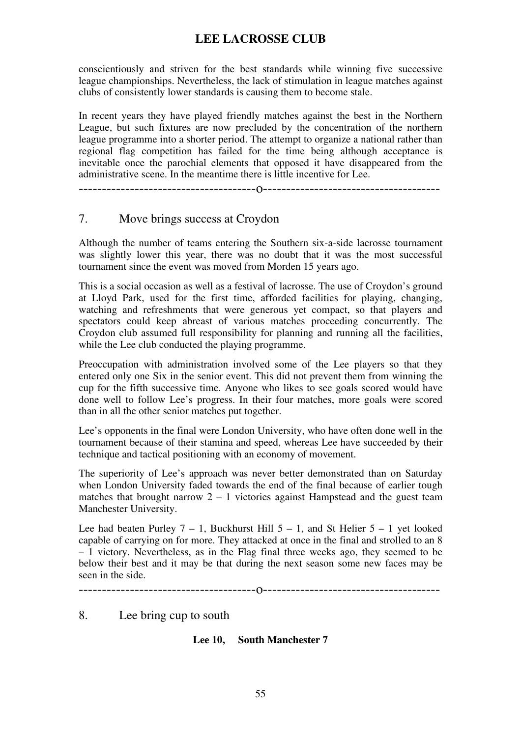conscientiously and striven for the best standards while winning five successive league championships. Nevertheless, the lack of stimulation in league matches against clubs of consistently lower standards is causing them to become stale.

In recent years they have played friendly matches against the best in the Northern League, but such fixtures are now precluded by the concentration of the northern league programme into a shorter period. The attempt to organize a national rather than regional flag competition has failed for the time being although acceptance is inevitable once the parochial elements that opposed it have disappeared from the administrative scene. In the meantime there is little incentive for Lee.

--------------------------------------o--------------------------------------

#### 7. Move brings success at Croydon

Although the number of teams entering the Southern six-a-side lacrosse tournament was slightly lower this year, there was no doubt that it was the most successful tournament since the event was moved from Morden 15 years ago.

This is a social occasion as well as a festival of lacrosse. The use of Croydon's ground at Lloyd Park, used for the first time, afforded facilities for playing, changing, watching and refreshments that were generous yet compact, so that players and spectators could keep abreast of various matches proceeding concurrently. The Croydon club assumed full responsibility for planning and running all the facilities, while the Lee club conducted the playing programme.

Preoccupation with administration involved some of the Lee players so that they entered only one Six in the senior event. This did not prevent them from winning the cup for the fifth successive time. Anyone who likes to see goals scored would have done well to follow Lee's progress. In their four matches, more goals were scored than in all the other senior matches put together.

Lee's opponents in the final were London University, who have often done well in the tournament because of their stamina and speed, whereas Lee have succeeded by their technique and tactical positioning with an economy of movement.

The superiority of Lee's approach was never better demonstrated than on Saturday when London University faded towards the end of the final because of earlier tough matches that brought narrow  $2 - 1$  victories against Hampstead and the guest team Manchester University.

Lee had beaten Purley  $7 - 1$ , Buckhurst Hill  $5 - 1$ , and St Helier  $5 - 1$  yet looked capable of carrying on for more. They attacked at once in the final and strolled to an 8 – 1 victory. Nevertheless, as in the Flag final three weeks ago, they seemed to be below their best and it may be that during the next season some new faces may be seen in the side.

--------------------------------------o--------------------------------------

8. Lee bring cup to south

#### **Lee 10, South Manchester 7**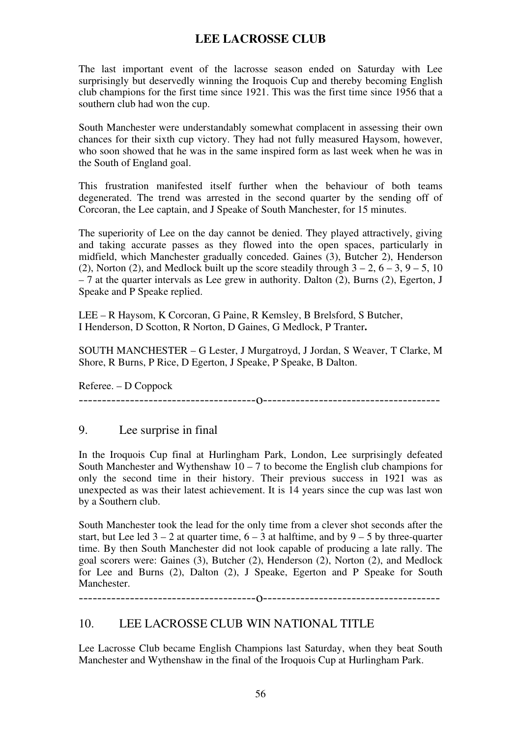The last important event of the lacrosse season ended on Saturday with Lee surprisingly but deservedly winning the Iroquois Cup and thereby becoming English club champions for the first time since 1921. This was the first time since 1956 that a southern club had won the cup.

South Manchester were understandably somewhat complacent in assessing their own chances for their sixth cup victory. They had not fully measured Haysom, however, who soon showed that he was in the same inspired form as last week when he was in the South of England goal.

This frustration manifested itself further when the behaviour of both teams degenerated. The trend was arrested in the second quarter by the sending off of Corcoran, the Lee captain, and J Speake of South Manchester, for 15 minutes.

The superiority of Lee on the day cannot be denied. They played attractively, giving and taking accurate passes as they flowed into the open spaces, particularly in midfield, which Manchester gradually conceded. Gaines (3), Butcher 2), Henderson (2), Norton (2), and Medlock built up the score steadily through  $3 - 2$ ,  $6 - 3$ ,  $9 - 5$ ,  $10$  $-7$  at the quarter intervals as Lee grew in authority. Dalton (2), Burns (2), Egerton, J Speake and P Speake replied.

LEE – R Haysom, K Corcoran, G Paine, R Kemsley, B Brelsford, S Butcher, I Henderson, D Scotton, R Norton, D Gaines, G Medlock, P Tranter**.**

SOUTH MANCHESTER – G Lester, J Murgatroyd, J Jordan, S Weaver, T Clarke, M Shore, R Burns, P Rice, D Egerton, J Speake, P Speake, B Dalton.

Referee. – D Coppock

--------------------------------------o--------------------------------------

### 9. Lee surprise in final

In the Iroquois Cup final at Hurlingham Park, London, Lee surprisingly defeated South Manchester and Wythenshaw  $10 - 7$  to become the English club champions for only the second time in their history. Their previous success in 1921 was as unexpected as was their latest achievement. It is 14 years since the cup was last won by a Southern club.

South Manchester took the lead for the only time from a clever shot seconds after the start, but Lee led  $3 - 2$  at quarter time,  $6 - 3$  at halftime, and by  $9 - 5$  by three-quarter time. By then South Manchester did not look capable of producing a late rally. The goal scorers were: Gaines (3), Butcher (2), Henderson (2), Norton (2), and Medlock for Lee and Burns (2), Dalton (2), J Speake, Egerton and P Speake for South Manchester.

--------------------------------------o--------------------------------------

# 10. LEE LACROSSE CLUB WIN NATIONAL TITLE

Lee Lacrosse Club became English Champions last Saturday, when they beat South Manchester and Wythenshaw in the final of the Iroquois Cup at Hurlingham Park.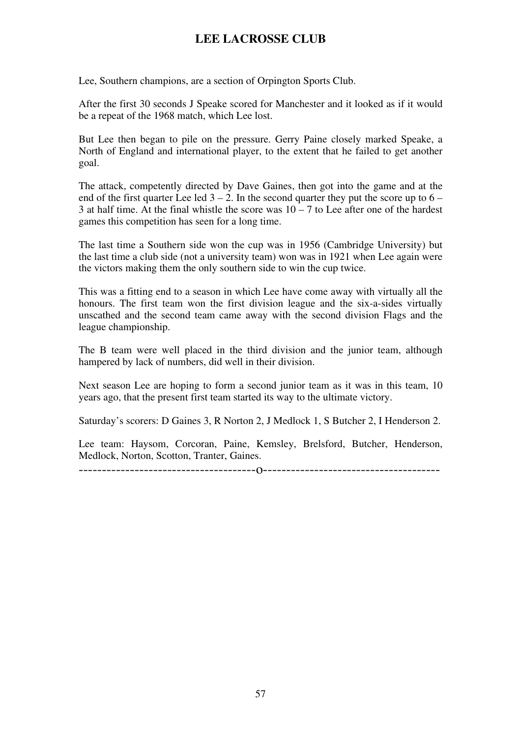Lee, Southern champions, are a section of Orpington Sports Club.

After the first 30 seconds J Speake scored for Manchester and it looked as if it would be a repeat of the 1968 match, which Lee lost.

But Lee then began to pile on the pressure. Gerry Paine closely marked Speake, a North of England and international player, to the extent that he failed to get another goal.

The attack, competently directed by Dave Gaines, then got into the game and at the end of the first quarter Lee led  $3 - 2$ . In the second quarter they put the score up to  $6 -$ 3 at half time. At the final whistle the score was  $10 - 7$  to Lee after one of the hardest games this competition has seen for a long time.

The last time a Southern side won the cup was in 1956 (Cambridge University) but the last time a club side (not a university team) won was in 1921 when Lee again were the victors making them the only southern side to win the cup twice.

This was a fitting end to a season in which Lee have come away with virtually all the honours. The first team won the first division league and the six-a-sides virtually unscathed and the second team came away with the second division Flags and the league championship.

The B team were well placed in the third division and the junior team, although hampered by lack of numbers, did well in their division.

Next season Lee are hoping to form a second junior team as it was in this team, 10 years ago, that the present first team started its way to the ultimate victory.

Saturday's scorers: D Gaines 3, R Norton 2, J Medlock 1, S Butcher 2, I Henderson 2.

Lee team: Haysom, Corcoran, Paine, Kemsley, Brelsford, Butcher, Henderson, Medlock, Norton, Scotton, Tranter, Gaines.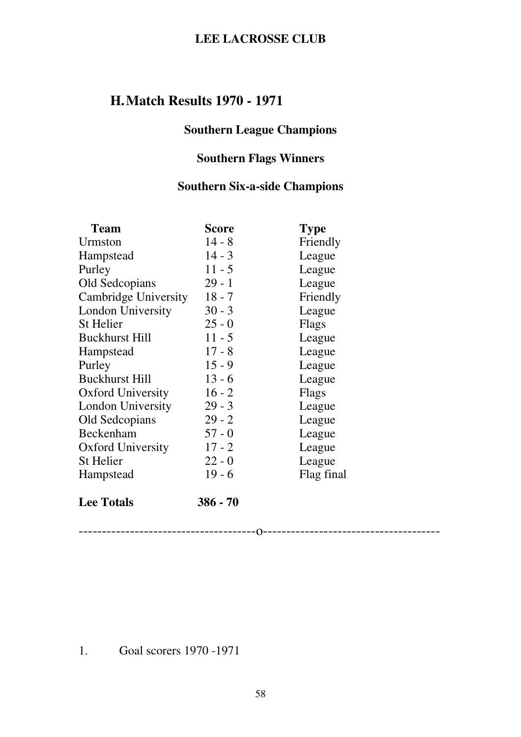# **H.Match Results 1970 - 1971**

### **Southern League Champions**

### **Southern Flags Winners**

### **Southern Six-a-side Champions**

| <b>Team</b>              | Score      | <b>Type</b> |
|--------------------------|------------|-------------|
| Urmston                  | $14 - 8$   | Friendly    |
| <b>Hampstead</b>         | $14 - 3$   | League      |
| Purley                   | $11 - 5$   | League      |
| Old Sedcopians           | $29 - 1$   | League      |
| Cambridge University     | $18 - 7$   | Friendly    |
| <b>London University</b> | $30 - 3$   | League      |
| <b>St Helier</b>         | $25 - 0$   | Flags       |
| <b>Buckhurst Hill</b>    | $11 - 5$   | League      |
| Hampstead                | $17 - 8$   | League      |
| Purley                   | $15 - 9$   | League      |
| <b>Buckhurst Hill</b>    | $13 - 6$   | League      |
| <b>Oxford University</b> | $16 - 2$   | Flags       |
| London University        | $29 - 3$   | League      |
| Old Sedcopians           | $29 - 2$   | League      |
| Beckenham                | $57 - 0$   | League      |
| <b>Oxford University</b> | $17 - 2$   | League      |
| <b>St Helier</b>         | $22 - 0$   | League      |
| <b>Hampstead</b>         | $19 - 6$   | Flag final  |
| <b>Lee Totals</b>        | $386 - 70$ |             |

--------------------------------------o--------------------------------------

# 1. Goal scorers 1970 -1971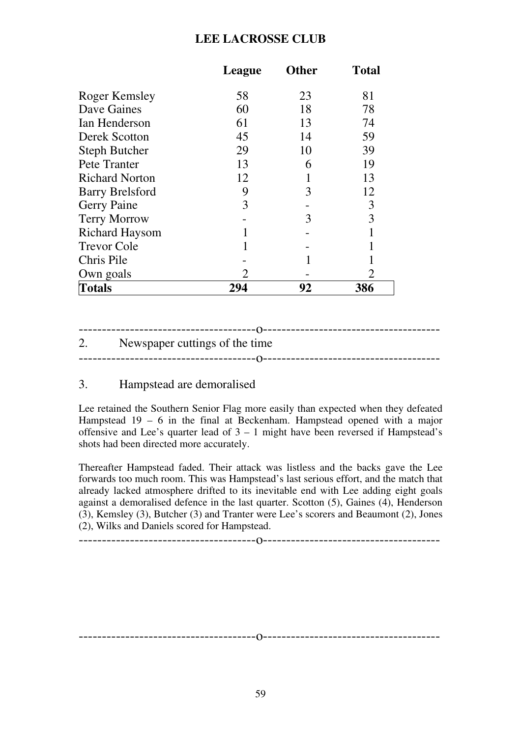|                        | League | <b>Other</b> | <b>Total</b> |
|------------------------|--------|--------------|--------------|
| Roger Kemsley          | 58     | 23           | 81           |
| Dave Gaines            | 60     | 18           | 78           |
| Ian Henderson          | 61     | 13           | 74           |
| <b>Derek Scotton</b>   | 45     | 14           | 59           |
| <b>Steph Butcher</b>   | 29     | 10           | 39           |
| Pete Tranter           | 13     | 6            | 19           |
| <b>Richard Norton</b>  | 12     |              | 13           |
| <b>Barry Brelsford</b> | 9      | 3            | 12           |
| <b>Gerry Paine</b>     | 3      |              | 3            |
| <b>Terry Morrow</b>    |        | 3            | 3            |
| <b>Richard Haysom</b>  |        |              | 1            |
| <b>Trevor Cole</b>     |        |              |              |
| Chris Pile             |        |              |              |
| Own goals              | 2      |              | 2            |
| <b>Totals</b>          | 294    | 92           | 386          |

#### --------------------------------------o-------------------------------------- 2. Newspaper cuttings of the time --------------------------------------o--------------------------------------

#### 3. Hampstead are demoralised

Lee retained the Southern Senior Flag more easily than expected when they defeated Hampstead 19 – 6 in the final at Beckenham. Hampstead opened with a major offensive and Lee's quarter lead of  $3 - 1$  might have been reversed if Hampstead's shots had been directed more accurately.

Thereafter Hampstead faded. Their attack was listless and the backs gave the Lee forwards too much room. This was Hampstead's last serious effort, and the match that already lacked atmosphere drifted to its inevitable end with Lee adding eight goals against a demoralised defence in the last quarter. Scotton (5), Gaines (4), Henderson (3), Kemsley (3), Butcher (3) and Tranter were Lee's scorers and Beaumont (2), Jones (2), Wilks and Daniels scored for Hampstead.

--------------------------------------o--------------------------------------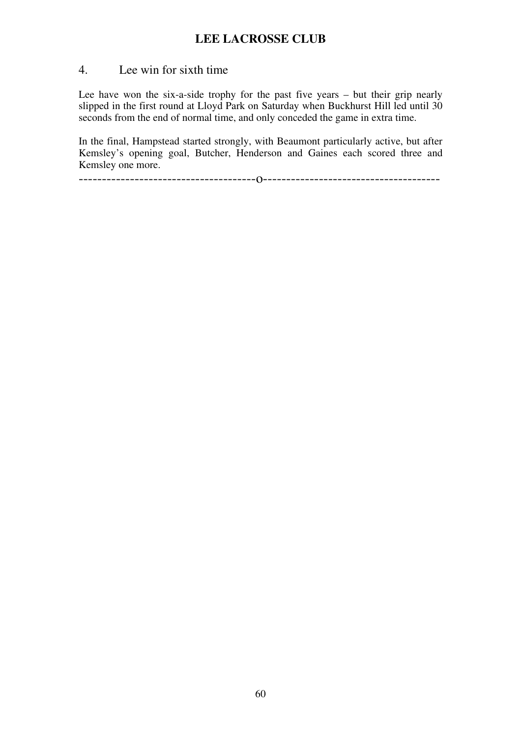#### 4. Lee win for sixth time

Lee have won the six-a-side trophy for the past five years – but their grip nearly slipped in the first round at Lloyd Park on Saturday when Buckhurst Hill led until 30 seconds from the end of normal time, and only conceded the game in extra time.

In the final, Hampstead started strongly, with Beaumont particularly active, but after Kemsley's opening goal, Butcher, Henderson and Gaines each scored three and Kemsley one more.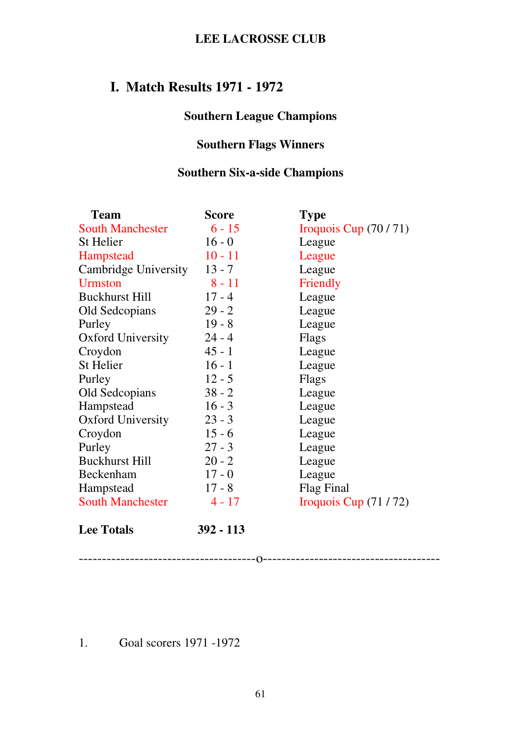# **I. Match Results 1971 - 1972**

# **Southern League Champions**

# **Southern Flags Winners**

# **Southern Six-a-side Champions**

| <b>Team</b>              | <b>Score</b> | <b>Type</b>            |
|--------------------------|--------------|------------------------|
| <b>South Manchester</b>  | $6 - 15$     | Iroquois Cup $(70/71)$ |
| St Helier                | $16 - 0$     | League                 |
| <b>Hampstead</b>         | $10 - 11$    | League                 |
| Cambridge University     | $13 - 7$     | League                 |
| <b>Urmston</b>           | $8 - 11$     | Friendly               |
| <b>Buckhurst Hill</b>    | $17 - 4$     | League                 |
| Old Sedcopians           | $29 - 2$     | League                 |
| Purley                   | $19 - 8$     | League                 |
| <b>Oxford University</b> | $24 - 4$     | Flags                  |
| Croydon                  | $45 - 1$     | League                 |
| St Helier                | $16 - 1$     | League                 |
| Purley                   | $12 - 5$     | Flags                  |
| Old Sedcopians           | $38 - 2$     | League                 |
| Hampstead                | $16 - 3$     | League                 |
| <b>Oxford University</b> | $23 - 3$     | League                 |
| Croydon                  | $15 - 6$     | League                 |
| Purley                   | $27 - 3$     | League                 |
| <b>Buckhurst Hill</b>    | $20 - 2$     | League                 |
| Beckenham                | $17 - 0$     | League                 |
| Hampstead                | $17 - 8$     | Flag Final             |
| <b>South Manchester</b>  | $4 - 17$     | Iroquois Cup $(71/72)$ |

**Lee Totals 392 - 113**

--------------------------------------o--------------------------------------

# 1. Goal scorers 1971 -1972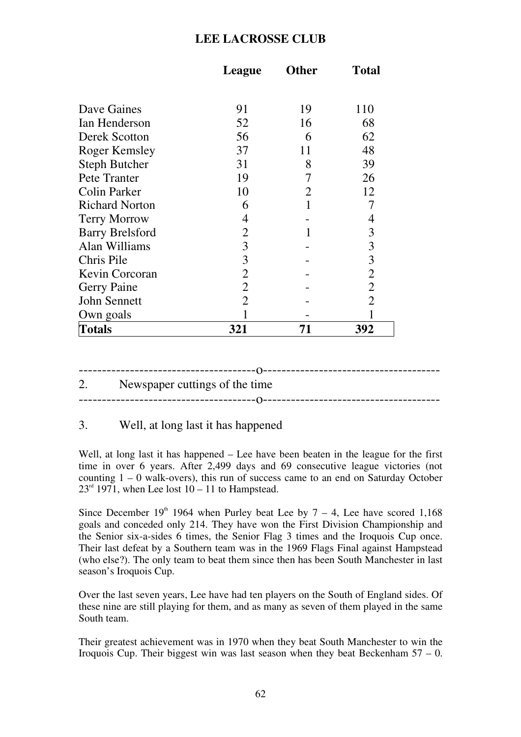|                        | League         |    | <b>Total</b>   |  |
|------------------------|----------------|----|----------------|--|
|                        |                |    |                |  |
| Dave Gaines            | 91             | 19 | 110            |  |
| Ian Henderson          | 52             | 16 | 68             |  |
| <b>Derek Scotton</b>   | 56             | 6  | 62             |  |
| Roger Kemsley          | 37             | 11 | 48             |  |
| <b>Steph Butcher</b>   | 31             | 8  | 39             |  |
| Pete Tranter           | 19             | 7  | 26             |  |
| Colin Parker           | 10             | 2  | 12             |  |
| <b>Richard Norton</b>  | 6              |    |                |  |
| <b>Terry Morrow</b>    | 4              |    | 4              |  |
| <b>Barry Brelsford</b> | $\overline{2}$ |    | 3              |  |
| Alan Williams          | 3              |    | 3              |  |
| Chris Pile             | 3              |    | 3              |  |
| Kevin Corcoran         | $\overline{2}$ |    | $\overline{2}$ |  |
| <b>Gerry Paine</b>     | $\overline{2}$ |    | $\overline{2}$ |  |
| John Sennett           | $\overline{2}$ |    | $\overline{2}$ |  |
| Own goals              |                |    |                |  |
| <b>Totals</b>          | 321            | 71 | 392            |  |

--------------------------------------o--------------------------------------

2. Newspaper cuttings of the time

--------------------------------------o--------------------------------------

#### 3. Well, at long last it has happened

Well, at long last it has happened – Lee have been beaten in the league for the first time in over 6 years. After 2,499 days and 69 consecutive league victories (not counting 1 – 0 walk-overs), this run of success came to an end on Saturday October  $23<sup>rd</sup>$  1971, when Lee lost 10 – 11 to Hampstead.

Since December  $19<sup>th</sup> 1964$  when Purley beat Lee by  $7 - 4$ , Lee have scored 1,168 goals and conceded only 214. They have won the First Division Championship and the Senior six-a-sides 6 times, the Senior Flag 3 times and the Iroquois Cup once. Their last defeat by a Southern team was in the 1969 Flags Final against Hampstead (who else?). The only team to beat them since then has been South Manchester in last season's Iroquois Cup.

Over the last seven years, Lee have had ten players on the South of England sides. Of these nine are still playing for them, and as many as seven of them played in the same South team.

Their greatest achievement was in 1970 when they beat South Manchester to win the Iroquois Cup. Their biggest win was last season when they beat Beckenham  $57 - 0$ .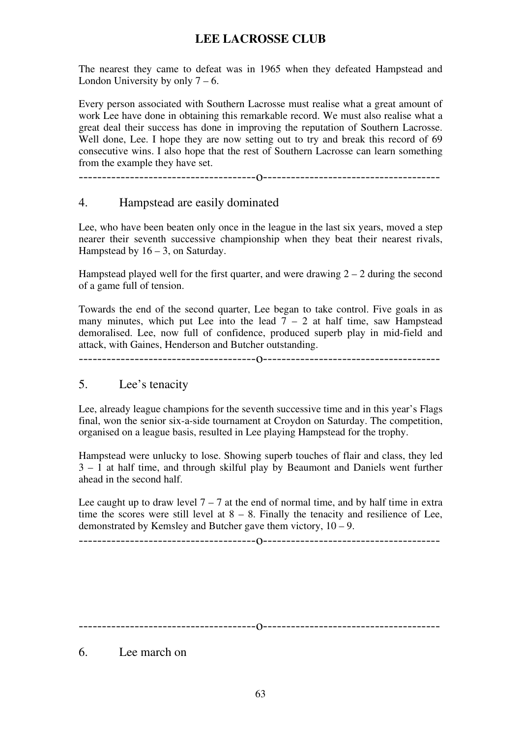The nearest they came to defeat was in 1965 when they defeated Hampstead and London University by only  $7 - 6$ .

Every person associated with Southern Lacrosse must realise what a great amount of work Lee have done in obtaining this remarkable record. We must also realise what a great deal their success has done in improving the reputation of Southern Lacrosse. Well done, Lee. I hope they are now setting out to try and break this record of 69 consecutive wins. I also hope that the rest of Southern Lacrosse can learn something from the example they have set.

--------------------------------------o--------------------------------------

#### 4. Hampstead are easily dominated

Lee, who have been beaten only once in the league in the last six years, moved a step nearer their seventh successive championship when they beat their nearest rivals, Hampstead by  $16 - 3$ , on Saturday.

Hampstead played well for the first quarter, and were drawing  $2 - 2$  during the second of a game full of tension.

Towards the end of the second quarter, Lee began to take control. Five goals in as many minutes, which put Lee into the lead  $7 - 2$  at half time, saw Hampstead demoralised. Lee, now full of confidence, produced superb play in mid-field and attack, with Gaines, Henderson and Butcher outstanding.

--------------------------------------o--------------------------------------

#### 5. Lee's tenacity

Lee, already league champions for the seventh successive time and in this year's Flags final, won the senior six-a-side tournament at Croydon on Saturday. The competition, organised on a league basis, resulted in Lee playing Hampstead for the trophy.

Hampstead were unlucky to lose. Showing superb touches of flair and class, they led 3 – 1 at half time, and through skilful play by Beaumont and Daniels went further ahead in the second half.

Lee caught up to draw level  $7 - 7$  at the end of normal time, and by half time in extra time the scores were still level at  $8 - 8$ . Finally the tenacity and resilience of Lee, demonstrated by Kemsley and Butcher gave them victory, 10 – 9.

--------------------------------------o--------------------------------------

--------------------------------------o--------------------------------------

6. Lee march on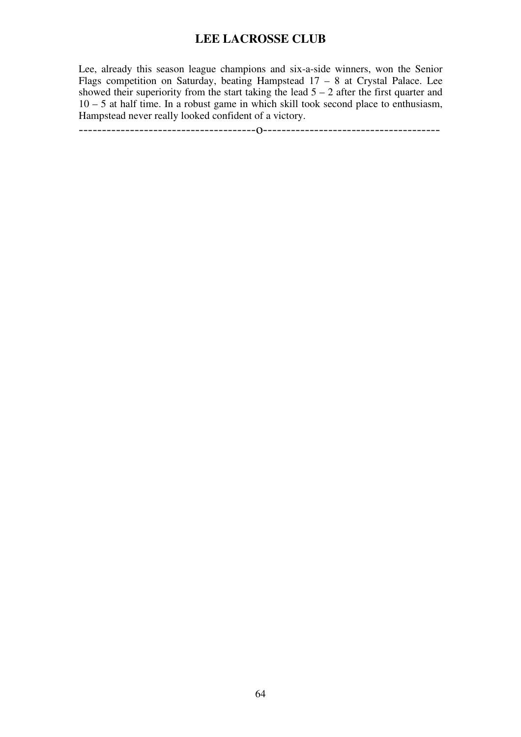Lee, already this season league champions and six-a-side winners, won the Senior Flags competition on Saturday, beating Hampstead 17 – 8 at Crystal Palace. Lee showed their superiority from the start taking the lead  $5 - 2$  after the first quarter and 10 – 5 at half time. In a robust game in which skill took second place to enthusiasm, Hampstead never really looked confident of a victory.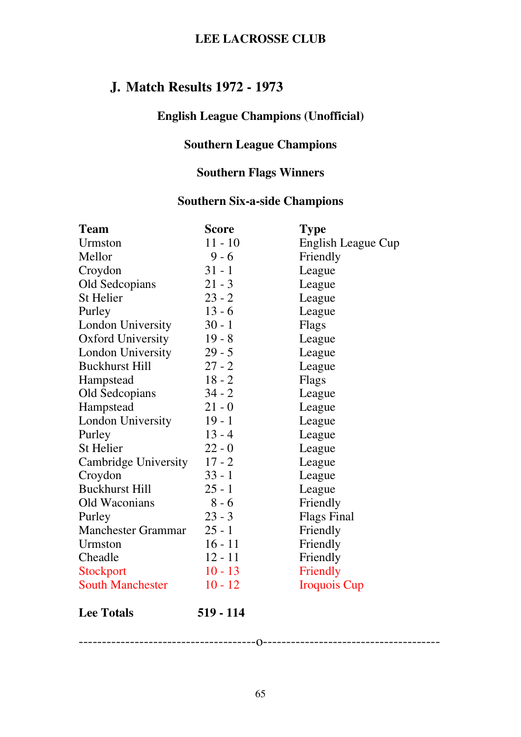# **J. Match Results 1972 - 1973**

# **English League Champions (Unofficial)**

# **Southern League Champions**

# **Southern Flags Winners**

# **Southern Six-a-side Champions**

| <b>Team</b>               | <b>Score</b> | <b>Type</b>         |
|---------------------------|--------------|---------------------|
| Urmston                   | $11 - 10$    | English League Cup  |
| Mellor                    | $9 - 6$      | Friendly            |
| Croydon                   | $31 - 1$     | League              |
| Old Sedcopians            | $21 - 3$     | League              |
| <b>St Helier</b>          | $23 - 2$     | League              |
| Purley                    | $13 - 6$     | League              |
| <b>London University</b>  | $30 - 1$     | Flags               |
| <b>Oxford University</b>  | $19 - 8$     | League              |
| <b>London University</b>  | $29 - 5$     | League              |
| <b>Buckhurst Hill</b>     | $27 - 2$     | League              |
| Hampstead                 | $18 - 2$     | Flags               |
| Old Sedcopians            | $34 - 2$     | League              |
| Hampstead                 | $21 - 0$     | League              |
| London University         | $19 - 1$     | League              |
| Purley                    | $13 - 4$     | League              |
| <b>St Helier</b>          | $22 - 0$     | League              |
| Cambridge University      | $17 - 2$     | League              |
| Croydon                   | $33 - 1$     | League              |
| <b>Buckhurst Hill</b>     | $25 - 1$     | League              |
| Old Waconians             | $8 - 6$      | Friendly            |
| Purley                    | $23 - 3$     | <b>Flags Final</b>  |
| <b>Manchester Grammar</b> | $25 - 1$     | Friendly            |
| Urmston                   | $16 - 11$    | Friendly            |
| Cheadle                   | $12 - 11$    | Friendly            |
| Stockport                 | $10 - 13$    | Friendly            |
| <b>South Manchester</b>   | $10 - 12$    | <b>Iroquois Cup</b> |
|                           |              |                     |

**Lee Totals 519 - 114** 

65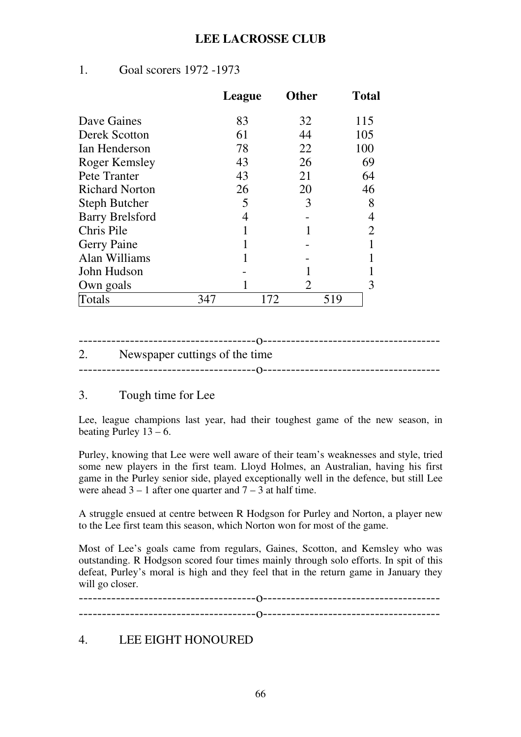|                        |     | League | <b>Other</b> |     | <b>Total</b>   |
|------------------------|-----|--------|--------------|-----|----------------|
| Dave Gaines            |     | 83     | 32           |     | 115            |
| Derek Scotton          |     | 61     | 44           |     | 105            |
| Ian Henderson          |     | 78     | 22           |     | 100            |
| Roger Kemsley          |     | 43     | 26           |     | 69             |
| Pete Tranter           |     | 43     | 21           |     | 64             |
| <b>Richard Norton</b>  |     | 26     | 20           |     | 46             |
| <b>Steph Butcher</b>   |     | 5      | 3            |     | 8              |
| <b>Barry Brelsford</b> |     | 4      |              |     | 4              |
| Chris Pile             |     |        |              |     | $\overline{2}$ |
| <b>Gerry Paine</b>     |     |        |              |     |                |
| Alan Williams          |     |        |              |     |                |
| John Hudson            |     |        |              |     |                |
| Own goals              |     |        | 2            |     | 3              |
| Totals                 | 347 |        | 172          | 519 |                |

#### 1. Goal scorers 1972 -1973

#### --------------------------------------o--------------------------------------

#### 2. Newspaper cuttings of the time --------------------------------------o--------------------------------------

### 3. Tough time for Lee

Lee, league champions last year, had their toughest game of the new season, in beating Purley  $13 - 6$ .

Purley, knowing that Lee were well aware of their team's weaknesses and style, tried some new players in the first team. Lloyd Holmes, an Australian, having his first game in the Purley senior side, played exceptionally well in the defence, but still Lee were ahead  $3 - 1$  after one quarter and  $7 - 3$  at half time.

A struggle ensued at centre between R Hodgson for Purley and Norton, a player new to the Lee first team this season, which Norton won for most of the game.

Most of Lee's goals came from regulars, Gaines, Scotton, and Kemsley who was outstanding. R Hodgson scored four times mainly through solo efforts. In spit of this defeat, Purley's moral is high and they feel that in the return game in January they will go closer.

--------------------------------------o-------------------------------------- --------------------------------------o--------------------------------------

### 4. LEE EIGHT HONOURED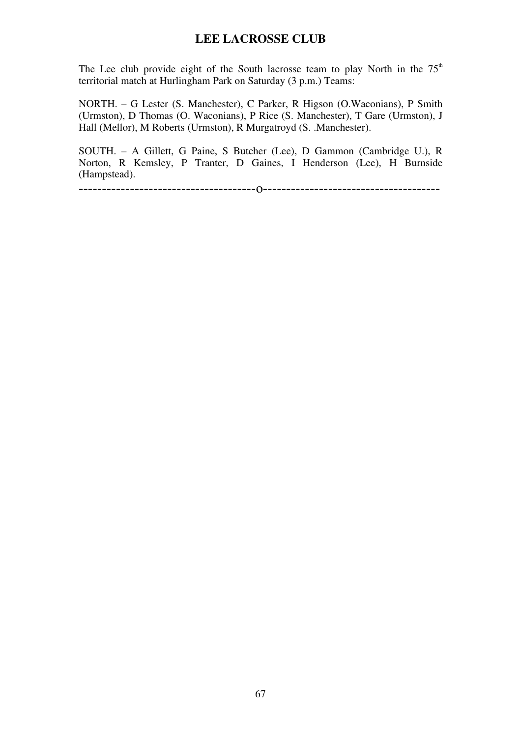The Lee club provide eight of the South lacrosse team to play North in the  $75<sup>th</sup>$ territorial match at Hurlingham Park on Saturday (3 p.m.) Teams:

NORTH. – G Lester (S. Manchester), C Parker, R Higson (O.Waconians), P Smith (Urmston), D Thomas (O. Waconians), P Rice (S. Manchester), T Gare (Urmston), J Hall (Mellor), M Roberts (Urmston), R Murgatroyd (S. .Manchester).

SOUTH. – A Gillett, G Paine, S Butcher (Lee), D Gammon (Cambridge U.), R Norton, R Kemsley, P Tranter, D Gaines, I Henderson (Lee), H Burnside (Hampstead).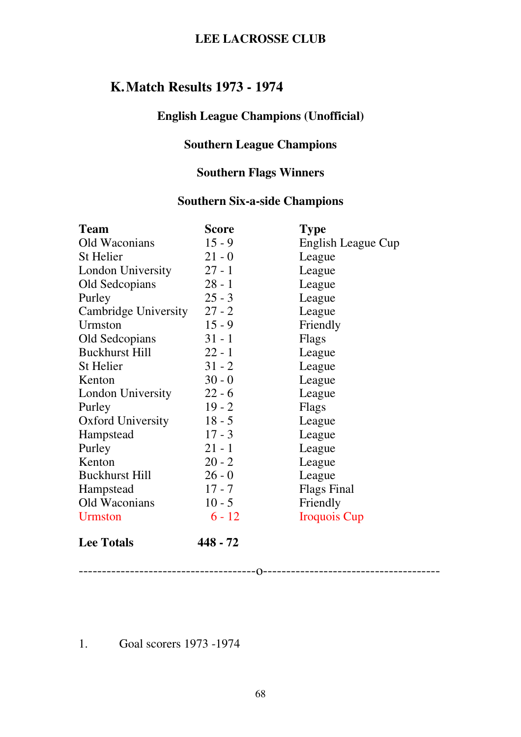# **K.Match Results 1973 - 1974**

# **English League Champions (Unofficial)**

# **Southern League Champions**

# **Southern Flags Winners**

# **Southern Six-a-side Champions**

| <b>Team</b>              | <b>Score</b> | <b>Type</b>        |
|--------------------------|--------------|--------------------|
| Old Waconians            | $15 - 9$     | English League Cup |
| St Helier                | $21 - 0$     | League             |
| London University        | $27 - 1$     | League             |
| Old Sedcopians           | $28 - 1$     | League             |
| Purley                   | $25 - 3$     | League             |
| Cambridge University     | $27 - 2$     | League             |
| Urmston                  | $15 - 9$     | Friendly           |
| Old Sedcopians           | $31 - 1$     | Flags              |
| <b>Buckhurst Hill</b>    | $22 - 1$     | League             |
| St Helier                | $31 - 2$     | League             |
| Kenton                   | $30 - 0$     | League             |
| London University        | $22 - 6$     | League             |
| Purley                   | $19 - 2$     | Flags              |
| <b>Oxford University</b> | $18 - 5$     | League             |
| Hampstead                | $17 - 3$     | League             |
| Purley                   | $21 - 1$     | League             |
| Kenton                   | $20 - 2$     | League             |
| <b>Buckhurst Hill</b>    | $26 - 0$     | League             |
| Hampstead                | $17 - 7$     | <b>Flags Final</b> |
| Old Waconians            | $10 - 5$     | Friendly           |
| <b>Urmston</b>           | $6 - 12$     | Iroquois Cup       |
|                          |              |                    |

**Lee Totals 448 - 72**

--------------------------------------o--------------------------------------

# 1. Goal scorers 1973 -1974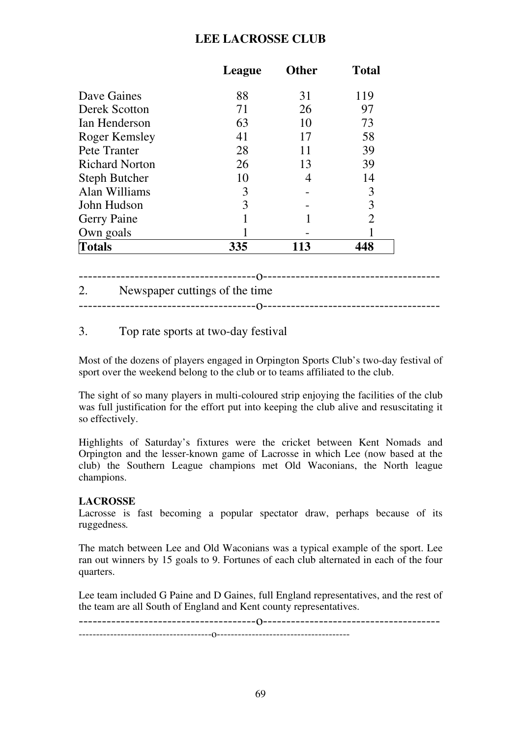|                       | League | <b>Other</b> | <b>Total</b> |
|-----------------------|--------|--------------|--------------|
| Dave Gaines           | 88     | 31           | 119          |
| Derek Scotton         | 71     | 26           | 97           |
| Ian Henderson         | 63     | 10           | 73           |
| Roger Kemsley         | 41     | 17           | 58           |
| Pete Tranter          | 28     | 11           | 39           |
| <b>Richard Norton</b> | 26     | 13           | 39           |
| <b>Steph Butcher</b>  | 10     | 4            | 14           |
| Alan Williams         | 3      |              | 3            |
| John Hudson           | 3      |              | 3            |
| <b>Gerry Paine</b>    |        |              | 2            |
| Own goals             |        |              |              |
| <b>Totals</b>         | 335    | 113          | 448          |

# --------------------------------------o--------------------------------------

#### 2. Newspaper cuttings of the time --------------------------------------o--------------------------------------

#### 3. Top rate sports at two-day festival

Most of the dozens of players engaged in Orpington Sports Club's two-day festival of sport over the weekend belong to the club or to teams affiliated to the club.

The sight of so many players in multi-coloured strip enjoying the facilities of the club was full justification for the effort put into keeping the club alive and resuscitating it so effectively.

Highlights of Saturday's fixtures were the cricket between Kent Nomads and Orpington and the lesser-known game of Lacrosse in which Lee (now based at the club) the Southern League champions met Old Waconians, the North league champions.

#### **LACROSSE**

Lacrosse is fast becoming a popular spectator draw, perhaps because of its ruggedness*.* 

The match between Lee and Old Waconians was a typical example of the sport. Lee ran out winners by 15 goals to 9. Fortunes of each club alternated in each of the four quarters.

Lee team included G Paine and D Gaines, full England representatives, and the rest of the team are all South of England and Kent county representatives.

--------------------------------------o-------------------------------------- --------------------------------------o--------------------------------------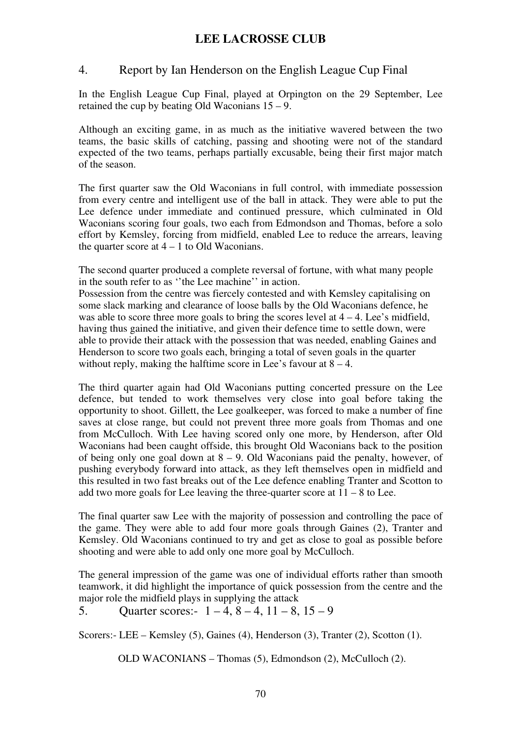#### 4. Report by Ian Henderson on the English League Cup Final

In the English League Cup Final, played at Orpington on the 29 September, Lee retained the cup by beating Old Waconians 15 – 9.

Although an exciting game, in as much as the initiative wavered between the two teams, the basic skills of catching, passing and shooting were not of the standard expected of the two teams, perhaps partially excusable, being their first major match of the season.

The first quarter saw the Old Waconians in full control, with immediate possession from every centre and intelligent use of the ball in attack. They were able to put the Lee defence under immediate and continued pressure, which culminated in Old Waconians scoring four goals, two each from Edmondson and Thomas, before a solo effort by Kemsley, forcing from midfield, enabled Lee to reduce the arrears, leaving the quarter score at  $4 - 1$  to Old Waconians.

The second quarter produced a complete reversal of fortune, with what many people in the south refer to as ''the Lee machine'' in action.

Possession from the centre was fiercely contested and with Kemsley capitalising on some slack marking and clearance of loose balls by the Old Waconians defence, he was able to score three more goals to bring the scores level at  $4 - 4$ . Lee's midfield, having thus gained the initiative, and given their defence time to settle down, were able to provide their attack with the possession that was needed, enabling Gaines and Henderson to score two goals each, bringing a total of seven goals in the quarter without reply, making the halftime score in Lee's favour at  $8 - 4$ .

The third quarter again had Old Waconians putting concerted pressure on the Lee defence, but tended to work themselves very close into goal before taking the opportunity to shoot. Gillett, the Lee goalkeeper, was forced to make a number of fine saves at close range, but could not prevent three more goals from Thomas and one from McCulloch. With Lee having scored only one more, by Henderson, after Old Waconians had been caught offside, this brought Old Waconians back to the position of being only one goal down at 8 – 9. Old Waconians paid the penalty, however, of pushing everybody forward into attack, as they left themselves open in midfield and this resulted in two fast breaks out of the Lee defence enabling Tranter and Scotton to add two more goals for Lee leaving the three-quarter score at  $11 - 8$  to Lee.

The final quarter saw Lee with the majority of possession and controlling the pace of the game. They were able to add four more goals through Gaines (2), Tranter and Kemsley. Old Waconians continued to try and get as close to goal as possible before shooting and were able to add only one more goal by McCulloch.

The general impression of the game was one of individual efforts rather than smooth teamwork, it did highlight the importance of quick possession from the centre and the major role the midfield plays in supplying the attack

5. Ouarter scores:  $1 - 4$ ,  $8 - 4$ ,  $11 - 8$ ,  $15 - 9$ 

Scorers:- LEE – Kemsley (5), Gaines (4), Henderson (3), Tranter (2), Scotton (1).

OLD WACONIANS – Thomas (5), Edmondson (2), McCulloch (2).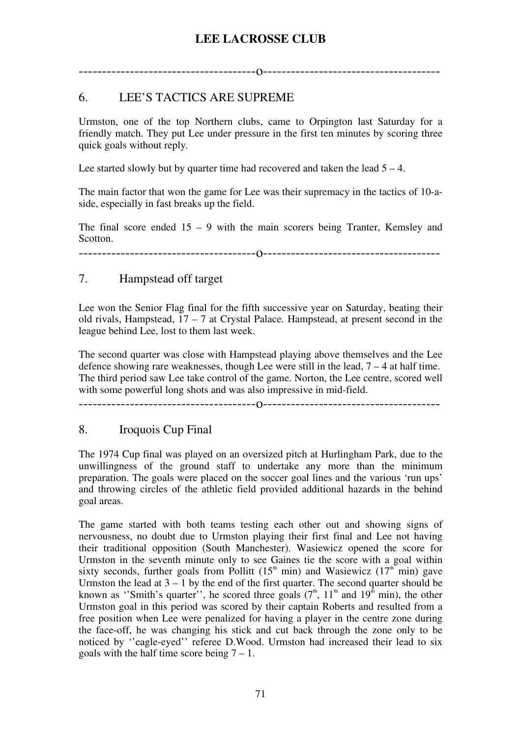--------------------------------------o--------------------------------------

### 6. LEE'S TACTICS ARE SUPREME

Urmston, one of the top Northern clubs, came to Orpington last Saturday for a friendly match. They put Lee under pressure in the first ten minutes by scoring three quick goals without reply*.* 

Lee started slowly but by quarter time had recovered and taken the lead  $5 - 4$ .

The main factor that won the game for Lee was their supremacy in the tactics of 10-aside, especially in fast breaks up the field.

The final score ended  $15 - 9$  with the main scorers being Tranter, Kemsley and Scotton.

--------------------------------------o--------------------------------------

### 7. Hampstead off target

Lee won the Senior Flag final for the fifth successive year on Saturday, beating their old rivals, Hampstead, 17 – 7 at Crystal Palace. Hampstead, at present second in the league behind Lee, lost to them last week.

The second quarter was close with Hampstead playing above themselves and the Lee defence showing rare weaknesses, though Lee were still in the lead, 7 – 4 at half time. The third period saw Lee take control of the game. Norton, the Lee centre, scored well with some powerful long shots and was also impressive in mid-field.

--------------------------------------o--------------------------------------

#### 8. Iroquois Cup Final

The 1974 Cup final was played on an oversized pitch at Hurlingham Park, due to the unwillingness of the ground staff to undertake any more than the minimum preparation. The goals were placed on the soccer goal lines and the various 'run ups' and throwing circles of the athletic field provided additional hazards in the behind goal areas.

The game started with both teams testing each other out and showing signs of nervousness, no doubt due to Urmston playing their first final and Lee not having their traditional opposition (South Manchester). Wasiewicz opened the score for Urmston in the seventh minute only to see Gaines tie the score with a goal within sixty seconds, further goals from Pollitt  $(15<sup>th</sup> min)$  and Wasiewicz  $(17<sup>th</sup> min)$  gave Urmston the lead at  $3 - 1$  by the end of the first quarter. The second quarter should be known as "Smith's quarter", he scored three goals  $(7<sup>th</sup>, 11<sup>th</sup>$  and  $19<sup>th</sup>$  min), the other Urmston goal in this period was scored by their captain Roberts and resulted from a free position when Lee were penalized for having a player in the centre zone during the face-off, he was changing his stick and cut back through the zone only to be noticed by ''eagle-eyed'' referee D.Wood. Urmston had increased their lead to six goals with the half time score being  $7 - 1$ .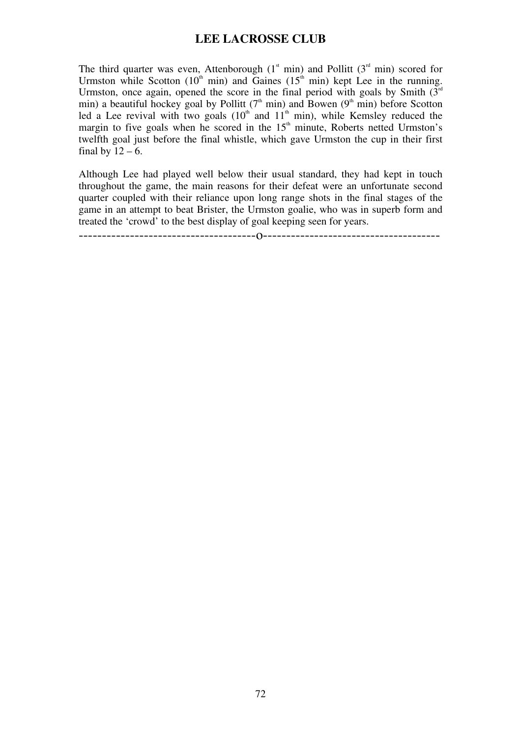The third quarter was even, Attenborough  $(1<sup>st</sup> min)$  and Pollitt  $(3<sup>rd</sup> min)$  scored for Urmston while Scotton  $(10<sup>th</sup> min)$  and Gaines  $(15<sup>th</sup> min)$  kept Lee in the running. Urmston, once again, opened the score in the final period with goals by Smith  $3<sup>rd</sup>$ min) a beautiful hockey goal by Pollitt ( $7<sup>th</sup>$  min) and Bowen ( $9<sup>th</sup>$  min) before Scotton led a Lee revival with two goals  $(10<sup>th</sup>$  and  $11<sup>th</sup>$  min), while Kemsley reduced the margin to five goals when he scored in the  $15<sup>th</sup>$  minute, Roberts netted Urmston's twelfth goal just before the final whistle, which gave Urmston the cup in their first final by  $12 - 6$ .

Although Lee had played well below their usual standard, they had kept in touch throughout the game, the main reasons for their defeat were an unfortunate second quarter coupled with their reliance upon long range shots in the final stages of the game in an attempt to beat Brister, the Urmston goalie, who was in superb form and treated the 'crowd' to the best display of goal keeping seen for years.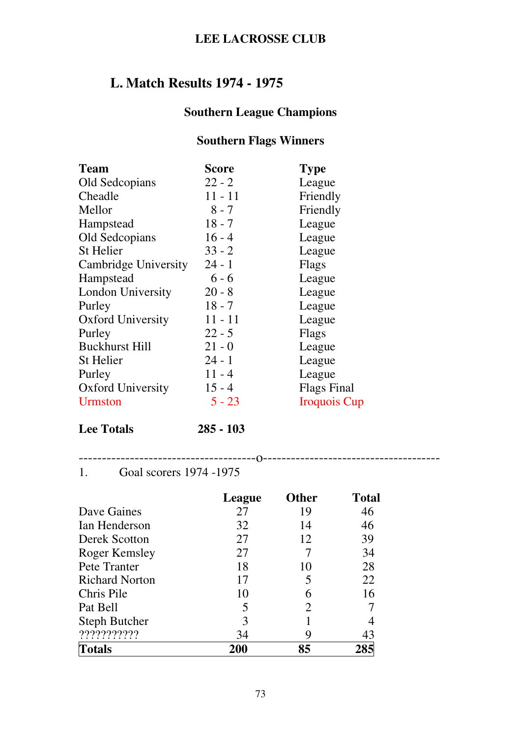# **L. Match Results 1974 - 1975**

## **Southern League Champions**

## **Southern Flags Winners**

| <b>Team</b>              | <b>Score</b> | <b>Type</b>         |
|--------------------------|--------------|---------------------|
| Old Sedcopians           | $22 - 2$     | League              |
| Cheadle                  | $11 - 11$    | Friendly            |
| Mellor                   | $8 - 7$      | Friendly            |
| Hampstead                | $18 - 7$     | League              |
| Old Sedcopians           | $16 - 4$     | League              |
| St Helier                | $33 - 2$     | League              |
| Cambridge University     | $24 - 1$     | Flags               |
| Hampstead                | $6 - 6$      | League              |
| <b>London University</b> | $20 - 8$     | League              |
| Purley                   | $18 - 7$     | League              |
| <b>Oxford University</b> | $11 - 11$    | League              |
| Purley                   | $22 - 5$     | Flags               |
| <b>Buckhurst Hill</b>    | $21 - 0$     | League              |
| <b>St Helier</b>         | $24 - 1$     | League              |
| Purley                   | $11 - 4$     | League              |
| <b>Oxford University</b> | $15 - 4$     | <b>Flags Final</b>  |
| <b>Urmston</b>           | $5 - 23$     | <b>Iroquois Cup</b> |

**Lee Totals 285 - 103** 

--------------------------------------o--------------------------------------

1. Goal scorers 1974 -1975

|                       | League | <b>Other</b>   | <b>Total</b> |
|-----------------------|--------|----------------|--------------|
| Dave Gaines           | 27     | 19             | 46           |
| Ian Henderson         | 32     | 14             | 46           |
| Derek Scotton         | 27     | 12             | 39           |
| Roger Kemsley         | 27     |                | 34           |
| Pete Tranter          | 18     | 10             | 28           |
| <b>Richard Norton</b> | 17     | 5              | 22           |
| Chris Pile            | 10     | 6              | 16           |
| Pat Bell              |        | $\overline{2}$ |              |
| <b>Steph Butcher</b>  | 3      |                |              |
| ???????????           | 34     | 9              | 43           |
| <b>Totals</b>         | 200    | 85             | 285          |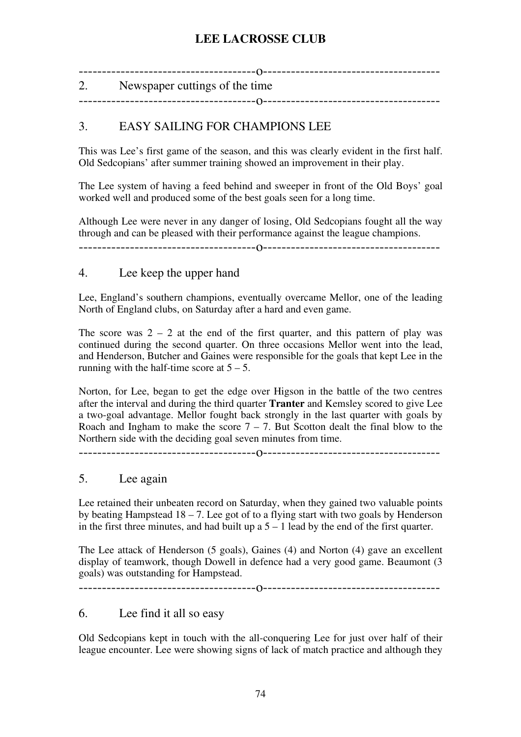| 2. Newspaper cuttings of the time |
|-----------------------------------|
|                                   |
|                                   |
|                                   |

#### 3. EASY SAILING FOR CHAMPIONS LEE

This was Lee's first game of the season, and this was clearly evident in the first half. Old Sedcopians' after summer training showed an improvement in their play.

The Lee system of having a feed behind and sweeper in front of the Old Boys' goal worked well and produced some of the best goals seen for a long time.

Although Lee were never in any danger of losing, Old Sedcopians fought all the way through and can be pleased with their performance against the league champions.

--------------------------------------o--------------------------------------

#### 4. Lee keep the upper hand

Lee, England's southern champions, eventually overcame Mellor, one of the leading North of England clubs, on Saturday after a hard and even game.

The score was  $2 - 2$  at the end of the first quarter, and this pattern of play was continued during the second quarter. On three occasions Mellor went into the lead, and Henderson, Butcher and Gaines were responsible for the goals that kept Lee in the running with the half-time score at  $5 - 5$ .

Norton, for Lee, began to get the edge over Higson in the battle of the two centres after the interval and during the third quarter **Tranter** and Kemsley scored to give Lee a two-goal advantage. Mellor fought back strongly in the last quarter with goals by Roach and Ingham to make the score  $7 - 7$ . But Scotton dealt the final blow to the Northern side with the deciding goal seven minutes from time.

--------------------------------------o--------------------------------------

#### 5. Lee again

Lee retained their unbeaten record on Saturday, when they gained two valuable points by beating Hampstead  $18 - 7$ . Lee got of to a flying start with two goals by Henderson in the first three minutes, and had built up a  $5 - 1$  lead by the end of the first quarter.

The Lee attack of Henderson (5 goals), Gaines (4) and Norton (4) gave an excellent display of teamwork, though Dowell in defence had a very good game. Beaumont (3 goals) was outstanding for Hampstead.

--------------------------------------o--------------------------------------

6. Lee find it all so easy

Old Sedcopians kept in touch with the all-conquering Lee for just over half of their league encounter. Lee were showing signs of lack of match practice and although they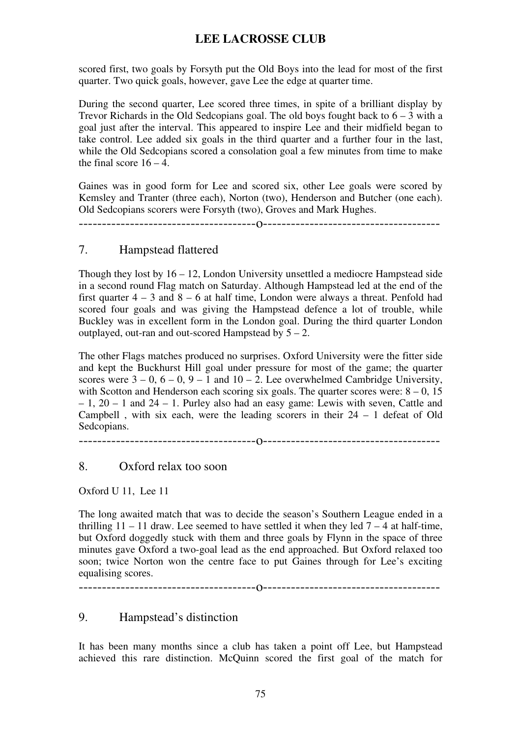scored first, two goals by Forsyth put the Old Boys into the lead for most of the first quarter. Two quick goals, however, gave Lee the edge at quarter time.

During the second quarter, Lee scored three times, in spite of a brilliant display by Trevor Richards in the Old Sedcopians goal. The old boys fought back to  $6 - 3$  with a goal just after the interval. This appeared to inspire Lee and their midfield began to take control. Lee added six goals in the third quarter and a further four in the last, while the Old Sedcopians scored a consolation goal a few minutes from time to make the final score  $16 - 4$ .

Gaines was in good form for Lee and scored six, other Lee goals were scored by Kemsley and Tranter (three each), Norton (two), Henderson and Butcher (one each). Old Sedcopians scorers were Forsyth (two), Groves and Mark Hughes.

--------------------------------------o--------------------------------------

#### 7. Hampstead flattered

Though they lost by  $16 - 12$ , London University unsettled a mediocre Hampstead side in a second round Flag match on Saturday. Although Hampstead led at the end of the first quarter  $4 - 3$  and  $8 - 6$  at half time, London were always a threat. Penfold had scored four goals and was giving the Hampstead defence a lot of trouble, while Buckley was in excellent form in the London goal. During the third quarter London outplayed, out-ran and out-scored Hampstead by  $5 - 2$ .

The other Flags matches produced no surprises. Oxford University were the fitter side and kept the Buckhurst Hill goal under pressure for most of the game; the quarter scores were  $3 - 0$ ,  $6 - 0$ ,  $9 - 1$  and  $10 - 2$ . Lee overwhelmed Cambridge University, with Scotton and Henderson each scoring six goals. The quarter scores were:  $8 - 0$ , 15 – 1, 20 – 1 and 24 – 1. Purley also had an easy game: Lewis with seven, Cattle and Campbell , with six each, were the leading scorers in their 24 – 1 defeat of Old Sedcopians.

--------------------------------------o--------------------------------------

#### 8. Oxford relax too soon

Oxford U 11, Lee 11

The long awaited match that was to decide the season's Southern League ended in a thrilling  $11 - 11$  draw. Lee seemed to have settled it when they led  $7 - 4$  at half-time, but Oxford doggedly stuck with them and three goals by Flynn in the space of three minutes gave Oxford a two-goal lead as the end approached. But Oxford relaxed too soon; twice Norton won the centre face to put Gaines through for Lee's exciting equalising scores.

--------------------------------------o--------------------------------------

#### 9. Hampstead's distinction

It has been many months since a club has taken a point off Lee, but Hampstead achieved this rare distinction. McQuinn scored the first goal of the match for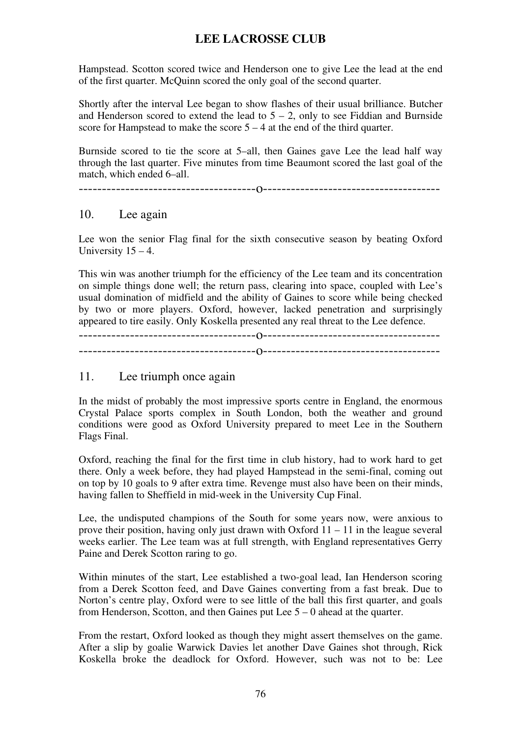Hampstead. Scotton scored twice and Henderson one to give Lee the lead at the end of the first quarter. McQuinn scored the only goal of the second quarter.

Shortly after the interval Lee began to show flashes of their usual brilliance. Butcher and Henderson scored to extend the lead to  $5 - 2$ , only to see Fiddian and Burnside score for Hampstead to make the score  $5 - 4$  at the end of the third quarter.

Burnside scored to tie the score at 5–all, then Gaines gave Lee the lead half way through the last quarter. Five minutes from time Beaumont scored the last goal of the match, which ended 6–all.

--------------------------------------o--------------------------------------

#### 10. Lee again

Lee won the senior Flag final for the sixth consecutive season by beating Oxford University  $15 - 4$ .

This win was another triumph for the efficiency of the Lee team and its concentration on simple things done well; the return pass, clearing into space, coupled with Lee's usual domination of midfield and the ability of Gaines to score while being checked by two or more players. Oxford, however, lacked penetration and surprisingly appeared to tire easily. Only Koskella presented any real threat to the Lee defence.

--------------------------------------o-------------------------------------- --------------------------------------o--------------------------------------

#### 11. Lee triumph once again

In the midst of probably the most impressive sports centre in England, the enormous Crystal Palace sports complex in South London, both the weather and ground conditions were good as Oxford University prepared to meet Lee in the Southern Flags Final.

Oxford, reaching the final for the first time in club history, had to work hard to get there. Only a week before, they had played Hampstead in the semi-final, coming out on top by 10 goals to 9 after extra time. Revenge must also have been on their minds, having fallen to Sheffield in mid-week in the University Cup Final.

Lee, the undisputed champions of the South for some years now, were anxious to prove their position, having only just drawn with Oxford  $11 - 11$  in the league several weeks earlier. The Lee team was at full strength, with England representatives Gerry Paine and Derek Scotton raring to go.

Within minutes of the start, Lee established a two-goal lead, Ian Henderson scoring from a Derek Scotton feed, and Dave Gaines converting from a fast break. Due to Norton's centre play, Oxford were to see little of the ball this first quarter, and goals from Henderson, Scotton, and then Gaines put Lee 5 – 0 ahead at the quarter.

From the restart, Oxford looked as though they might assert themselves on the game. After a slip by goalie Warwick Davies let another Dave Gaines shot through, Rick Koskella broke the deadlock for Oxford. However, such was not to be: Lee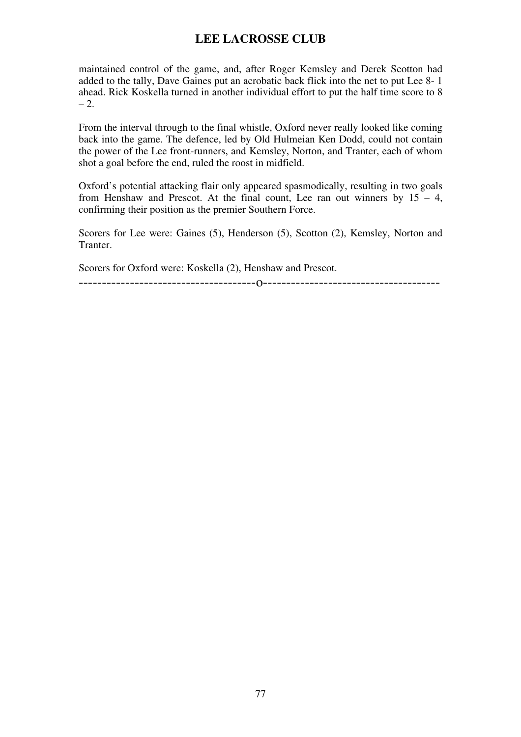maintained control of the game, and, after Roger Kemsley and Derek Scotton had added to the tally, Dave Gaines put an acrobatic back flick into the net to put Lee 8- 1 ahead. Rick Koskella turned in another individual effort to put the half time score to 8  $-2.$ 

From the interval through to the final whistle, Oxford never really looked like coming back into the game. The defence, led by Old Hulmeian Ken Dodd, could not contain the power of the Lee front-runners, and Kemsley, Norton, and Tranter, each of whom shot a goal before the end, ruled the roost in midfield.

Oxford's potential attacking flair only appeared spasmodically, resulting in two goals from Henshaw and Prescot. At the final count, Lee ran out winners by  $15 - 4$ , confirming their position as the premier Southern Force.

Scorers for Lee were: Gaines (5), Henderson (5), Scotton (2), Kemsley, Norton and Tranter.

Scorers for Oxford were: Koskella (2), Henshaw and Prescot.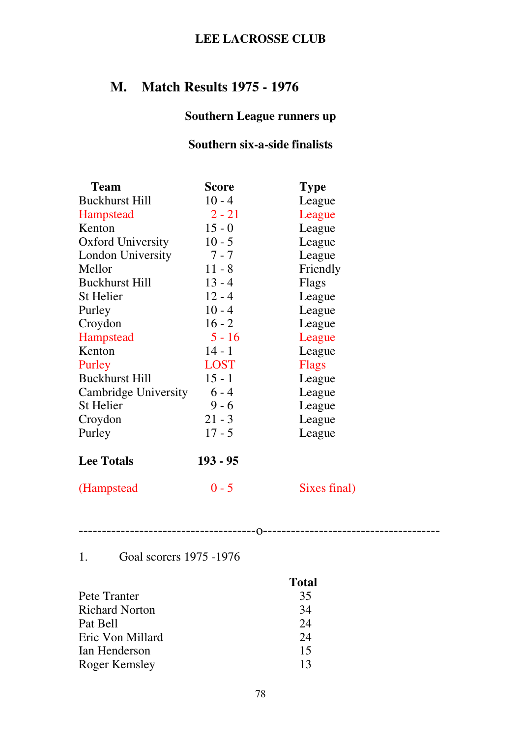# **M. Match Results 1975 - 1976**

## **Southern League runners up**

## **Southern six-a-side finalists**

| <b>Team</b>              | Score       | <b>Type</b>  |
|--------------------------|-------------|--------------|
| <b>Buckhurst Hill</b>    | $10 - 4$    | League       |
| <b>Hampstead</b>         | $2 - 21$    | League       |
| Kenton                   | $15 - 0$    | League       |
| <b>Oxford University</b> | $10 - 5$    | League       |
| <b>London University</b> | $7 - 7$     | League       |
| Mellor                   | $11 - 8$    | Friendly     |
| <b>Buckhurst Hill</b>    | $13 - 4$    | Flags        |
| <b>St Helier</b>         | $12 - 4$    | League       |
| Purley                   | $10 - 4$    | League       |
| Croydon                  | $16 - 2$    | League       |
| <b>Hampstead</b>         | $5 - 16$    | League       |
| Kenton                   | $14 - 1$    | League       |
| Purley                   | <b>LOST</b> | <b>Flags</b> |
| <b>Buckhurst Hill</b>    | $15 - 1$    | League       |
| Cambridge University     | $6 - 4$     | League       |
| <b>St Helier</b>         | $9 - 6$     | League       |
| Croydon                  | $21 - 3$    | League       |
| Purley                   | $17 - 5$    | League       |
| <b>Lee Totals</b>        | $193 - 95$  |              |
| (Hampstead               | $0 - 5$     | Sixes final) |

--------------------------------------o--------------------------------------

#### 1. Goal scorers 1975 -1976

|                       | <b>Total</b> |
|-----------------------|--------------|
| Pete Tranter          | 35           |
| <b>Richard Norton</b> | 34           |
| Pat Bell              | 24           |
| Eric Von Millard      | 24           |
| Ian Henderson         | 15           |
| Roger Kemsley         | 13           |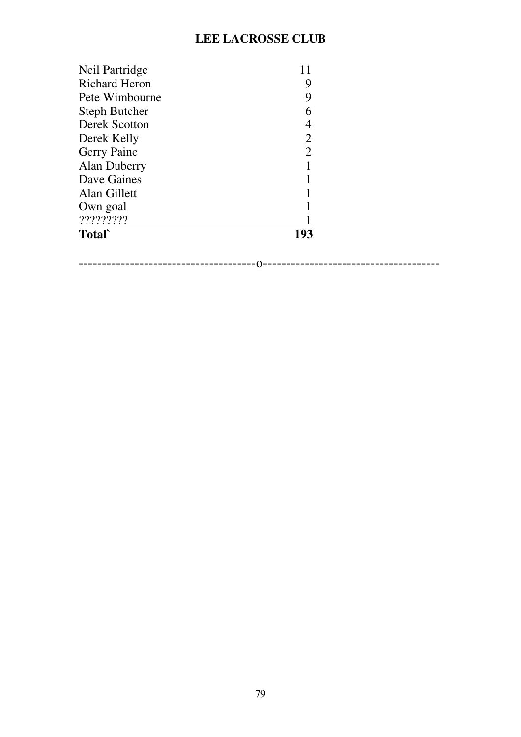| Neil Partridge       | 11  |
|----------------------|-----|
| <b>Richard Heron</b> |     |
| Pete Wimbourne       | 9   |
| <b>Steph Butcher</b> |     |
| <b>Derek Scotton</b> |     |
| Derek Kelly          | 2   |
| <b>Gerry Paine</b>   | 2   |
| <b>Alan Duberry</b>  |     |
| Dave Gaines          |     |
| Alan Gillett         |     |
| Own goal             |     |
| ?????????            |     |
| Total`               | 193 |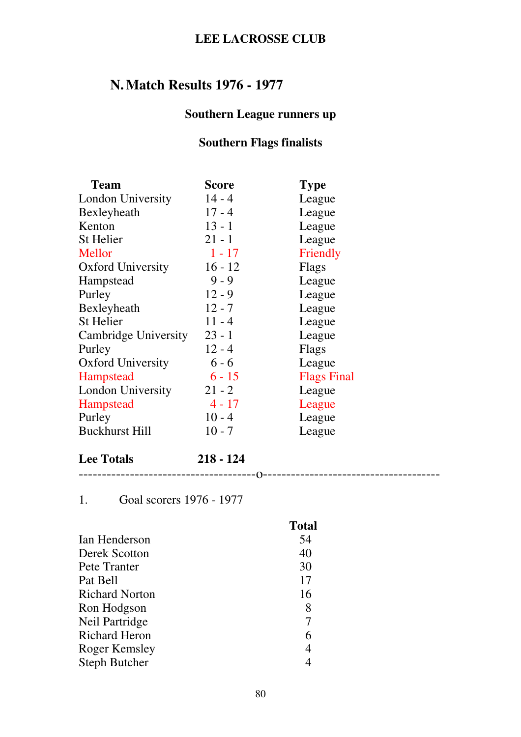# **N.Match Results 1976 - 1977**

## **Southern League runners up**

## **Southern Flags finalists**

| <b>Team</b>              | <b>Score</b> | <b>Type</b>        |
|--------------------------|--------------|--------------------|
| <b>London University</b> | $14 - 4$     | League             |
| Bexleyheath              | $17 - 4$     | League             |
| Kenton                   | $13 - 1$     | League             |
| St Helier                | $21 - 1$     | League             |
| Mellor                   | $1 - 17$     | Friendly           |
| <b>Oxford University</b> | $16 - 12$    | Flags              |
| Hampstead                | $9 - 9$      | League             |
| Purley                   | $12 - 9$     | League             |
| Bexleyheath              | $12 - 7$     | League             |
| St Helier                | $11 - 4$     | League             |
| Cambridge University     | $23 - 1$     | League             |
| Purley                   | $12 - 4$     | Flags              |
| <b>Oxford University</b> | $6 - 6$      | League             |
| <b>Hampstead</b>         | $6 - 15$     | <b>Flags Final</b> |
| London University        | $21 - 2$     | League             |
| <b>Hampstead</b>         | $4 - 17$     | League             |
| Purley                   | $10 - 4$     | League             |
| <b>Buckhurst Hill</b>    | $10 - 7$     | League             |
|                          |              |                    |

- **Lee Totals 218 124**
- --------------------------------------o--------------------------------------
- 1. Goal scorers 1976 1977

|                       | <b>Total</b> |
|-----------------------|--------------|
| Ian Henderson         | 54           |
| Derek Scotton         | 40           |
| Pete Tranter          | 30           |
| Pat Bell              | 17           |
| <b>Richard Norton</b> | 16           |
| Ron Hodgson           | 8            |
| Neil Partridge        | 7            |
| <b>Richard Heron</b>  | 6            |
| <b>Roger Kemsley</b>  | 4            |
| <b>Steph Butcher</b>  |              |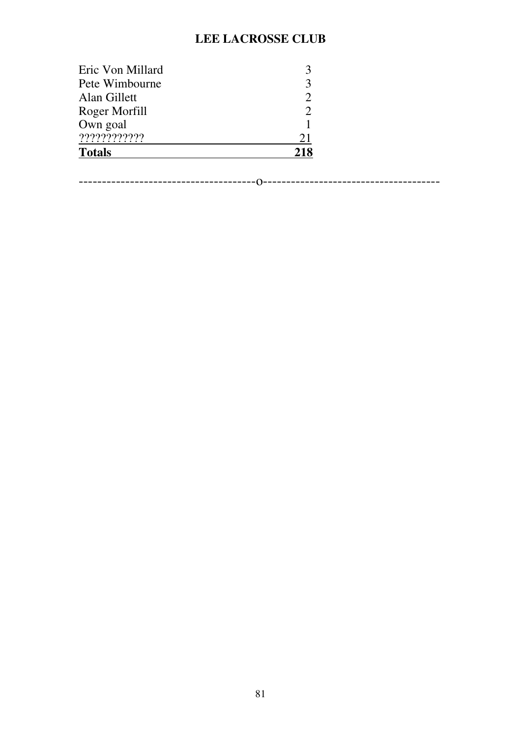| Eric Von Millard |     |
|------------------|-----|
| Pete Wimbourne   |     |
| Alan Gillett     |     |
| Roger Morfill    |     |
| Own goal         |     |
| ?????????????    | 21  |
| <b>Totals</b>    | 218 |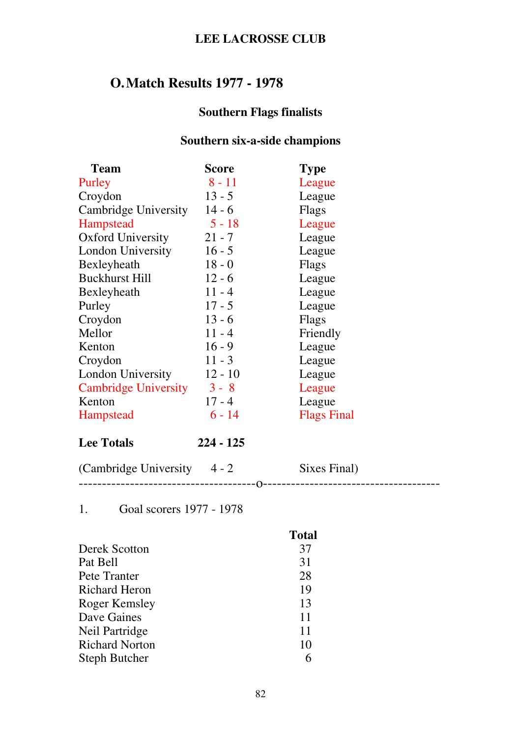# **O.Match Results 1977 - 1978**

## **Southern Flags finalists**

#### **Southern six-a-side champions**

| <b>Team</b>                 | Score     | <b>Type</b>        |
|-----------------------------|-----------|--------------------|
| Purley                      | 8 - 11    | League             |
| Croydon                     | $13 - 5$  | League             |
| Cambridge University        | $14 - 6$  | Flags              |
| <b>Hampstead</b>            | $5 - 18$  | League             |
| <b>Oxford University</b>    | $21 - 7$  | League             |
| <b>London University</b>    | $16 - 5$  | League             |
| Bexleyheath                 | $18 - 0$  | Flags              |
| <b>Buckhurst Hill</b>       | $12 - 6$  | League             |
| Bexleyheath                 | $11 - 4$  | League             |
| Purley                      | $17 - 5$  | League             |
| Croydon                     | $13 - 6$  | Flags              |
| Mellor                      | $11 - 4$  | Friendly           |
| Kenton                      | $16 - 9$  | League             |
| Croydon                     | $11 - 3$  | League             |
| <b>London University</b>    | $12 - 10$ | League             |
| <b>Cambridge University</b> | $3 - 8$   | League             |
| Kenton                      | $17 - 4$  | League             |
| Hampstead                   | 6 - 14    | <b>Flags Final</b> |

#### **Lee Totals 224 - 125**

| (Cambridge University $4 - 2$ | - Sixes Final |
|-------------------------------|---------------|
|                               |               |

## 1. Goal scorers 1977 - 1978

|                       | <b>Total</b> |
|-----------------------|--------------|
| Derek Scotton         | 37           |
| Pat Bell              | 31           |
| Pete Tranter          | 28           |
| <b>Richard Heron</b>  | 19           |
| <b>Roger Kemsley</b>  | 13           |
| Dave Gaines           | 11           |
| Neil Partridge        | 11           |
| <b>Richard Norton</b> | 10           |
| <b>Steph Butcher</b>  | 6            |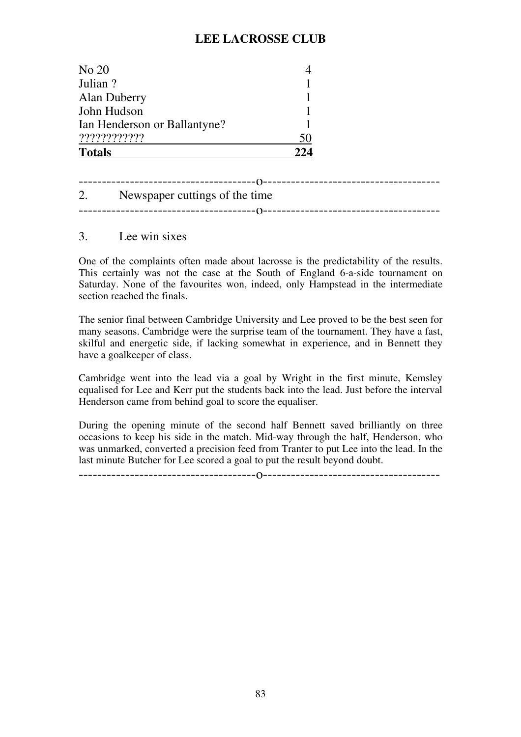| No 20                        |     |
|------------------------------|-----|
| Julian?                      |     |
| <b>Alan Duberry</b>          |     |
| John Hudson                  |     |
| Ian Henderson or Ballantyne? |     |
| ????????????                 | 50  |
| <b>Totals</b>                | ノワル |

| 2. Newspaper cuttings of the time |
|-----------------------------------|
|                                   |
|                                   |

#### 3. Lee win sixes

One of the complaints often made about lacrosse is the predictability of the results. This certainly was not the case at the South of England 6-a-side tournament on Saturday. None of the favourites won, indeed, only Hampstead in the intermediate section reached the finals.

The senior final between Cambridge University and Lee proved to be the best seen for many seasons. Cambridge were the surprise team of the tournament. They have a fast, skilful and energetic side, if lacking somewhat in experience, and in Bennett they have a goalkeeper of class.

Cambridge went into the lead via a goal by Wright in the first minute, Kemsley equalised for Lee and Kerr put the students back into the lead. Just before the interval Henderson came from behind goal to score the equaliser.

During the opening minute of the second half Bennett saved brilliantly on three occasions to keep his side in the match. Mid-way through the half, Henderson, who was unmarked, converted a precision feed from Tranter to put Lee into the lead. In the last minute Butcher for Lee scored a goal to put the result beyond doubt.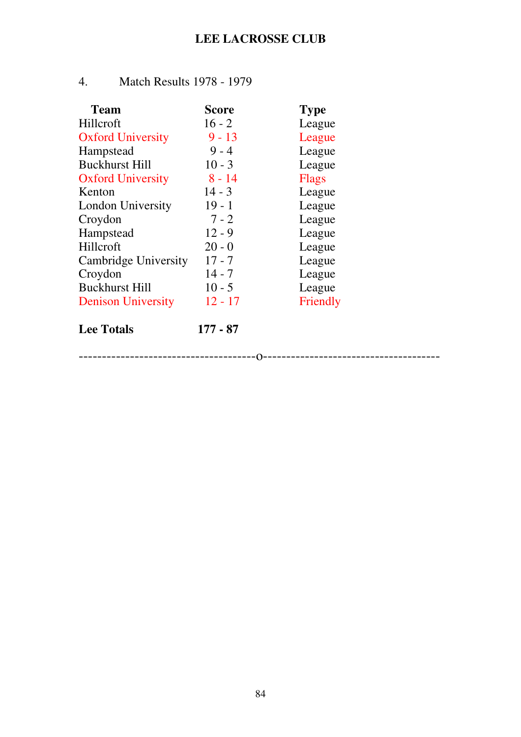## 4. Match Results 1978 - 1979

| <b>Team</b>               | <b>Score</b> | <b>Type</b> |
|---------------------------|--------------|-------------|
| Hillcroft                 | $16 - 2$     | League      |
| <b>Oxford University</b>  | $9 - 13$     | League      |
| Hampstead                 | $9 - 4$      | League      |
| <b>Buckhurst Hill</b>     | $10 - 3$     | League      |
| <b>Oxford University</b>  | $8 - 14$     | Flags       |
| Kenton                    | $14 - 3$     | League      |
| <b>London University</b>  | $19 - 1$     | League      |
| Croydon                   | $7 - 2$      | League      |
| Hampstead                 | $12 - 9$     | League      |
| Hillcroft                 | $20 - 0$     | League      |
| Cambridge University      | $17 - 7$     | League      |
| Croydon                   | $14 - 7$     | League      |
| <b>Buckhurst Hill</b>     | $10 - 5$     | League      |
| <b>Denison University</b> | $12 - 17$    | Friendly    |
| <b>Lee Totals</b>         | 177 - 87     |             |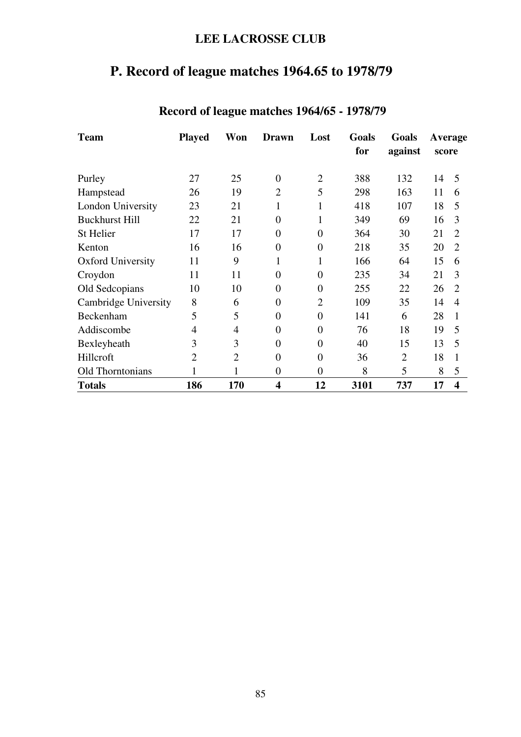# **P. Record of league matches 1964.65 to 1978/79**

| <b>Team</b>              | <b>Played</b>  | Won            | <b>Drawn</b>            | Lost             | Goals<br>for | Goals<br>against | score | Average                 |
|--------------------------|----------------|----------------|-------------------------|------------------|--------------|------------------|-------|-------------------------|
| Purley                   | 27             | 25             | $\overline{0}$          | $\overline{2}$   | 388          | 132              | 14    | 5                       |
| Hampstead                | 26             | 19             | $\overline{2}$          | 5                | 298          | 163              | 11    | 6                       |
| London University        | 23             | 21             | $\mathbf{1}$            | 1                | 418          | 107              | 18    | 5                       |
| <b>Buckhurst Hill</b>    | 22             | 21             | $\overline{0}$          | 1                | 349          | 69               | 16    | 3                       |
| St Helier                | 17             | 17             | $\overline{0}$          | $\overline{0}$   | 364          | 30               | 21    | $\overline{2}$          |
| Kenton                   | 16             | 16             | $\overline{0}$          | $\overline{0}$   | 218          | 35               | 20    | $\overline{2}$          |
| <b>Oxford University</b> | 11             | 9              | 1                       | 1                | 166          | 64               | 15    | 6                       |
| Croydon                  | 11             | 11             | $\overline{0}$          | $\overline{0}$   | 235          | 34               | 21    | 3                       |
| Old Sedcopians           | 10             | 10             | $\boldsymbol{0}$        | $\overline{0}$   | 255          | 22               | 26    | $\overline{2}$          |
| Cambridge University     | 8              | 6              | $\boldsymbol{0}$        | $\overline{2}$   | 109          | 35               | 14    | $\overline{4}$          |
| Beckenham                | 5              | 5              | $\boldsymbol{0}$        | $\overline{0}$   | 141          | 6                | 28    | 1                       |
| Addiscombe               | $\overline{4}$ | $\overline{4}$ | $\overline{0}$          | $\boldsymbol{0}$ | 76           | 18               | 19    | 5                       |
| Bexleyheath              | 3              | 3              | $\overline{0}$          | $\boldsymbol{0}$ | 40           | 15               | 13    | $\overline{5}$          |
| Hillcroft                | $\overline{2}$ | $\overline{2}$ | $\overline{0}$          | $\overline{0}$   | 36           | $\overline{2}$   | 18    | 1                       |
| Old Thorntonians         | 1              | $\mathbf{1}$   | $\overline{0}$          | $\boldsymbol{0}$ | 8            | 5                | 8     | 5                       |
| <b>Totals</b>            | 186            | 170            | $\overline{\mathbf{4}}$ | 12               | 3101         | 737              | 17    | $\overline{\mathbf{4}}$ |

# **Record of league matches 1964/65 - 1978/79**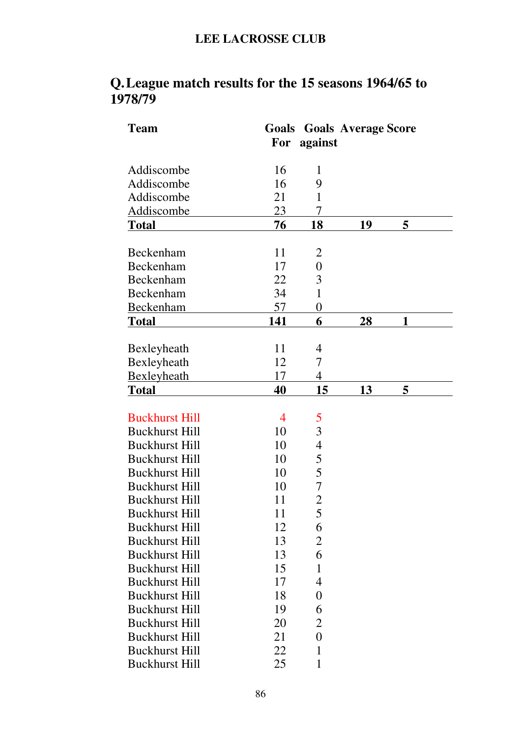| Q. League match results for the 15 seasons 1964/65 to |  |
|-------------------------------------------------------|--|
| 1978/79                                               |  |

| <b>Team</b>           | For            | against          | <b>Goals Goals Average Score</b> |   |
|-----------------------|----------------|------------------|----------------------------------|---|
| Addiscombe            | 16             | $\mathbf{1}$     |                                  |   |
| Addiscombe            | 16             | 9                |                                  |   |
| Addiscombe            | 21             | $\mathbf{1}$     |                                  |   |
| <u>Addiscombe</u>     | <u>23</u>      | 7                |                                  |   |
| <b>Total</b>          | 76             | 18               | 19                               | 5 |
|                       |                |                  |                                  |   |
| Beckenham             | 11             | $\overline{2}$   |                                  |   |
| Beckenham             | 17             | $\boldsymbol{0}$ |                                  |   |
| Beckenham             | 22             | 3                |                                  |   |
| Beckenham             | 34             | 1                |                                  |   |
| <b>Beckenham</b>      | 57             | $\overline{0}$   |                                  |   |
| <b>Total</b>          | 141            | 6                | 28                               |   |
| Bexleyheath           | 11             | 4                |                                  |   |
| Bexleyheath           | 12             | 7                |                                  |   |
| <b>Bexleyheath</b>    | 17             | 4                |                                  |   |
| <b>Total</b>          | 40             | 15               | 13                               | 5 |
|                       |                |                  |                                  |   |
| <b>Buckhurst Hill</b> | $\overline{4}$ | 5                |                                  |   |
| <b>Buckhurst Hill</b> | 10             | $\overline{3}$   |                                  |   |
| <b>Buckhurst Hill</b> | 10             | $\overline{4}$   |                                  |   |
| <b>Buckhurst Hill</b> | 10             | 5                |                                  |   |
| <b>Buckhurst Hill</b> | 10             | 5                |                                  |   |
| <b>Buckhurst Hill</b> | 10             | $\overline{7}$   |                                  |   |
| <b>Buckhurst Hill</b> | 11             | $\overline{2}$   |                                  |   |
| <b>Buckhurst Hill</b> | 11             | 5                |                                  |   |
| <b>Buckhurst Hill</b> | 12             | 6                |                                  |   |
| <b>Buckhurst Hill</b> | 13             | $\overline{2}$   |                                  |   |
| <b>Buckhurst Hill</b> | 13             | 6                |                                  |   |
| <b>Buckhurst Hill</b> | 15             | 1                |                                  |   |
| <b>Buckhurst Hill</b> | 17             | 4                |                                  |   |
| <b>Buckhurst Hill</b> | 18             | 0                |                                  |   |
| <b>Buckhurst Hill</b> | 19             | 6                |                                  |   |
| <b>Buckhurst Hill</b> | 20             | 2                |                                  |   |
| <b>Buckhurst Hill</b> | 21             | 0                |                                  |   |
| <b>Buckhurst Hill</b> | 22             | 1                |                                  |   |
| <b>Buckhurst Hill</b> | 25             | 1                |                                  |   |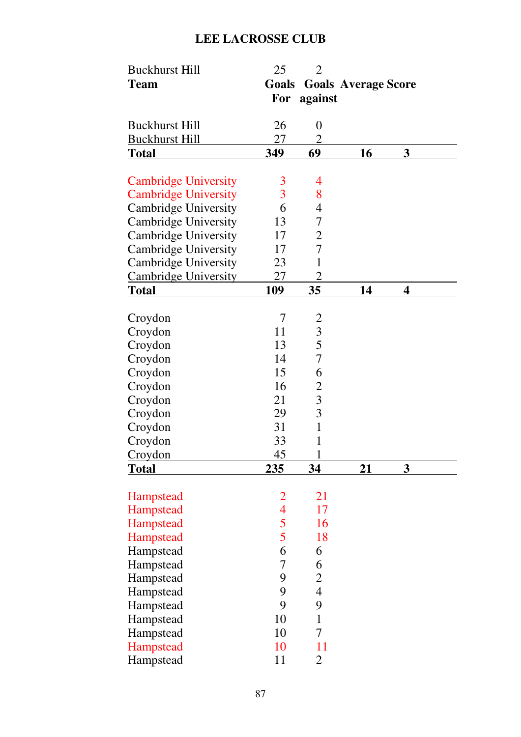| <b>Buckhurst Hill</b>       | 25             | $\overline{2}$   |                            |                         |
|-----------------------------|----------------|------------------|----------------------------|-------------------------|
| <b>Team</b>                 | <b>Goals</b>   |                  | <b>Goals Average Score</b> |                         |
|                             | For            | against          |                            |                         |
| <b>Buckhurst Hill</b>       | 26             | $\boldsymbol{0}$ |                            |                         |
| <b>Buckhurst Hill</b>       | 27             | $\overline{2}$   |                            |                         |
| <b>Total</b>                | 349            | 69               | 16                         | 3                       |
| <b>Cambridge University</b> | 3              | 4                |                            |                         |
| <b>Cambridge University</b> | 3              | 8                |                            |                         |
| <b>Cambridge University</b> | 6              | 4                |                            |                         |
| <b>Cambridge University</b> | 13             | $\tau$           |                            |                         |
| <b>Cambridge University</b> | 17             | $\overline{2}$   |                            |                         |
| <b>Cambridge University</b> | 17             | 7                |                            |                         |
| <b>Cambridge University</b> | 23             | $\mathbf{1}$     |                            |                         |
| <b>Cambridge University</b> | 27             | $\overline{2}$   |                            |                         |
| <b>Total</b>                | <u>109</u>     | <u>35</u>        | 14                         | $\overline{\mathbf{4}}$ |
|                             |                |                  |                            |                         |
| Croydon                     | $\overline{7}$ | $\overline{c}$   |                            |                         |
| Croydon                     | 11             | $\overline{3}$   |                            |                         |
| Croydon                     | 13             | 5                |                            |                         |
| Croydon                     | 14             | $\tau$           |                            |                         |
| Croydon                     | 15             | 6                |                            |                         |
| Croydon                     | 16             | $\overline{c}$   |                            |                         |
| Croydon                     | 21             | $\overline{3}$   |                            |                         |
| Croydon                     | 29             | $\overline{3}$   |                            |                         |
| Croydon                     | 31             | $\mathbf{1}$     |                            |                         |
| Croydon                     | 33             | 1                |                            |                         |
| Crovdon                     | 45             |                  |                            |                         |
| <b>Total</b>                | 235            | 34               | 21                         | 3                       |
| Hampstead                   | $\frac{2}{4}$  | 21               |                            |                         |
| Hampstead                   |                | 17               |                            |                         |
| Hampstead                   | $\overline{5}$ | 16               |                            |                         |
| Hampstead                   | $\overline{5}$ | 18               |                            |                         |
| Hampstead                   | 6              | 6                |                            |                         |
| Hampstead                   | 7              | 6                |                            |                         |
| Hampstead                   | 9              | $\overline{2}$   |                            |                         |
| Hampstead                   | 9              | $\overline{4}$   |                            |                         |
| Hampstead                   | 9              | 9                |                            |                         |
| Hampstead                   | 10             | $\mathbf{1}$     |                            |                         |
| Hampstead                   | 10             | 7                |                            |                         |
| Hampstead                   | 10             | 11               |                            |                         |
| Hampstead                   | 11             | $\overline{2}$   |                            |                         |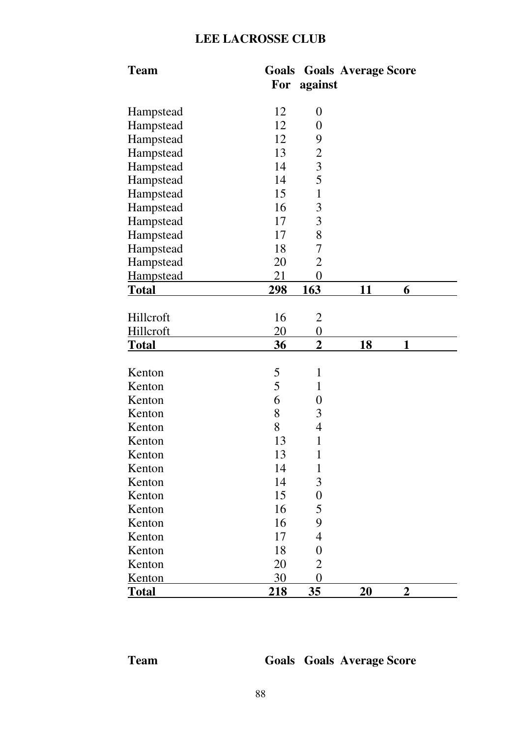| <b>Team</b>      | For        | against                          | <b>Goals Goals Average Score</b> |   |  |
|------------------|------------|----------------------------------|----------------------------------|---|--|
|                  | 12         | $\overline{0}$                   |                                  |   |  |
| Hampstead        | 12         | $\boldsymbol{0}$                 |                                  |   |  |
| Hampstead        | 12         |                                  |                                  |   |  |
| Hampstead        |            | 9                                |                                  |   |  |
| Hampstead        | 13         | $\overline{c}$<br>$\overline{3}$ |                                  |   |  |
| Hampstead        | 14         | 5                                |                                  |   |  |
| Hampstead        | 14         |                                  |                                  |   |  |
| Hampstead        | 15         | $\mathbf{1}$                     |                                  |   |  |
| Hampstead        | 16         | 3                                |                                  |   |  |
| Hampstead        | 17         | $\overline{3}$                   |                                  |   |  |
| Hampstead        | 17         | 8                                |                                  |   |  |
| Hampstead        | 18         | $\overline{7}$                   |                                  |   |  |
| Hampstead        | 20         | $\overline{2}$                   |                                  |   |  |
| <b>Hampstead</b> | 21         | $\boldsymbol{0}$                 |                                  |   |  |
| <b>Total</b>     | <u>298</u> | <b>163</b>                       | 11                               | 6 |  |
|                  |            |                                  |                                  |   |  |
| Hillcroft        | 16         | $\overline{2}$                   |                                  |   |  |
| Hillcroft        | 20         | $\boldsymbol{0}$                 |                                  |   |  |
| <b>Total</b>     | 36         | $\overline{2}$                   | 18                               | 1 |  |
|                  |            |                                  |                                  |   |  |
| Kenton           | 5          | 1                                |                                  |   |  |
| Kenton           | 5          | $\mathbf{1}$                     |                                  |   |  |
| Kenton           | 6          | $\boldsymbol{0}$                 |                                  |   |  |
| Kenton           | 8          | 3                                |                                  |   |  |
| Kenton           | 8          | $\overline{4}$                   |                                  |   |  |
| Kenton           | 13         | $\mathbf{1}$                     |                                  |   |  |
| Kenton           | 13         | $\mathbf{1}$                     |                                  |   |  |
| Kenton           | 14         | $\mathbf 1$                      |                                  |   |  |
| Kenton           | 14         | 3                                |                                  |   |  |
| Kenton           | 15         | $\boldsymbol{0}$                 |                                  |   |  |
| Kenton           | 16         | 5                                |                                  |   |  |
| Kenton           | 16         | 9                                |                                  |   |  |
| Kenton           | 17         | 4                                |                                  |   |  |
| Kenton           | 18         | $\boldsymbol{0}$                 |                                  |   |  |
|                  |            | $\overline{2}$                   |                                  |   |  |
|                  |            |                                  |                                  |   |  |
| Kenton<br>Kenton | 20<br>30   | $\boldsymbol{0}$                 |                                  |   |  |

# **Team Goals Goals Average Score**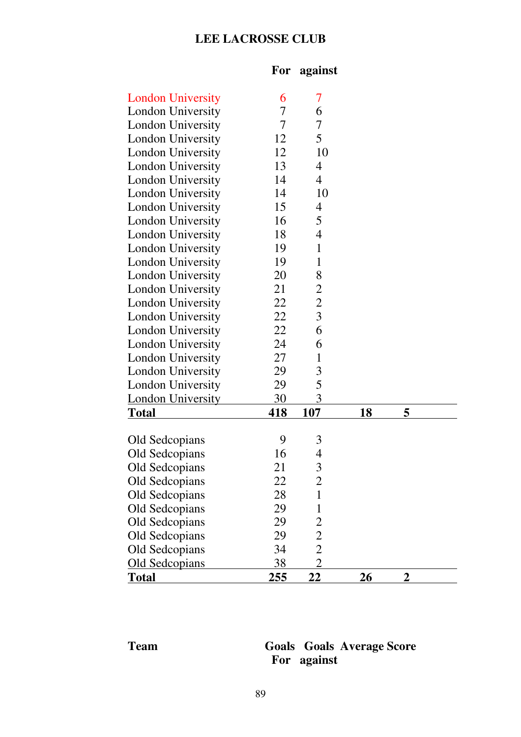| <u>Total</u>             | 255 | <u>22</u>      | 26 | $\overline{2}$ |  |
|--------------------------|-----|----------------|----|----------------|--|
| Old Sedcopians           | 38  | $\overline{2}$ |    |                |  |
| Old Sedcopians           | 34  | $\overline{2}$ |    |                |  |
| Old Sedcopians           | 29  | $\overline{2}$ |    |                |  |
| Old Sedcopians           | 29  | 2              |    |                |  |
| Old Sedcopians           | 29  | 1              |    |                |  |
| Old Sedcopians           | 28  | 1              |    |                |  |
| Old Sedcopians           | 22  | $\overline{2}$ |    |                |  |
| Old Sedcopians           | 21  | 3              |    |                |  |
| Old Sedcopians           | 16  | $\overline{4}$ |    |                |  |
| Old Sedcopians           | 9   | 3              |    |                |  |
| <b>Total</b>             | 418 | 107            | 18 | 5              |  |
| <b>London University</b> | 30  | 3              |    |                |  |
| <b>London University</b> | 29  | 5              |    |                |  |
| <b>London University</b> | 29  | 3              |    |                |  |
| London University        | 27  | $\mathbf{1}$   |    |                |  |
| London University        | 24  | 6              |    |                |  |
| <b>London University</b> | 22  | 6              |    |                |  |
| <b>London University</b> | 22  | $\overline{3}$ |    |                |  |
| <b>London University</b> | 22  | $\overline{2}$ |    |                |  |
| <b>London University</b> | 21  | $\overline{2}$ |    |                |  |
| <b>London University</b> | 20  | 8              |    |                |  |
| <b>London University</b> | 19  | $\mathbf{1}$   |    |                |  |
| <b>London University</b> | 19  | $\mathbf{1}$   |    |                |  |
| <b>London University</b> | 18  | $\overline{4}$ |    |                |  |
| London University        | 16  | 5              |    |                |  |
| London University        | 15  | $\overline{4}$ |    |                |  |
| <b>London University</b> | 14  | 10             |    |                |  |
| <b>London University</b> | 14  | 4              |    |                |  |
| <b>London University</b> | 13  | $\overline{4}$ |    |                |  |
| <b>London University</b> | 12  | 10             |    |                |  |
| <b>London University</b> | 12  | 5              |    |                |  |
| <b>London University</b> | 7   | 7              |    |                |  |
| <b>London University</b> | 7   | 6              |    |                |  |
| <b>London University</b> | 6   | 7              |    |                |  |
|                          |     |                |    |                |  |

#### **Team Goals Goals Average Score For against**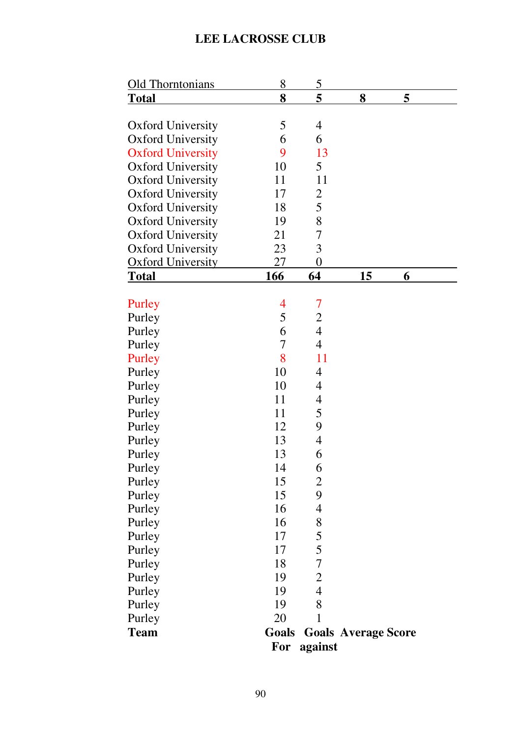| Old Thorntonians         | 8              | $\overline{5}$ |                            |   |
|--------------------------|----------------|----------------|----------------------------|---|
| <b>Total</b>             | 8              | 5              | 8                          | 5 |
|                          |                |                |                            |   |
| <b>Oxford University</b> | 5              | $\overline{4}$ |                            |   |
| <b>Oxford University</b> | 6              | 6              |                            |   |
| <b>Oxford University</b> | 9              | 13             |                            |   |
| <b>Oxford University</b> | 10             | 5              |                            |   |
| <b>Oxford University</b> | 11             | 11             |                            |   |
| <b>Oxford University</b> | 17             | $\overline{2}$ |                            |   |
| <b>Oxford University</b> | 18             | 5              |                            |   |
| <b>Oxford University</b> | 19             | 8              |                            |   |
| <b>Oxford University</b> | 21             | $\overline{7}$ |                            |   |
| <b>Oxford University</b> | 23             | 3              |                            |   |
| <b>Oxford University</b> | 27             | $\overline{0}$ |                            |   |
| <b>Total</b>             | <b>166</b>     | 64             | 15                         | 6 |
|                          |                |                |                            |   |
| Purley                   | $\overline{4}$ | 7              |                            |   |
| Purley                   | 5              | $\overline{c}$ |                            |   |
| Purley                   | 6              | $\overline{4}$ |                            |   |
| Purley                   | 7              | $\overline{4}$ |                            |   |
| Purley                   | 8              | 11             |                            |   |
| Purley                   | 10             | 4              |                            |   |
| Purley                   | 10             | 4              |                            |   |
| Purley                   | 11             | 4              |                            |   |
| Purley                   | 11             | 5              |                            |   |
| Purley                   | 12             | 9              |                            |   |
| Purley                   | 13             | $\overline{4}$ |                            |   |
| Purley                   | 13             | 6              |                            |   |
| Purley                   | 14             | 6              |                            |   |
| Purley                   | 15             | $\overline{c}$ |                            |   |
| Purley                   | 15             | 9              |                            |   |
| Purley                   | 16             | $\overline{4}$ |                            |   |
| Purley                   | 16             | 8              |                            |   |
| Purley                   | 17             | 5              |                            |   |
| Purley                   | 17             | 5              |                            |   |
| Purley                   | 18             | $\overline{7}$ |                            |   |
| Purley                   | 19             | $\overline{2}$ |                            |   |
| Purley                   | 19             | $\overline{4}$ |                            |   |
| Purley                   | 19             | 8              |                            |   |
| Purley                   |                |                |                            |   |
|                          | 20             | 1              |                            |   |
| <b>Team</b>              | Goals          |                | <b>Goals Average Score</b> |   |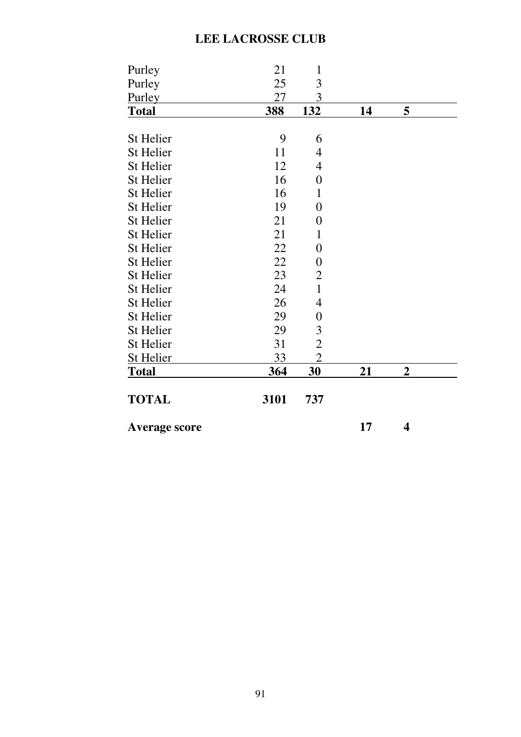| Purley               | 21   | $\mathbf{1}$     |    |                         |
|----------------------|------|------------------|----|-------------------------|
| Purley               | 25   | 3                |    |                         |
| Purley               | 27   | 3                |    |                         |
| <b>Total</b>         | 388  | <b>132</b>       | 14 | 5                       |
| St Helier            | 9    | 6                |    |                         |
| St Helier            | 11   | $\overline{4}$   |    |                         |
| St Helier            | 12   | $\overline{4}$   |    |                         |
| St Helier            | 16   | $\boldsymbol{0}$ |    |                         |
| St Helier            | 16   | $\mathbf{1}$     |    |                         |
| St Helier            | 19   | $\overline{0}$   |    |                         |
| St Helier            | 21   | $\boldsymbol{0}$ |    |                         |
| St Helier            | 21   | $\mathbf{1}$     |    |                         |
| St Helier            | 22   | $\boldsymbol{0}$ |    |                         |
| St Helier            | 22   | $\boldsymbol{0}$ |    |                         |
| St Helier            | 23   | $\mathfrak{2}$   |    |                         |
| St Helier            | 24   | $\mathbf{1}$     |    |                         |
| St Helier            | 26   | $\overline{4}$   |    |                         |
| St Helier            | 29   | $\overline{0}$   |    |                         |
| St Helier            | 29   | $\mathfrak{Z}$   |    |                         |
| St Helier            | 31   | $\overline{2}$   |    |                         |
| <b>St Helier</b>     | 33   | $\overline{2}$   |    |                         |
| <b>Total</b>         | 364  | 30               | 21 | $\overline{2}$          |
| <b>TOTAL</b>         | 3101 | 737              |    |                         |
| <b>Average score</b> |      |                  | 17 | $\overline{\mathbf{4}}$ |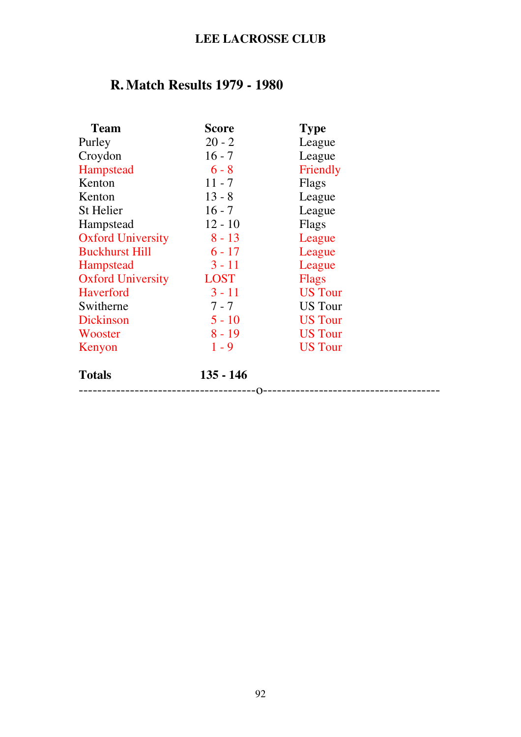# **R.Match Results 1979 - 1980**

| <b>Team</b>              | Score              | <b>Type</b>    |  |
|--------------------------|--------------------|----------------|--|
| Purley                   | $20 - 2$           | League         |  |
| Croydon                  | $16 - 7$           | League         |  |
| <b>Hampstead</b>         | $6 - 8$            | Friendly       |  |
| Kenton                   | $11 - 7$           | Flags          |  |
| Kenton                   | $13 - 8$           | League         |  |
| St Helier                | $16 - 7$           | League         |  |
| Hampstead                | $12 - 10$          | Flags          |  |
| <b>Oxford University</b> | $8 - 13$           | League         |  |
| <b>Buckhurst Hill</b>    | $6 - 17$           | League         |  |
| <b>Hampstead</b>         | $3 - 11$           | League         |  |
| <b>Oxford University</b> | <b>LOST</b>        | <b>Flags</b>   |  |
| <b>Haverford</b>         | $3 - 11$           | <b>US Tour</b> |  |
| Switherne                | $7 - 7$            | <b>US</b> Tour |  |
| Dickinson                | $5 - 10$           | <b>US Tour</b> |  |
| Wooster                  | $8 - 19$           | <b>US Tour</b> |  |
| Kenyon                   | $1 - 9$            | <b>US Tour</b> |  |
| <b>Totals</b>            | $135 - 146$<br>·O- |                |  |
|                          |                    |                |  |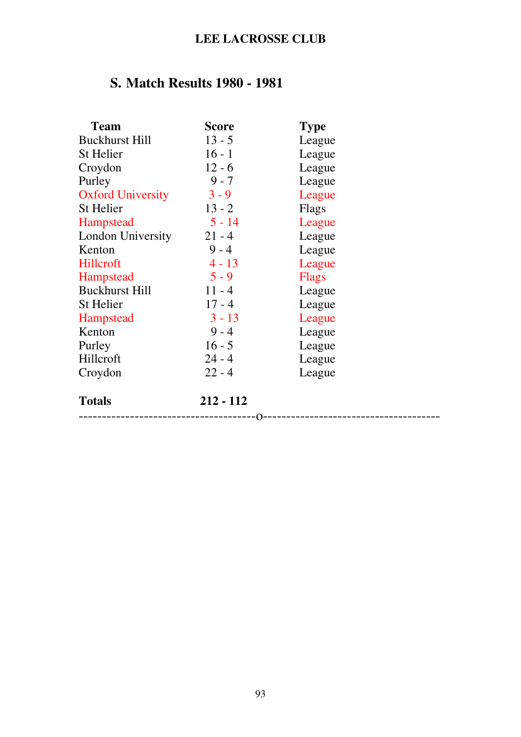# **S. Match Results 1980 - 1981**

| <b>Team</b>              | <b>Score</b>             | <b>Type</b> |  |
|--------------------------|--------------------------|-------------|--|
| <b>Buckhurst Hill</b>    | $13 - 5$                 | League      |  |
| St Helier                | $16 - 1$                 | League      |  |
| Croydon                  | $12 - 6$                 | League      |  |
| Purley                   | $9 - 7$                  | League      |  |
| <b>Oxford University</b> | $3 - 9$                  | League      |  |
| St Helier                | $13 - 2$                 | Flags       |  |
| <b>Hampstead</b>         | $5 - 14$                 | League      |  |
| <b>London University</b> | $21 - 4$                 | League      |  |
| Kenton                   | $9 - 4$                  | League      |  |
| Hillcroft                | $4 - 13$                 | League      |  |
| <b>Hampstead</b>         | $5 - 9$                  | Flags       |  |
| <b>Buckhurst Hill</b>    | $11 - 4$                 | League      |  |
| St Helier                | $17 - 4$                 | League      |  |
| <b>Hampstead</b>         | $3 - 13$                 | League      |  |
| Kenton                   | $9 - 4$                  | League      |  |
| Purley                   | $16 - 5$                 | League      |  |
| Hillcroft                | $24 - 4$                 | League      |  |
| Croydon                  | $22 - 4$                 | League      |  |
| <b>Totals</b>            | $212 - 112$<br>$-0$ ---- |             |  |